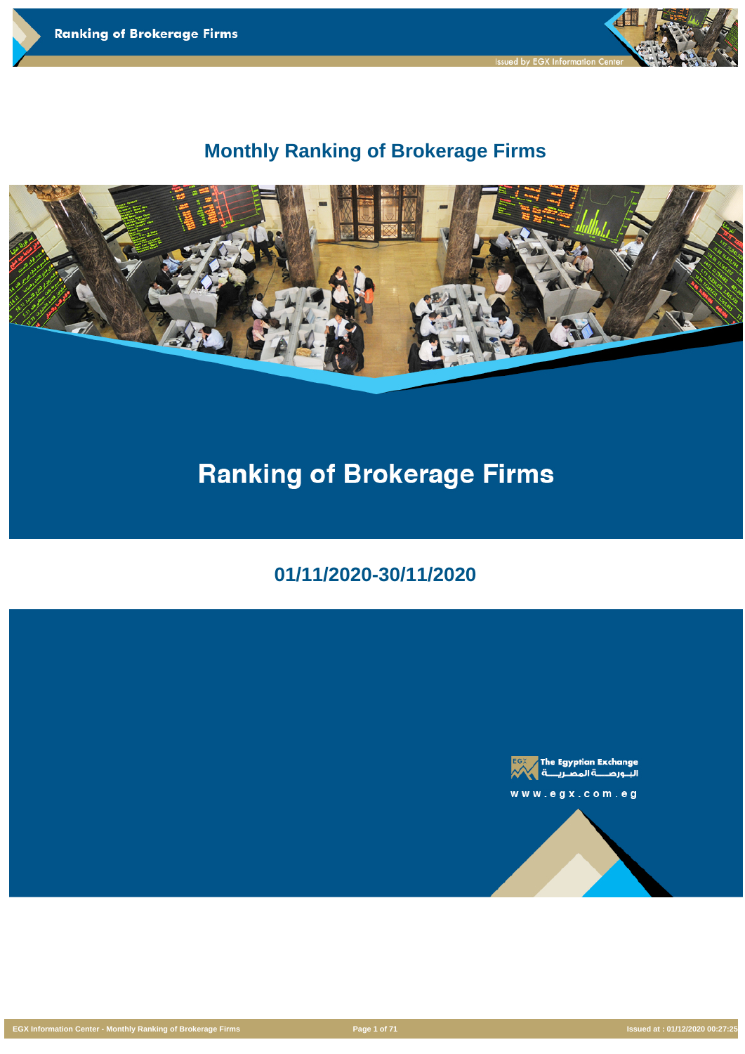

# **Monthly Ranking of Brokerage Firms**



# **Ranking of Brokerage Firms**

**01/11/2020-30/11/2020**





 $w$   $w$   $w$  .  $e$   $g$   $x$  .  $c$   $o$   $m$  .  $e$   $g$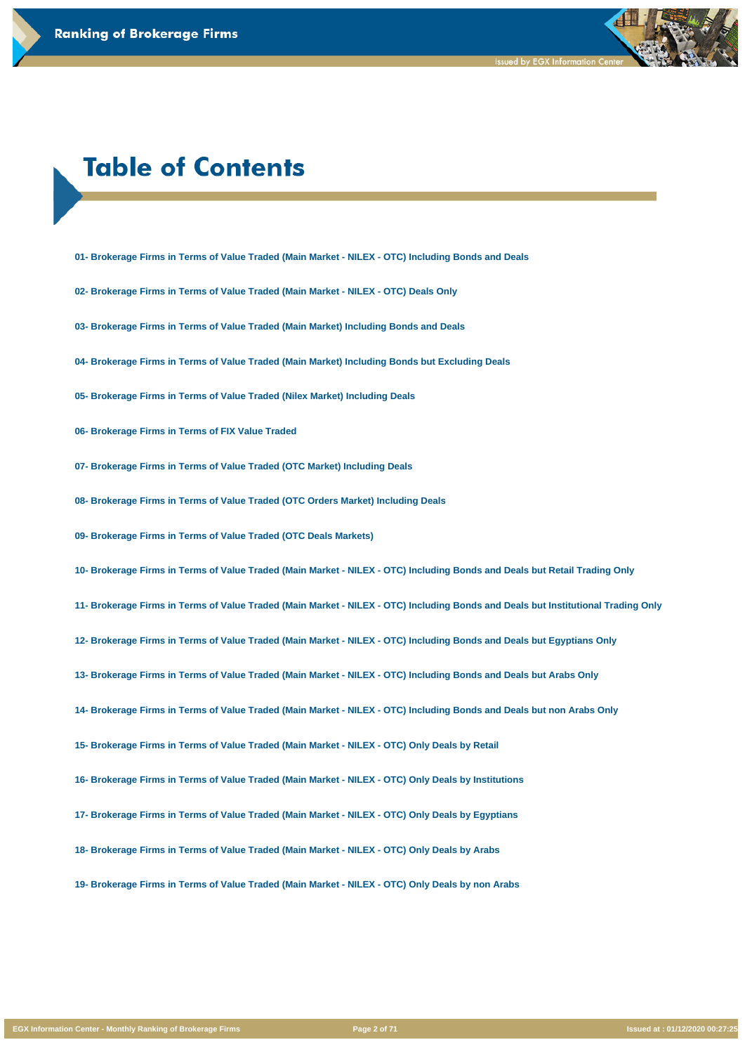# **Table of Contents**

- **01- Brokerage Firms in Terms of Value Traded (Main Market NILEX OTC) Including Bonds and Deals**
- **02- Brokerage Firms in Terms of Value Traded (Main Market NILEX OTC) Deals Only**
- **03- Brokerage Firms in Terms of Value Traded (Main Market) Including Bonds and Deals**
- **04- Brokerage Firms in Terms of Value Traded (Main Market) Including Bonds but Excluding Deals**
- **05- Brokerage Firms in Terms of Value Traded (Nilex Market) Including Deals**
- **06- Brokerage Firms in Terms of FIX Value Traded**
- **07- Brokerage Firms in Terms of Value Traded (OTC Market) Including Deals**
- **08- Brokerage Firms in Terms of Value Traded (OTC Orders Market) Including Deals**
- **09- Brokerage Firms in Terms of Value Traded (OTC Deals Markets)**
- **10- Brokerage Firms in Terms of Value Traded (Main Market NILEX OTC) Including Bonds and Deals but Retail Trading Only**
- **11- Brokerage Firms in Terms of Value Traded (Main Market NILEX OTC) Including Bonds and Deals but Institutional Trading Only**
- **12- Brokerage Firms in Terms of Value Traded (Main Market NILEX OTC) Including Bonds and Deals but Egyptians Only**
- **13- Brokerage Firms in Terms of Value Traded (Main Market NILEX OTC) Including Bonds and Deals but Arabs Only**
- **14- Brokerage Firms in Terms of Value Traded (Main Market NILEX OTC) Including Bonds and Deals but non Arabs Only**
- **15- Brokerage Firms in Terms of Value Traded (Main Market NILEX OTC) Only Deals by Retail**

**16- Brokerage Firms in Terms of Value Traded (Main Market - NILEX - OTC) Only Deals by Institutions**

**17- Brokerage Firms in Terms of Value Traded (Main Market - NILEX - OTC) Only Deals by Egyptians**

**18- Brokerage Firms in Terms of Value Traded (Main Market - NILEX - OTC) Only Deals by Arabs**

**19- Brokerage Firms in Terms of Value Traded (Main Market - NILEX - OTC) Only Deals by non Arabs**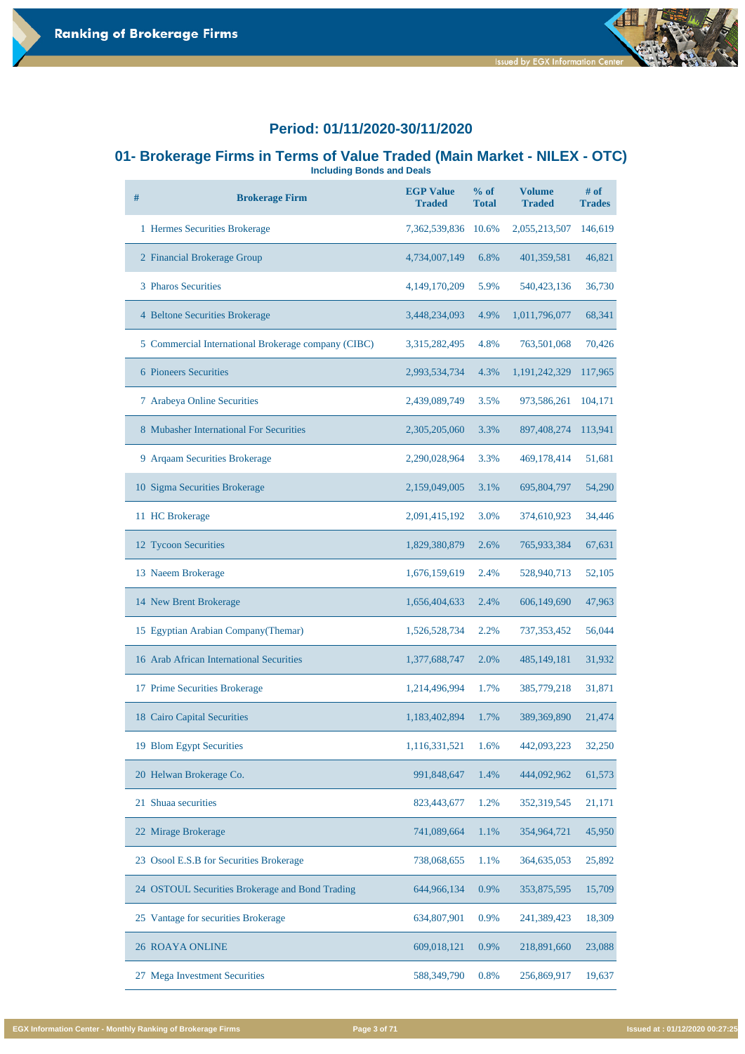**Including Bonds and Deals # Brokerage Firm EGP Value Traded % of Total Volume Traded # of Trades** Hermes Securities Brokerage 7,362,539,836 10.6% 2,055,213,507 146,619 Financial Brokerage Group 4,734,007,149 6.8% 401,359,581 46,821 Pharos Securities 4,149,170,209 5.9% 540,423,136 36,730 Beltone Securities Brokerage 3,448,234,093 4.9% 1,011,796,077 68,341 Commercial International Brokerage company (CIBC) 3,315,282,495 4.8% 763,501,068 70,426 Pioneers Securities 2,993,534,734 4.3% 1,191,242,329 117,965 Arabeya Online Securities 2,439,089,749 3.5% 973,586,261 104,171 Mubasher International For Securities 2,305,205,060 3.3% 897,408,274 113,941 Arqaam Securities Brokerage 2,290,028,964 3.3% 469,178,414 51,681 Sigma Securities Brokerage 2,159,049,005 3.1% 695,804,797 54,290 HC Brokerage 2,091,415,192 3.0% 374,610,923 34,446 Tycoon Securities 1,829,380,879 2.6% 765,933,384 67,631 Naeem Brokerage 1,676,159,619 2.4% 528,940,713 52,105 14 New Brent Brokerage 1,656,404,633 2.4% 606,149,690 47,963



#### **Period: 01/11/2020-30/11/2020**

# **01- Brokerage Firms in Terms of Value Traded (Main Market - NILEX - OTC)**

- 
- Egyptian Arabian Company(Themar) 1,526,528,734 2.2% 737,353,452 56,044 Arab African International Securities 1,377,688,747 2.0% 485,149,181 31,932

Prime Securities Brokerage 1,214,496,994 1.7% 385,779,218 31,871

Cairo Capital Securities 1,183,402,894 1.7% 389,369,890 21,474

Blom Egypt Securities 1,116,331,521 1.6% 442,093,223 32,250

| 20 Helwan Brokerage Co.                         | 991,848,647 | 1.4% | 444,092,962 | 61,573 |
|-------------------------------------------------|-------------|------|-------------|--------|
| Shuaa securities<br>21                          | 823,443,677 | 1.2% | 352,319,545 | 21,171 |
| 22 Mirage Brokerage                             | 741,089,664 | 1.1% | 354,964,721 | 45,950 |
| 23 Osool E.S.B for Securities Brokerage         | 738,068,655 | 1.1% | 364,635,053 | 25,892 |
| 24 OSTOUL Securities Brokerage and Bond Trading | 644,966,134 | 0.9% | 353,875,595 | 15,709 |
| 25 Vantage for securities Brokerage             | 634,807,901 | 0.9% | 241,389,423 | 18,309 |
| <b>26 ROAYA ONLINE</b>                          | 609,018,121 | 0.9% | 218,891,660 | 23,088 |
| <b>Mega Investment Securities</b><br>27         | 588,349,790 | 0.8% | 256,869,917 | 19,637 |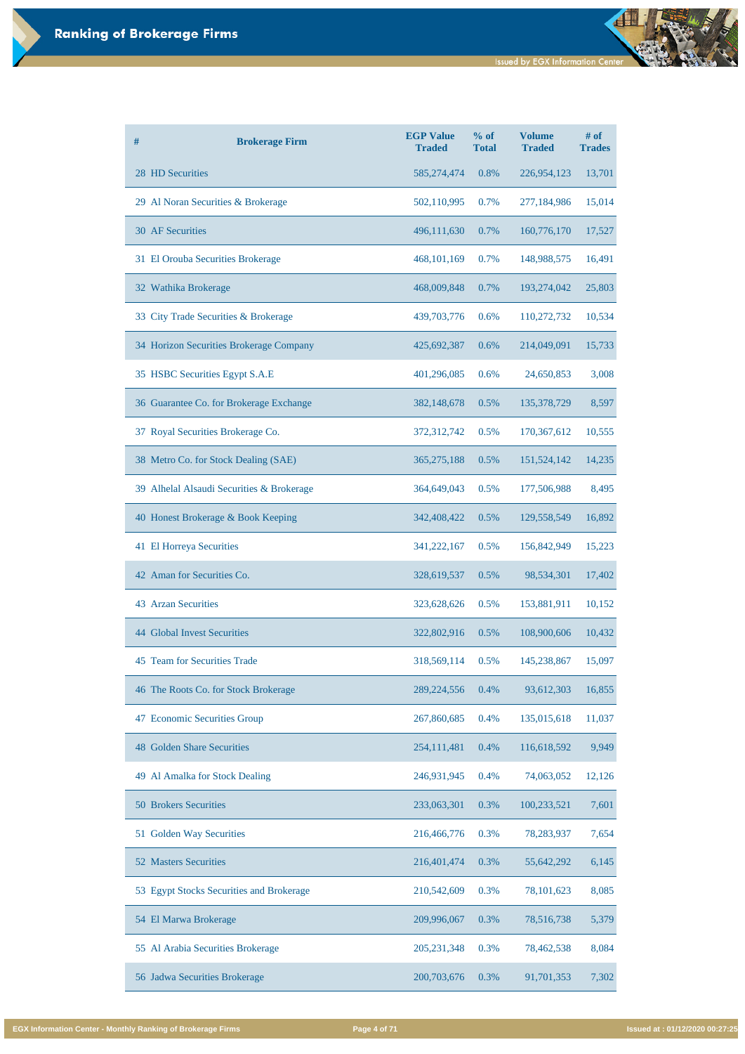| #                                         | <b>Brokerage Firm</b> | <b>EGP Value</b><br><b>Traded</b> | % of<br><b>Total</b> | <b>Volume</b><br><b>Traded</b> | # of<br><b>Trades</b> |
|-------------------------------------------|-----------------------|-----------------------------------|----------------------|--------------------------------|-----------------------|
| 28 HD Securities                          |                       | 585, 274, 474                     | 0.8%                 | 226,954,123                    | 13,701                |
| 29 Al Noran Securities & Brokerage        |                       | 502,110,995                       | 0.7%                 | 277,184,986                    | 15,014                |
| <b>30 AF Securities</b>                   |                       | 496,111,630                       | 0.7%                 | 160,776,170                    | 17,527                |
| 31 El Orouba Securities Brokerage         |                       | 468, 101, 169                     | 0.7%                 | 148,988,575                    | 16,491                |
| 32 Wathika Brokerage                      |                       | 468,009,848                       | 0.7%                 | 193,274,042                    | 25,803                |
| 33 City Trade Securities & Brokerage      |                       | 439,703,776                       | 0.6%                 | 110,272,732                    | 10,534                |
| 34 Horizon Securities Brokerage Company   |                       | 425,692,387                       | 0.6%                 | 214,049,091                    | 15,733                |
| 35 HSBC Securities Egypt S.A.E            |                       | 401,296,085                       | 0.6%                 | 24,650,853                     | 3,008                 |
| 36 Guarantee Co. for Brokerage Exchange   |                       | 382,148,678                       | 0.5%                 | 135,378,729                    | 8,597                 |
| 37 Royal Securities Brokerage Co.         |                       | 372,312,742                       | 0.5%                 | 170,367,612                    | 10,555                |
| 38 Metro Co. for Stock Dealing (SAE)      |                       | 365, 275, 188                     | 0.5%                 | 151,524,142                    | 14,235                |
| 39 Alhelal Alsaudi Securities & Brokerage |                       | 364,649,043                       | 0.5%                 | 177,506,988                    | 8,495                 |
| 40 Honest Brokerage & Book Keeping        |                       | 342,408,422                       | 0.5%                 | 129,558,549                    | 16,892                |
| 41 El Horreya Securities                  |                       | 341,222,167                       | 0.5%                 | 156,842,949                    | 15,223                |
| 42 Aman for Securities Co.                |                       | 328,619,537                       | 0.5%                 | 98,534,301                     | 17,402                |
| <b>43 Arzan Securities</b>                |                       | 323,628,626                       | 0.5%                 | 153,881,911                    | 10,152                |
| <b>44 Global Invest Securities</b>        |                       | 322,802,916                       | 0.5%                 | 108,900,606                    | 10,432                |
| 45 Team for Securities Trade              |                       | 318,569,114                       | 0.5%                 | 145,238,867                    | 15,097                |
| 46 The Roots Co. for Stock Brokerage      |                       | 289, 224, 556                     | 0.4%                 | 93,612,303                     | 16,855                |
| <b>Economic Securities Group</b><br>47    |                       | 267,860,685                       | 0.4%                 | 135,015,618                    | 11,037                |
| <b>48 Golden Share Securities</b>         |                       | 254, 111, 481                     | 0.4%                 | 116,618,592                    | 9,949                 |

| Al Amalka for Stock Dealing<br>49        | 246,931,945   | 0.4%    | 74,063,052   | 12,126 |
|------------------------------------------|---------------|---------|--------------|--------|
| <b>50 Brokers Securities</b>             | 233,063,301   | $0.3\%$ | 100,233,521  | 7,601  |
| 51 Golden Way Securities                 | 216,466,776   | 0.3%    | 78,283,937   | 7,654  |
| <b>52 Masters Securities</b>             | 216,401,474   | 0.3%    | 55,642,292   | 6,145  |
| 53 Egypt Stocks Securities and Brokerage | 210,542,609   | 0.3%    | 78, 101, 623 | 8,085  |
| 54 El Marwa Brokerage                    | 209,996,067   | 0.3%    | 78,516,738   | 5,379  |
| 55 Al Arabia Securities Brokerage        | 205, 231, 348 | 0.3%    | 78,462,538   | 8,084  |
| 56 Jadwa Securities Brokerage            | 200,703,676   | 0.3%    | 91,701,353   | 7,302  |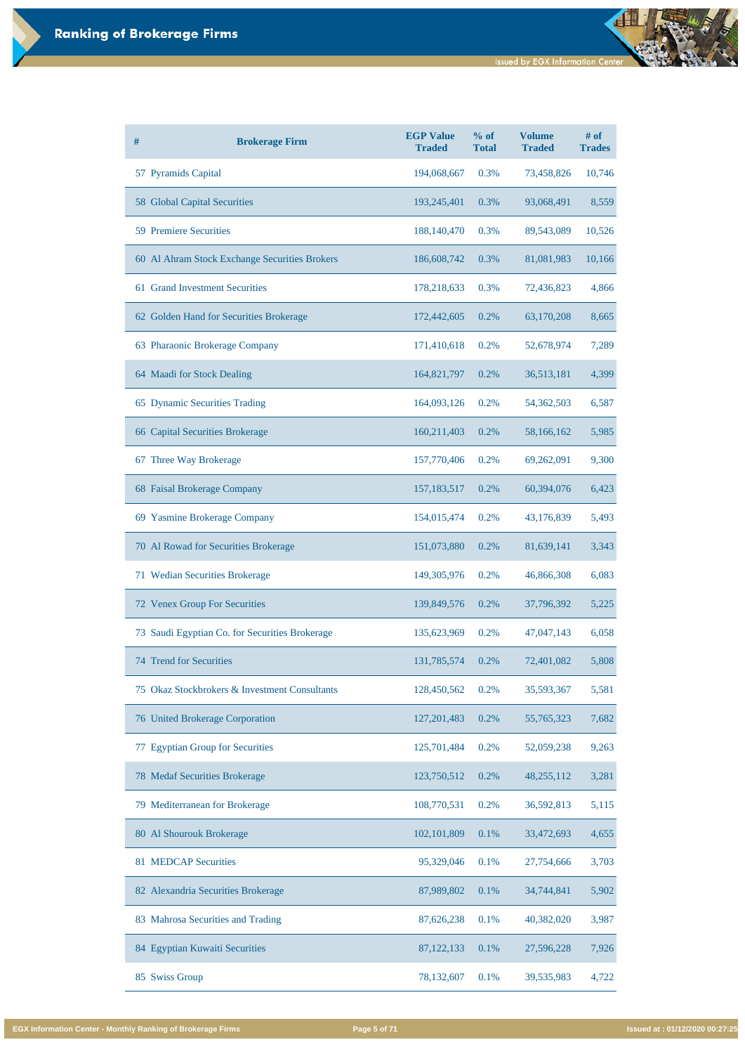| # | <b>Brokerage Firm</b>                          | <b>EGP Value</b><br><b>Traded</b> | $%$ of<br><b>Total</b> | <b>Volume</b><br><b>Traded</b> | $#$ of<br><b>Trades</b> |
|---|------------------------------------------------|-----------------------------------|------------------------|--------------------------------|-------------------------|
|   | 57 Pyramids Capital                            | 194,068,667                       | 0.3%                   | 73,458,826                     | 10,746                  |
|   | 58 Global Capital Securities                   | 193,245,401                       | 0.3%                   | 93,068,491                     | 8,559                   |
|   | <b>59 Premiere Securities</b>                  | 188, 140, 470                     | 0.3%                   | 89,543,089                     | 10,526                  |
|   | 60 Al Ahram Stock Exchange Securities Brokers  | 186,608,742                       | 0.3%                   | 81,081,983                     | 10,166                  |
|   | 61 Grand Investment Securities                 | 178,218,633                       | 0.3%                   | 72,436,823                     | 4,866                   |
|   | 62 Golden Hand for Securities Brokerage        | 172,442,605                       | 0.2%                   | 63,170,208                     | 8,665                   |
|   | 63 Pharaonic Brokerage Company                 | 171,410,618                       | 0.2%                   | 52,678,974                     | 7,289                   |
|   | 64 Maadi for Stock Dealing                     | 164,821,797                       | 0.2%                   | 36,513,181                     | 4,399                   |
|   | 65 Dynamic Securities Trading                  | 164,093,126                       | 0.2%                   | 54,362,503                     | 6,587                   |
|   | 66 Capital Securities Brokerage                | 160,211,403                       | 0.2%                   | 58,166,162                     | 5,985                   |
|   | 67 Three Way Brokerage                         | 157,770,406                       | 0.2%                   | 69,262,091                     | 9,300                   |
|   | 68 Faisal Brokerage Company                    | 157, 183, 517                     | 0.2%                   | 60,394,076                     | 6,423                   |
|   | 69 Yasmine Brokerage Company                   | 154,015,474                       | 0.2%                   | 43,176,839                     | 5,493                   |
|   | 70 Al Rowad for Securities Brokerage           | 151,073,880                       | 0.2%                   | 81,639,141                     | 3,343                   |
|   | 71 Wedian Securities Brokerage                 | 149,305,976                       | 0.2%                   | 46,866,308                     | 6,083                   |
|   | 72 Venex Group For Securities                  | 139,849,576                       | 0.2%                   | 37,796,392                     | 5,225                   |
|   | 73 Saudi Egyptian Co. for Securities Brokerage | 135,623,969                       | 0.2%                   | 47,047,143                     | 6,058                   |
|   | 74 Trend for Securities                        | 131,785,574                       | 0.2%                   | 72,401,082                     | 5,808                   |
|   | 75 Okaz Stockbrokers & Investment Consultants  | 128,450,562                       | 0.2%                   | 35,593,367                     | 5,581                   |
|   | <b>76 United Brokerage Corporation</b>         | 127, 201, 483                     | 0.2%                   | 55,765,323                     | 7,682                   |
|   | <b>Egyptian Group for Securities</b>           | 125,701,484                       | 0.2%                   | 52,059,238                     | 9,263                   |

| 78 Medaf Securities Brokerage      | 123,750,512   | 0.2%    | 48,255,112 | 3,281 |
|------------------------------------|---------------|---------|------------|-------|
| 79 Mediterranean for Brokerage     | 108,770,531   | $0.2\%$ | 36,592,813 | 5,115 |
| 80 Al Shourouk Brokerage           | 102, 101, 809 | 0.1%    | 33,472,693 | 4,655 |
| <b>81 MEDCAP Securities</b>        | 95,329,046    | $0.1\%$ | 27,754,666 | 3,703 |
| 82 Alexandria Securities Brokerage | 87,989,802    | 0.1%    | 34,744,841 | 5,902 |
| 83 Mahrosa Securities and Trading  | 87,626,238    | 0.1%    | 40,382,020 | 3,987 |
| 84 Egyptian Kuwaiti Securities     | 87, 122, 133  | $0.1\%$ | 27,596,228 | 7,926 |
| 85<br><b>Swiss Group</b>           | 78,132,607    | $0.1\%$ | 39,535,983 | 4,722 |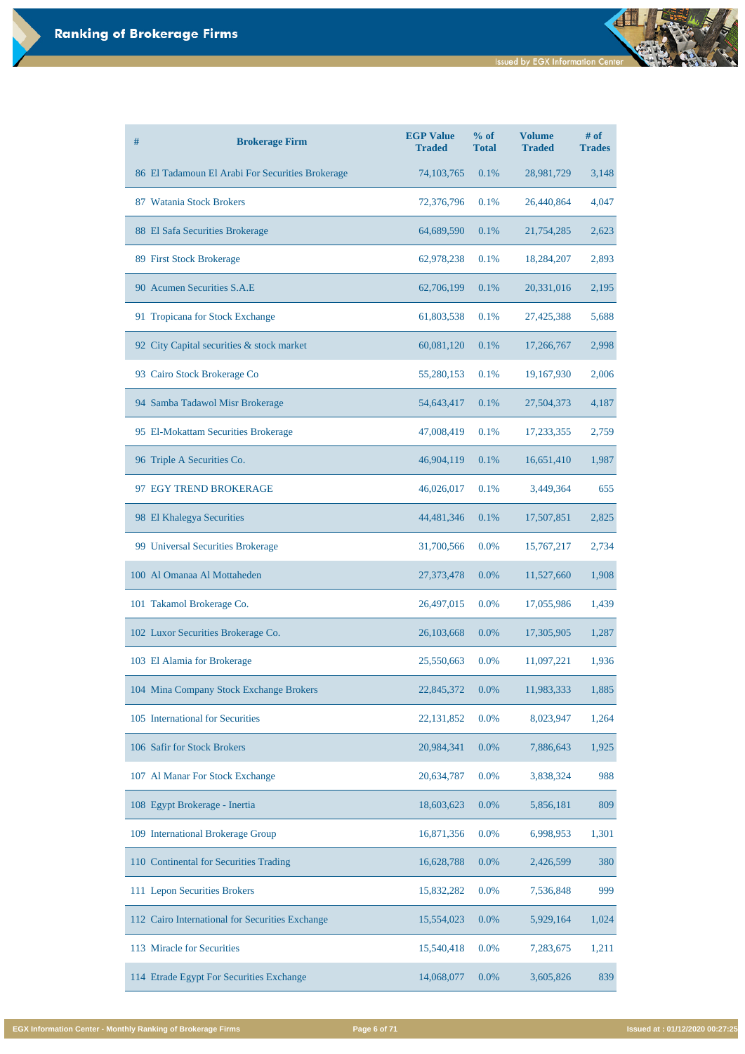| # | <b>Brokerage Firm</b>                            | <b>EGP Value</b><br><b>Traded</b> | % of<br><b>Total</b> | <b>Volume</b><br><b>Traded</b> | $#$ of<br><b>Trades</b> |
|---|--------------------------------------------------|-----------------------------------|----------------------|--------------------------------|-------------------------|
|   | 86 El Tadamoun El Arabi For Securities Brokerage | 74, 103, 765                      | 0.1%                 | 28,981,729                     | 3,148                   |
|   | 87 Watania Stock Brokers                         | 72,376,796                        | 0.1%                 | 26,440,864                     | 4,047                   |
|   | 88 El Safa Securities Brokerage                  | 64,689,590                        | 0.1%                 | 21,754,285                     | 2,623                   |
|   | 89 First Stock Brokerage                         | 62,978,238                        | 0.1%                 | 18,284,207                     | 2,893                   |
|   | 90 Acumen Securities S.A.E                       | 62,706,199                        | 0.1%                 | 20,331,016                     | 2,195                   |
|   | 91 Tropicana for Stock Exchange                  | 61,803,538                        | 0.1%                 | 27,425,388                     | 5,688                   |
|   | 92 City Capital securities & stock market        | 60,081,120                        | 0.1%                 | 17,266,767                     | 2,998                   |
|   | 93 Cairo Stock Brokerage Co                      | 55,280,153                        | 0.1%                 | 19,167,930                     | 2,006                   |
|   | 94 Samba Tadawol Misr Brokerage                  | 54,643,417                        | 0.1%                 | 27,504,373                     | 4,187                   |
|   | 95 El-Mokattam Securities Brokerage              | 47,008,419                        | 0.1%                 | 17,233,355                     | 2,759                   |
|   | 96 Triple A Securities Co.                       | 46,904,119                        | 0.1%                 | 16,651,410                     | 1,987                   |
|   | 97 EGY TREND BROKERAGE                           | 46,026,017                        | 0.1%                 | 3,449,364                      | 655                     |
|   | 98 El Khalegya Securities                        | 44,481,346                        | 0.1%                 | 17,507,851                     | 2,825                   |
|   | 99 Universal Securities Brokerage                | 31,700,566                        | 0.0%                 | 15,767,217                     | 2,734                   |
|   | 100 Al Omanaa Al Mottaheden                      | 27,373,478                        | 0.0%                 | 11,527,660                     | 1,908                   |
|   | 101 Takamol Brokerage Co.                        | 26,497,015                        | 0.0%                 | 17,055,986                     | 1,439                   |
|   | 102 Luxor Securities Brokerage Co.               | 26,103,668                        | 0.0%                 | 17,305,905                     | 1,287                   |
|   | 103 El Alamia for Brokerage                      | 25,550,663                        | 0.0%                 | 11,097,221                     | 1,936                   |
|   | 104 Mina Company Stock Exchange Brokers          | 22,845,372                        | 0.0%                 | 11,983,333                     | 1,885                   |
|   | 105 International for Securities                 | 22, 131, 852                      | 0.0%                 | 8,023,947                      | 1,264                   |
|   | 106 Safir for Stock Brokers                      | 20,984,341                        | 0.0%                 | 7,886,643                      | 1,925                   |

| 107 Al Manar For Stock Exchange                 | 20,634,787 | $0.0\%$ | 3,838,324 | 988   |
|-------------------------------------------------|------------|---------|-----------|-------|
| 108 Egypt Brokerage - Inertia                   | 18,603,623 | $0.0\%$ | 5,856,181 | 809   |
| 109 International Brokerage Group               | 16,871,356 | $0.0\%$ | 6,998,953 | 1,301 |
| 110 Continental for Securities Trading          | 16,628,788 | $0.0\%$ | 2,426,599 | 380   |
| 111 Lepon Securities Brokers                    | 15,832,282 | $0.0\%$ | 7,536,848 | 999   |
| 112 Cairo International for Securities Exchange | 15,554,023 | $0.0\%$ | 5,929,164 | 1,024 |
| 113 Miracle for Securities                      | 15,540,418 | $0.0\%$ | 7,283,675 | 1,211 |
| 114 Etrade Egypt For Securities Exchange        | 14,068,077 | $0.0\%$ | 3,605,826 | 839   |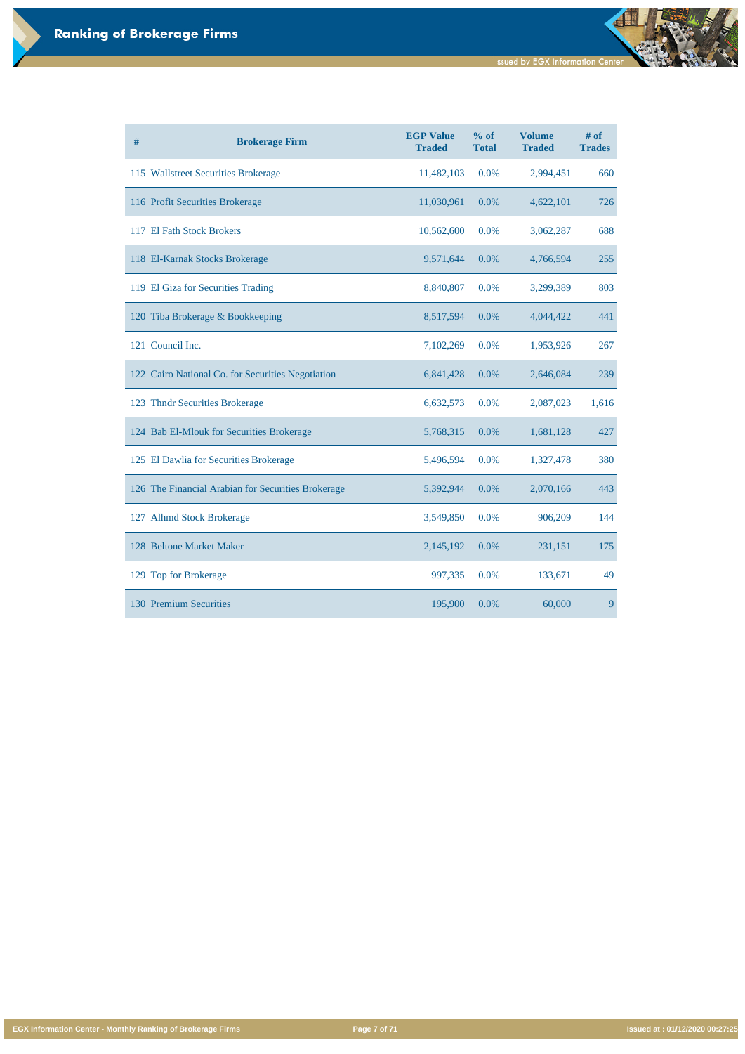**Issued by EGX Information Center** 

đ

**EGX Information Center - Monthly Ranking of Brokerage Firms Page 7 of 71 Issued at : 01/12/2020 00:27:25**

| # | <b>Brokerage Firm</b>                              | <b>EGP Value</b><br><b>Traded</b> | $%$ of<br><b>Total</b> | <b>Volume</b><br><b>Traded</b> | # of<br><b>Trades</b> |
|---|----------------------------------------------------|-----------------------------------|------------------------|--------------------------------|-----------------------|
|   | 115 Wallstreet Securities Brokerage                | 11,482,103                        | 0.0%                   | 2,994,451                      | 660                   |
|   | 116 Profit Securities Brokerage                    | 11,030,961                        | 0.0%                   | 4,622,101                      | 726                   |
|   | 117 El Fath Stock Brokers                          | 10,562,600                        | 0.0%                   | 3,062,287                      | 688                   |
|   | 118 El-Karnak Stocks Brokerage                     | 9,571,644                         | 0.0%                   | 4,766,594                      | 255                   |
|   | 119 El Giza for Securities Trading                 | 8,840,807                         | 0.0%                   | 3,299,389                      | 803                   |
|   | 120 Tiba Brokerage & Bookkeeping                   | 8,517,594                         | $0.0\%$                | 4,044,422                      | 441                   |
|   | 121 Council Inc.                                   | 7,102,269                         | 0.0%                   | 1,953,926                      | 267                   |
|   | 122 Cairo National Co. for Securities Negotiation  | 6,841,428                         | $0.0\%$                | 2,646,084                      | 239                   |
|   | 123 Thndr Securities Brokerage                     | 6,632,573                         | 0.0%                   | 2,087,023                      | 1,616                 |
|   | 124 Bab El-Mlouk for Securities Brokerage          | 5,768,315                         | 0.0%                   | 1,681,128                      | 427                   |
|   | 125 El Dawlia for Securities Brokerage             | 5,496,594                         | 0.0%                   | 1,327,478                      | 380                   |
|   | 126 The Financial Arabian for Securities Brokerage | 5,392,944                         | 0.0%                   | 2,070,166                      | 443                   |
|   | 127 Alhmd Stock Brokerage                          | 3,549,850                         | 0.0%                   | 906,209                        | 144                   |
|   | 128 Beltone Market Maker                           | 2,145,192                         | 0.0%                   | 231,151                        | 175                   |
|   | 129 Top for Brokerage                              | 997,335                           | 0.0%                   | 133,671                        | 49                    |
|   | 130 Premium Securities                             | 195,900                           | 0.0%                   | 60,000                         | 9                     |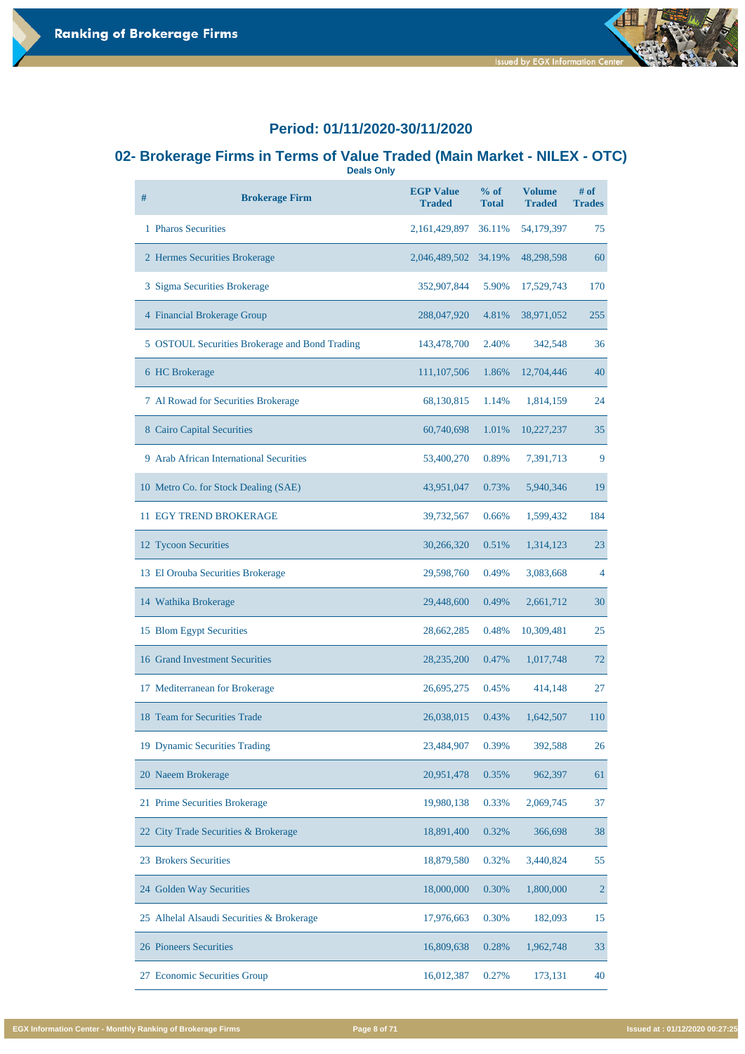#### **02- Brokerage Firms in Terms of Value Traded (Main Market - NILEX - OTC) Deals Only**

| # | <b>Brokerage Firm</b>                          | <b>EGP Value</b><br><b>Traded</b> | $%$ of<br><b>Total</b> | <b>Volume</b><br><b>Traded</b> | $#$ of<br><b>Trades</b> |
|---|------------------------------------------------|-----------------------------------|------------------------|--------------------------------|-------------------------|
|   | 1 Pharos Securities                            | 2, 161, 429, 897                  | 36.11%                 | 54,179,397                     | 75                      |
|   | 2 Hermes Securities Brokerage                  | 2,046,489,502                     | 34.19%                 | 48,298,598                     | 60                      |
|   | 3 Sigma Securities Brokerage                   | 352,907,844                       | 5.90%                  | 17,529,743                     | 170                     |
|   | 4 Financial Brokerage Group                    | 288,047,920                       | 4.81%                  | 38,971,052                     | 255                     |
|   | 5 OSTOUL Securities Brokerage and Bond Trading | 143,478,700                       | 2.40%                  | 342,548                        | 36                      |
|   | 6 HC Brokerage                                 | 111,107,506                       | 1.86%                  | 12,704,446                     | 40                      |
|   | 7 Al Rowad for Securities Brokerage            | 68,130,815                        | 1.14%                  | 1,814,159                      | 24                      |
|   | 8 Cairo Capital Securities                     | 60,740,698                        | 1.01%                  | 10,227,237                     | 35                      |
|   | 9 Arab African International Securities        | 53,400,270                        | 0.89%                  | 7,391,713                      | 9                       |
|   | 10 Metro Co. for Stock Dealing (SAE)           | 43,951,047                        | 0.73%                  | 5,940,346                      | 19                      |
|   | <b>11 EGY TREND BROKERAGE</b>                  | 39,732,567                        | 0.66%                  | 1,599,432                      | 184                     |
|   | 12 Tycoon Securities                           | 30,266,320                        | 0.51%                  | 1,314,123                      | 23                      |
|   | 13 El Orouba Securities Brokerage              | 29,598,760                        | 0.49%                  | 3,083,668                      | $\overline{4}$          |
|   | 14 Wathika Brokerage                           | 29,448,600                        | 0.49%                  | 2,661,712                      | 30                      |
|   | 15 Blom Egypt Securities                       | 28,662,285                        | 0.48%                  | 10,309,481                     | 25                      |
|   | 16 Grand Investment Securities                 | 28,235,200                        | 0.47%                  | 1,017,748                      | 72                      |
|   | 17 Mediterranean for Brokerage                 | 26,695,275                        | 0.45%                  | 414,148                        | 27                      |
|   | 18 Team for Securities Trade                   | 26,038,015                        | 0.43%                  | 1,642,507                      | 110                     |
|   | 19 Dynamic Securities Trading                  | 23,484,907                        | 0.39%                  | 392,588                        | 26                      |

| 20 Naeem Brokerage                        | 20,951,478 | 0.35% | 962,397   | 61             |
|-------------------------------------------|------------|-------|-----------|----------------|
| 21 Prime Securities Brokerage             | 19,980,138 | 0.33% | 2,069,745 | 37             |
| 22 City Trade Securities & Brokerage      | 18,891,400 | 0.32% | 366,698   | 38             |
| 23 Brokers Securities                     | 18,879,580 | 0.32% | 3,440,824 | 55             |
| 24 Golden Way Securities                  | 18,000,000 | 0.30% | 1,800,000 | $\overline{2}$ |
| 25 Alhelal Alsaudi Securities & Brokerage | 17,976,663 | 0.30% | 182,093   | 15             |
| 26 Pioneers Securities                    | 16,809,638 | 0.28% | 1,962,748 | 33             |
| <b>Economic Securities Group</b><br>27    | 16,012,387 | 0.27% | 173,131   | 40             |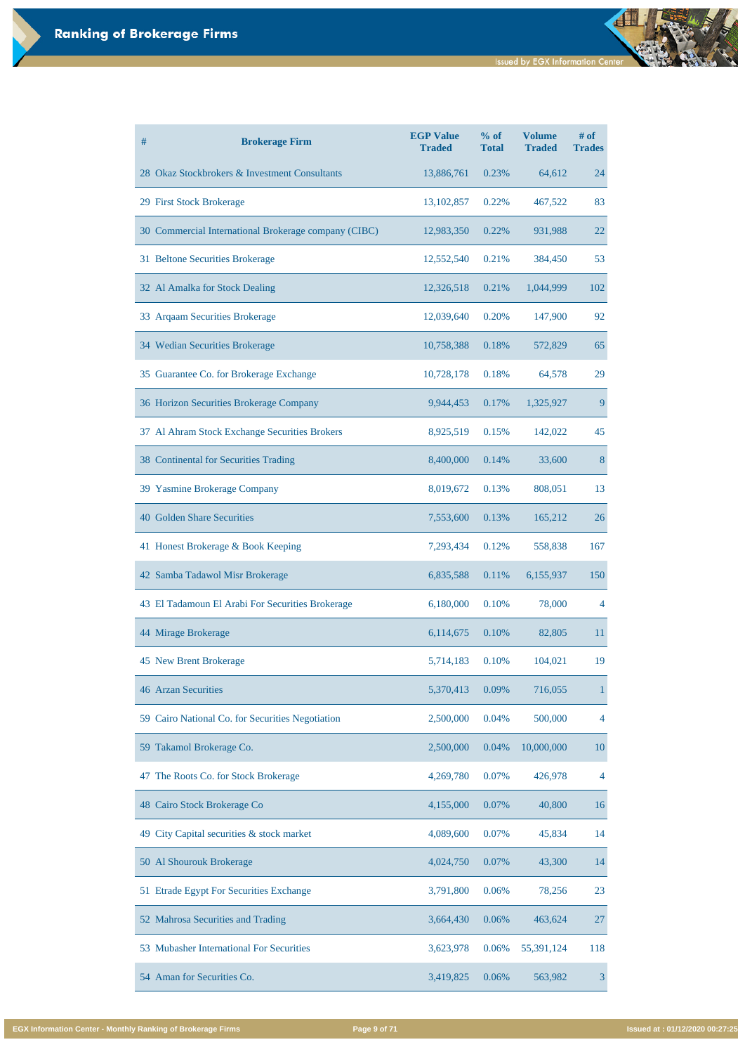**Issued by EGX Information Center** 

| #<br><b>Brokerage Firm</b>                           | <b>EGP Value</b><br><b>Traded</b> | % of<br><b>Total</b> | <b>Volume</b><br><b>Traded</b> | # of<br><b>Trades</b> |
|------------------------------------------------------|-----------------------------------|----------------------|--------------------------------|-----------------------|
| 28 Okaz Stockbrokers & Investment Consultants        | 13,886,761                        | 0.23%                | 64,612                         | 24                    |
| 29 First Stock Brokerage                             | 13, 102, 857                      | 0.22%                | 467,522                        | 83                    |
| 30 Commercial International Brokerage company (CIBC) | 12,983,350                        | 0.22%                | 931,988                        | 22                    |
| 31 Beltone Securities Brokerage                      | 12,552,540                        | 0.21%                | 384,450                        | 53                    |
| 32 Al Amalka for Stock Dealing                       | 12,326,518                        | 0.21%                | 1,044,999                      | 102                   |
| 33 Arqaam Securities Brokerage                       | 12,039,640                        | 0.20%                | 147,900                        | 92                    |
| 34 Wedian Securities Brokerage                       | 10,758,388                        | 0.18%                | 572,829                        | 65                    |
| 35 Guarantee Co. for Brokerage Exchange              | 10,728,178                        | 0.18%                | 64,578                         | 29                    |
| 36 Horizon Securities Brokerage Company              | 9,944,453                         | 0.17%                | 1,325,927                      | 9                     |
| 37 Al Ahram Stock Exchange Securities Brokers        | 8,925,519                         | 0.15%                | 142,022                        | 45                    |
| <b>38 Continental for Securities Trading</b>         | 8,400,000                         | 0.14%                | 33,600                         | 8                     |
| 39 Yasmine Brokerage Company                         | 8,019,672                         | 0.13%                | 808,051                        | 13                    |
| <b>40 Golden Share Securities</b>                    | 7,553,600                         | 0.13%                | 165,212                        | 26                    |
| 41 Honest Brokerage & Book Keeping                   | 7,293,434                         | 0.12%                | 558,838                        | 167                   |
| 42 Samba Tadawol Misr Brokerage                      | 6,835,588                         | 0.11%                | 6,155,937                      | 150                   |
| 43 El Tadamoun El Arabi For Securities Brokerage     | 6,180,000                         | 0.10%                | 78,000                         | 4                     |
| 44 Mirage Brokerage                                  | 6,114,675                         | 0.10%                | 82,805                         | 11                    |
| 45 New Brent Brokerage                               | 5,714,183                         | 0.10%                | 104,021                        | 19                    |
| <b>46 Arzan Securities</b>                           | 5,370,413                         | 0.09%                | 716,055                        | 1                     |
| 59 Cairo National Co. for Securities Negotiation     | 2,500,000                         | 0.04%                | 500,000                        | 4                     |
| 59 Takamol Brokerage Co.                             | 2,500,000                         | 0.04%                | 10,000,000                     | 10                    |
| 47 The Roots Co. for Stock Brokerage                 | 4,269,780                         | 0.07%                | 426,978                        | 4                     |
| 48 Cairo Stock Brokerage Co                          | 4,155,000                         | 0.07%                | 40,800                         | 16                    |
| 49 City Capital securities & stock market            | 4,089,600                         | 0.07%                | 45,834                         | 14                    |
| 50 Al Shourouk Brokerage                             | 4,024,750                         | 0.07%                | 43,300                         | 14                    |
| 51 Etrade Egypt For Securities Exchange              | 3,791,800                         | 0.06%                | 78,256                         | 23                    |
| 52 Mahrosa Securities and Trading                    | 3,664,430                         | 0.06%                | 463,624                        | 27                    |
| 53 Mubasher International For Securities             | 3,623,978                         | 0.06%                | 55,391,124                     | 118                   |
| 54 Aman for Securities Co.                           | 3,419,825                         | 0.06%                | 563,982                        | $\mathfrak{Z}$        |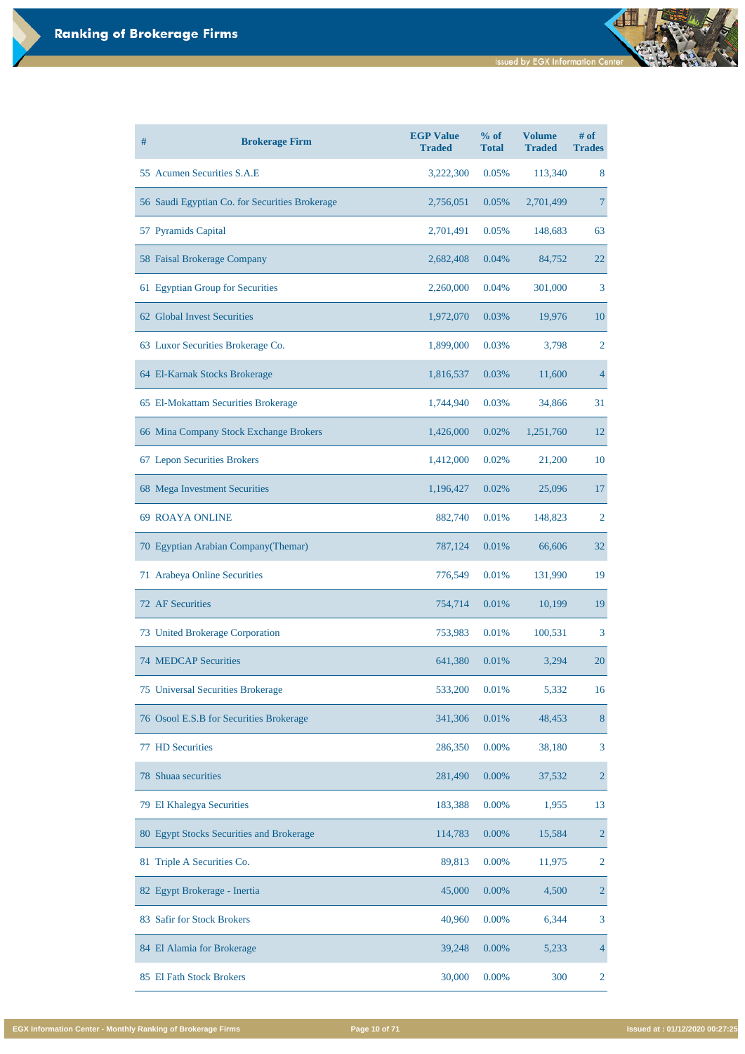| # | <b>Brokerage Firm</b>                          | <b>EGP Value</b><br><b>Traded</b> | % of<br><b>Total</b> | <b>Volume</b><br><b>Traded</b> | # of<br><b>Trades</b> |
|---|------------------------------------------------|-----------------------------------|----------------------|--------------------------------|-----------------------|
|   | 55 Acumen Securities S.A.E                     | 3,222,300                         | 0.05%                | 113,340                        | 8                     |
|   | 56 Saudi Egyptian Co. for Securities Brokerage | 2,756,051                         | 0.05%                | 2,701,499                      | 7                     |
|   | 57 Pyramids Capital                            | 2,701,491                         | 0.05%                | 148,683                        | 63                    |
|   | 58 Faisal Brokerage Company                    | 2,682,408                         | 0.04%                | 84,752                         | 22                    |
|   | 61 Egyptian Group for Securities               | 2,260,000                         | 0.04%                | 301,000                        | 3                     |
|   | 62 Global Invest Securities                    | 1,972,070                         | 0.03%                | 19,976                         | 10                    |
|   | 63 Luxor Securities Brokerage Co.              | 1,899,000                         | 0.03%                | 3,798                          | $\overline{2}$        |
|   | 64 El-Karnak Stocks Brokerage                  | 1,816,537                         | 0.03%                | 11,600                         | 4                     |
|   | 65 El-Mokattam Securities Brokerage            | 1,744,940                         | 0.03%                | 34,866                         | 31                    |
|   | 66 Mina Company Stock Exchange Brokers         | 1,426,000                         | 0.02%                | 1,251,760                      | 12                    |
|   | 67 Lepon Securities Brokers                    | 1,412,000                         | 0.02%                | 21,200                         | 10                    |
|   | 68 Mega Investment Securities                  | 1,196,427                         | 0.02%                | 25,096                         | 17                    |
|   | <b>69 ROAYA ONLINE</b>                         | 882,740                           | 0.01%                | 148,823                        | 2                     |
|   | 70 Egyptian Arabian Company (Themar)           | 787,124                           | 0.01%                | 66,606                         | 32                    |
|   | 71 Arabeya Online Securities                   | 776,549                           | 0.01%                | 131,990                        | 19                    |
|   | <b>72 AF Securities</b>                        | 754,714                           | 0.01%                | 10,199                         | 19                    |
|   | 73 United Brokerage Corporation                | 753,983                           | 0.01%                | 100,531                        | 3                     |
|   | <b>74 MEDCAP Securities</b>                    | 641,380                           | 0.01%                | 3,294                          | 20                    |
|   | <b>75 Universal Securities Brokerage</b>       | 533,200                           | 0.01%                | 5,332                          | 16                    |
|   | 76 Osool E.S.B for Securities Brokerage        | 341,306                           | 0.01%                | 48,453                         | 8                     |
|   | <b>77 HD Securities</b>                        | 286,350                           | 0.00%                | 38,180                         | 3                     |

| 78 Shuaa securities                      | 281,490 | 0.00%    | 37,532 | $\overline{2}$ |
|------------------------------------------|---------|----------|--------|----------------|
| 79 El Khalegya Securities                | 183,388 | $0.00\%$ | 1,955  | 13             |
| 80 Egypt Stocks Securities and Brokerage | 114,783 | 0.00%    | 15,584 | $\overline{2}$ |
| 81 Triple A Securities Co.               | 89,813  | 0.00%    | 11,975 | 2              |
| 82 Egypt Brokerage - Inertia             | 45,000  | 0.00%    | 4,500  | $\overline{2}$ |
| 83 Safir for Stock Brokers               | 40,960  | $0.00\%$ | 6,344  | $\overline{3}$ |
| 84 El Alamia for Brokerage               | 39,248  | 0.00%    | 5,233  | $\overline{4}$ |
| 85 El Fath Stock Brokers                 | 30,000  | 0.00%    | 300    | 2              |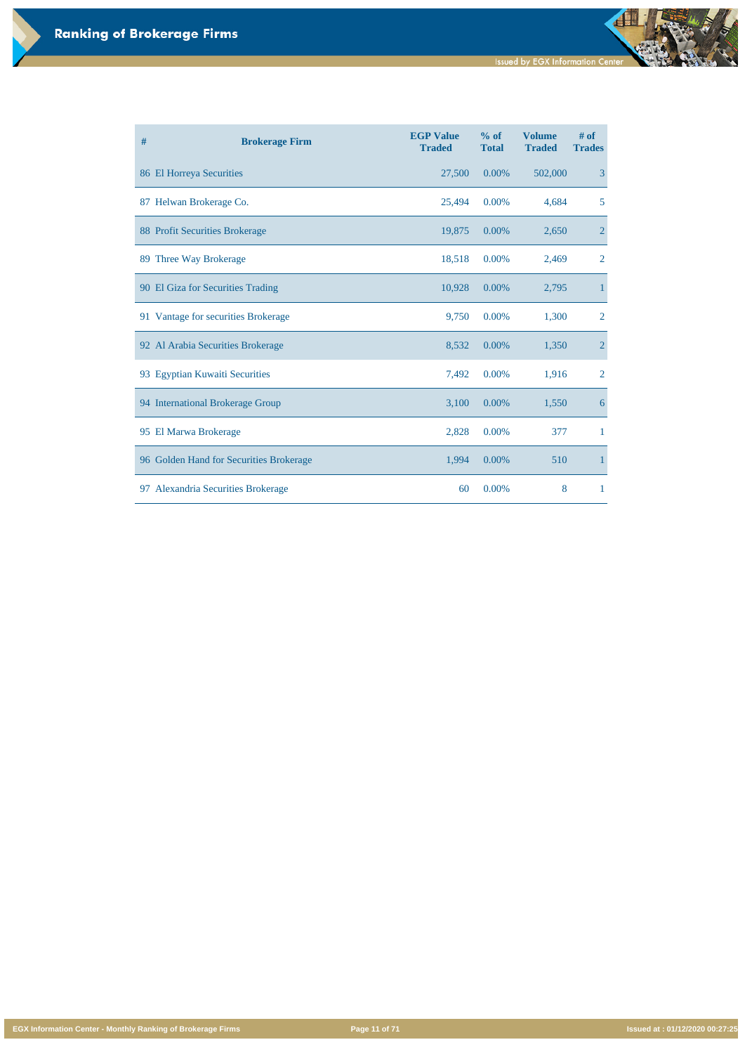**EGX Information Center - Monthly Ranking of Brokerage Firms Page 11 of 71 Issued at : 01/12/2020 00:27:25**

| # | <b>Brokerage Firm</b>                   | <b>EGP Value</b><br><b>Traded</b> | % of<br><b>Total</b> | <b>Volume</b><br><b>Traded</b> | $#$ of<br><b>Trades</b> |
|---|-----------------------------------------|-----------------------------------|----------------------|--------------------------------|-------------------------|
|   | 86 El Horreya Securities                | 27,500                            | 0.00%                | 502,000                        | 3                       |
|   | 87 Helwan Brokerage Co.                 | 25,494                            | 0.00%                | 4,684                          | 5                       |
|   | <b>88 Profit Securities Brokerage</b>   | 19,875                            | 0.00%                | 2,650                          | $\overline{2}$          |
|   | 89 Three Way Brokerage                  | 18,518                            | 0.00%                | 2,469                          | $\overline{2}$          |
|   | 90 El Giza for Securities Trading       | 10,928                            | 0.00%                | 2,795                          | $\mathbf{1}$            |
|   | 91 Vantage for securities Brokerage     | 9,750                             | 0.00%                | 1,300                          | $\overline{2}$          |
|   | 92 Al Arabia Securities Brokerage       | 8,532                             | 0.00%                | 1,350                          | $\overline{2}$          |
|   | 93 Egyptian Kuwaiti Securities          | 7,492                             | 0.00%                | 1,916                          | $\overline{2}$          |
|   | 94 International Brokerage Group        | 3,100                             | 0.00%                | 1,550                          | 6                       |
|   | 95 El Marwa Brokerage                   | 2,828                             | 0.00%                | 377                            | 1                       |
|   | 96 Golden Hand for Securities Brokerage | 1,994                             | 0.00%                | 510                            | $\mathbf{1}$            |
|   | 97 Alexandria Securities Brokerage      | 60                                | 0.00%                | 8                              | $\mathbf{1}$            |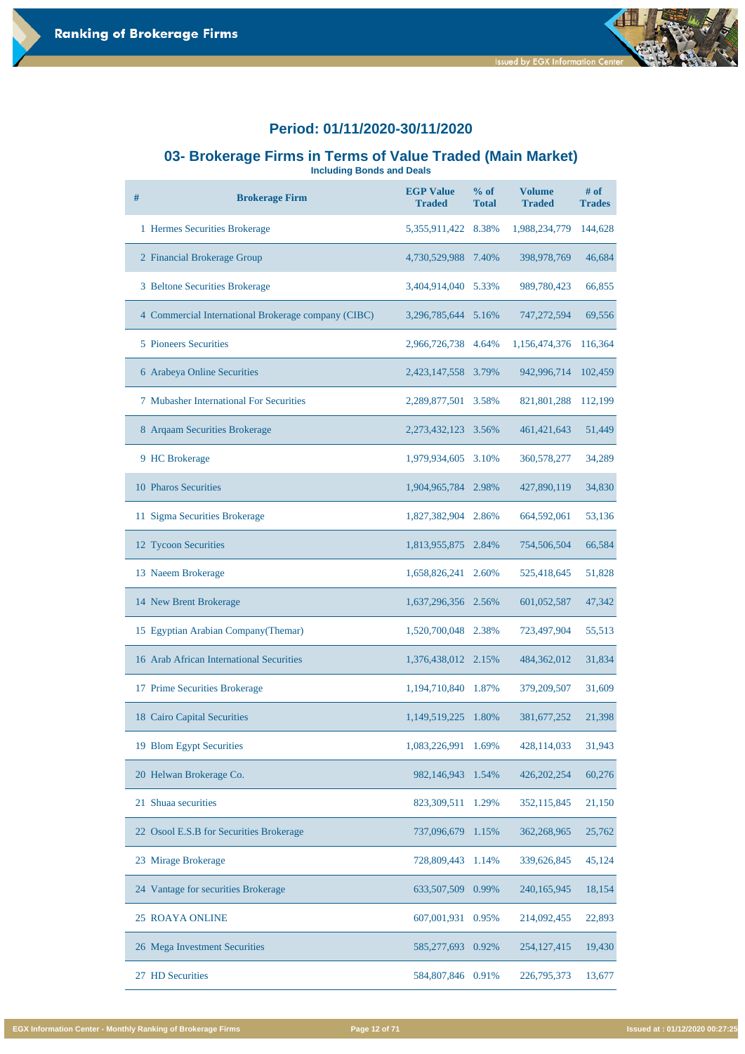#### **03- Brokerage Firms in Terms of Value Traded (Main Market)**

**Including Bonds and Deals**

| # | <b>Brokerage Firm</b>                               | <b>EGP Value</b><br><b>Traded</b> | % of<br><b>Total</b> | <b>Volume</b><br><b>Traded</b> | $#$ of<br><b>Trades</b> |
|---|-----------------------------------------------------|-----------------------------------|----------------------|--------------------------------|-------------------------|
|   | 1 Hermes Securities Brokerage                       | 5,355,911,422                     | 8.38%                | 1,988,234,779                  | 144,628                 |
|   | 2 Financial Brokerage Group                         | 4,730,529,988                     | 7.40%                | 398,978,769                    | 46,684                  |
|   | 3 Beltone Securities Brokerage                      | 3,404,914,040                     | 5.33%                | 989,780,423                    | 66,855                  |
|   | 4 Commercial International Brokerage company (CIBC) | 3,296,785,644 5.16%               |                      | 747, 272, 594                  | 69,556                  |
|   | <b>5</b> Pioneers Securities                        | 2,966,726,738                     | 4.64%                | 1,156,474,376                  | 116,364                 |
|   | 6 Arabeya Online Securities                         | 2,423,147,558                     | 3.79%                | 942,996,714                    | 102,459                 |
|   | <b>7 Mubasher International For Securities</b>      | 2,289,877,501                     | 3.58%                | 821,801,288                    | 112,199                 |
|   | 8 Argaam Securities Brokerage                       | 2, 273, 432, 123                  | 3.56%                | 461, 421, 643                  | 51,449                  |
|   | 9 HC Brokerage                                      | 1,979,934,605                     | 3.10%                | 360,578,277                    | 34,289                  |
|   | 10 Pharos Securities                                | 1,904,965,784                     | 2.98%                | 427,890,119                    | 34,830                  |
|   | 11 Sigma Securities Brokerage                       | 1,827,382,904                     | 2.86%                | 664,592,061                    | 53,136                  |
|   | 12 Tycoon Securities                                | 1,813,955,875                     | 2.84%                | 754,506,504                    | 66,584                  |
|   | 13 Naeem Brokerage                                  | 1,658,826,241                     | 2.60%                | 525,418,645                    | 51,828                  |
|   | 14 New Brent Brokerage                              | 1,637,296,356 2.56%               |                      | 601,052,587                    | 47,342                  |
|   | 15 Egyptian Arabian Company (Themar)                | 1,520,700,048                     | 2.38%                | 723,497,904                    | 55,513                  |
|   | 16 Arab African International Securities            | 1,376,438,012                     | 2.15%                | 484,362,012                    | 31,834                  |
|   | 17 Prime Securities Brokerage                       | 1,194,710,840                     | 1.87%                | 379,209,507                    | 31,609                  |
|   | 18 Cairo Capital Securities                         | 1,149,519,225                     | 1.80%                | 381, 677, 252                  | 21,398                  |
|   | 19 Blom Egypt Securities                            | 1,083,226,991                     | 1.69%                | 428,114,033                    | 31,943                  |

| 20 Helwan Brokerage Co.                 | 982,146,943 1.54%    | 426, 202, 254 | 60,276 |
|-----------------------------------------|----------------------|---------------|--------|
| 21 Shuaa securities                     | 823,309,511<br>1.29% | 352, 115, 845 | 21,150 |
| 22 Osool E.S.B for Securities Brokerage | 737,096,679 1.15%    | 362,268,965   | 25,762 |
| 23 Mirage Brokerage                     | 728,809,443<br>1.14% | 339,626,845   | 45,124 |
| 24 Vantage for securities Brokerage     | 633,507,509 0.99%    | 240,165,945   | 18,154 |
| <b>25 ROAYA ONLINE</b>                  | 607,001,931<br>0.95% | 214,092,455   | 22,893 |
| 26 Mega Investment Securities           | 585,277,693<br>0.92% | 254, 127, 415 | 19,430 |
| <b>HD</b> Securities<br>27              | 584,807,846<br>0.91% | 226,795,373   | 13,677 |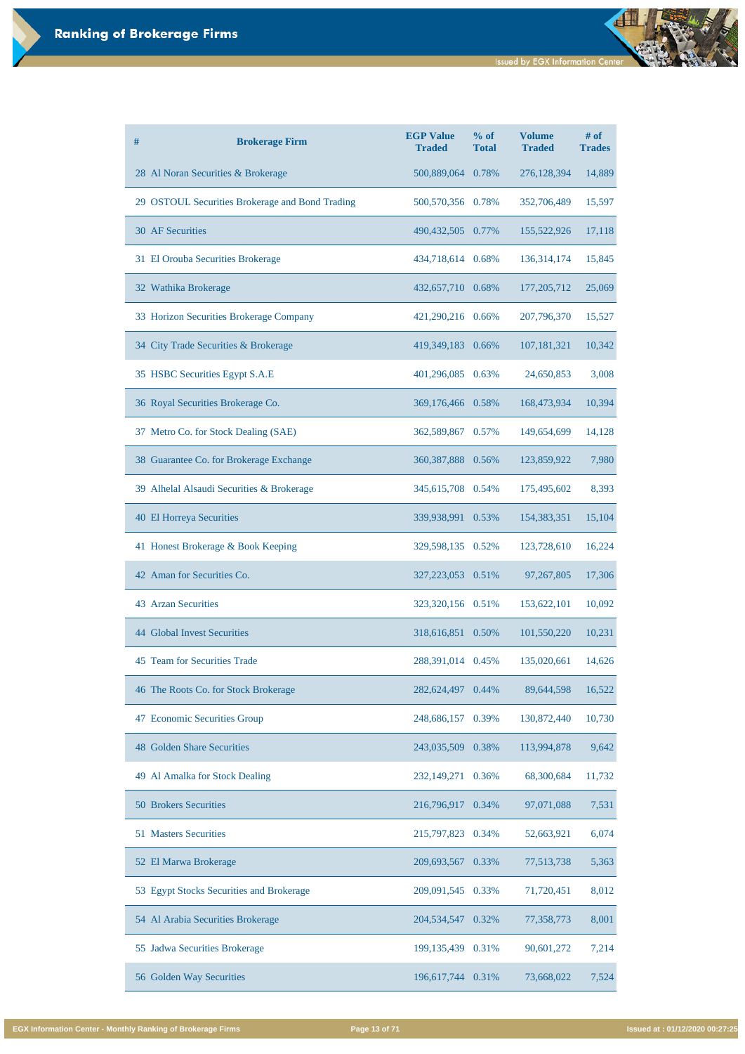**Issued by EGX Information Center** 

| # | <b>Brokerage Firm</b>                           | <b>EGP Value</b><br><b>Traded</b> | $%$ of<br><b>Total</b> | <b>Volume</b><br><b>Traded</b> | # of<br><b>Trades</b> |
|---|-------------------------------------------------|-----------------------------------|------------------------|--------------------------------|-----------------------|
|   | 28 Al Noran Securities & Brokerage              | 500,889,064                       | 0.78%                  | 276,128,394                    | 14,889                |
|   | 29 OSTOUL Securities Brokerage and Bond Trading | 500,570,356 0.78%                 |                        | 352,706,489                    | 15,597                |
|   | <b>30 AF Securities</b>                         | 490, 432, 505                     | 0.77%                  | 155,522,926                    | 17,118                |
|   | 31 El Orouba Securities Brokerage               | 434,718,614                       | 0.68%                  | 136, 314, 174                  | 15,845                |
|   | 32 Wathika Brokerage                            | 432,657,710 0.68%                 |                        | 177, 205, 712                  | 25,069                |
|   | 33 Horizon Securities Brokerage Company         | 421,290,216 0.66%                 |                        | 207,796,370                    | 15,527                |
|   | 34 City Trade Securities & Brokerage            | 419,349,183 0.66%                 |                        | 107, 181, 321                  | 10,342                |
|   | 35 HSBC Securities Egypt S.A.E                  | 401,296,085                       | 0.63%                  | 24,650,853                     | 3,008                 |
|   | 36 Royal Securities Brokerage Co.               | 369,176,466 0.58%                 |                        | 168,473,934                    | 10,394                |
|   | 37 Metro Co. for Stock Dealing (SAE)            | 362,589,867                       | 0.57%                  | 149,654,699                    | 14,128                |
|   | 38 Guarantee Co. for Brokerage Exchange         | 360, 387, 888 0.56%               |                        | 123,859,922                    | 7,980                 |
|   | 39 Alhelal Alsaudi Securities & Brokerage       | 345,615,708                       | 0.54%                  | 175,495,602                    | 8,393                 |
|   | <b>40 El Horreya Securities</b>                 | 339,938,991 0.53%                 |                        | 154,383,351                    | 15,104                |
|   | 41 Honest Brokerage & Book Keeping              | 329,598,135                       | 0.52%                  | 123,728,610                    | 16,224                |
|   | 42 Aman for Securities Co.                      | 327, 223, 053 0.51%               |                        | 97, 267, 805                   | 17,306                |
|   | <b>43 Arzan Securities</b>                      | 323,320,156 0.51%                 |                        | 153,622,101                    | 10,092                |
|   | <b>44 Global Invest Securities</b>              | 318,616,851                       | 0.50%                  | 101,550,220                    | 10,231                |
|   | 45 Team for Securities Trade                    | 288,391,014                       | 0.45%                  | 135,020,661                    | 14,626                |
|   | 46 The Roots Co. for Stock Brokerage            | 282,624,497                       | 0.44%                  | 89,644,598                     | 16,522                |
|   | 47 Economic Securities Group                    | 248,686,157                       | 0.39%                  | 130,872,440                    | 10,730                |
|   | <b>48 Golden Share Securities</b>               | 243,035,509                       | 0.38%                  | 113,994,878                    | 9,642                 |

| 49 Al Amalka for Stock Dealing           | 232,149,271 0.36%      | 68,300,684 | 11,732 |
|------------------------------------------|------------------------|------------|--------|
| <b>50 Brokers Securities</b>             | 216,796,917 0.34%      | 97,071,088 | 7,531  |
| <b>51 Masters Securities</b>             | 215,797,823<br>0.34%   | 52,663,921 | 6,074  |
| 52 El Marwa Brokerage                    | 209,693,567<br>0.33%   | 77,513,738 | 5,363  |
| 53 Egypt Stocks Securities and Brokerage | 209,091,545<br>0.33%   | 71,720,451 | 8,012  |
| 54 Al Arabia Securities Brokerage        | 204, 534, 547<br>0.32% | 77,358,773 | 8,001  |
| 55 Jadwa Securities Brokerage            | 199, 135, 439 0.31%    | 90,601,272 | 7,214  |
| 56 Golden Way Securities                 | 196,617,744<br>0.31%   | 73,668,022 | 7,524  |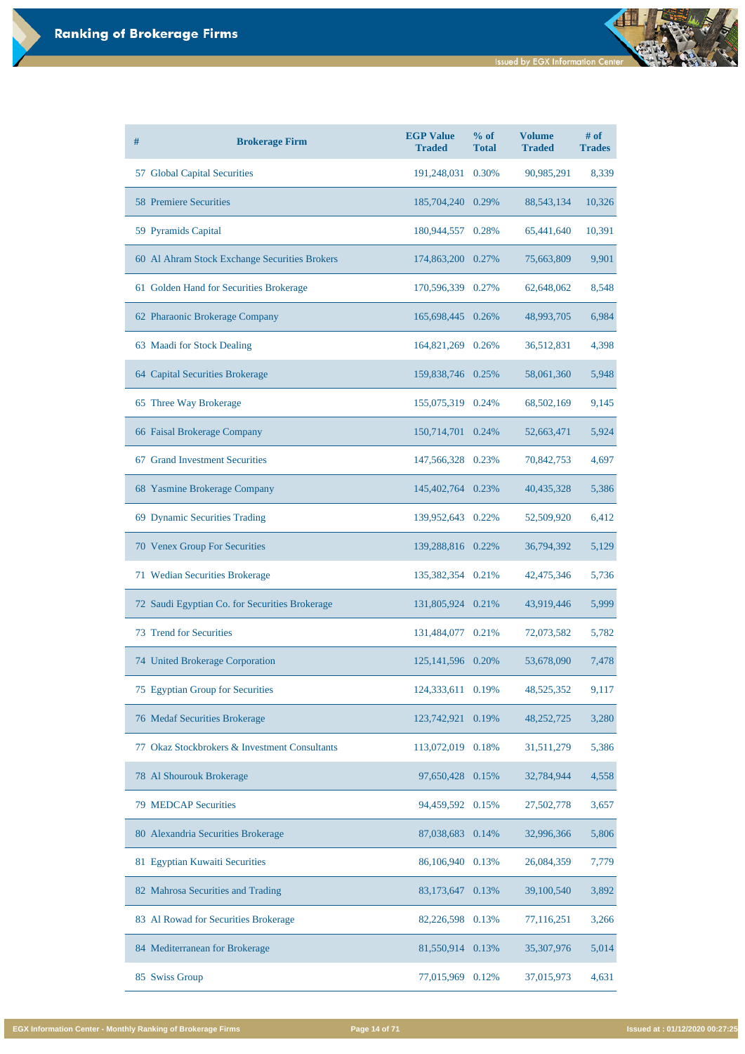| # | <b>Brokerage Firm</b>                          | <b>EGP Value</b><br><b>Traded</b> | $%$ of<br><b>Total</b> | <b>Volume</b><br><b>Traded</b> | $#$ of<br><b>Trades</b> |
|---|------------------------------------------------|-----------------------------------|------------------------|--------------------------------|-------------------------|
|   | 57 Global Capital Securities                   | 191,248,031                       | 0.30%                  | 90,985,291                     | 8,339                   |
|   | <b>58 Premiere Securities</b>                  | 185,704,240 0.29%                 |                        | 88, 543, 134                   | 10,326                  |
|   | 59 Pyramids Capital                            | 180,944,557                       | 0.28%                  | 65,441,640                     | 10,391                  |
|   | 60 Al Ahram Stock Exchange Securities Brokers  | 174,863,200                       | 0.27%                  | 75,663,809                     | 9,901                   |
|   | 61 Golden Hand for Securities Brokerage        | 170,596,339 0.27%                 |                        | 62,648,062                     | 8,548                   |
|   | 62 Pharaonic Brokerage Company                 | 165,698,445 0.26%                 |                        | 48,993,705                     | 6,984                   |
|   | 63 Maadi for Stock Dealing                     | 164,821,269 0.26%                 |                        | 36,512,831                     | 4,398                   |
|   | 64 Capital Securities Brokerage                | 159,838,746 0.25%                 |                        | 58,061,360                     | 5,948                   |
|   | 65 Three Way Brokerage                         | 155,075,319 0.24%                 |                        | 68,502,169                     | 9,145                   |
|   | 66 Faisal Brokerage Company                    | 150,714,701                       | 0.24%                  | 52,663,471                     | 5,924                   |
|   | 67 Grand Investment Securities                 | 147,566,328                       | 0.23%                  | 70,842,753                     | 4,697                   |
|   | 68 Yasmine Brokerage Company                   | 145,402,764                       | 0.23%                  | 40,435,328                     | 5,386                   |
|   | 69 Dynamic Securities Trading                  | 139,952,643 0.22%                 |                        | 52,509,920                     | 6,412                   |
|   | <b>70 Venex Group For Securities</b>           | 139,288,816 0.22%                 |                        | 36,794,392                     | 5,129                   |
|   | 71 Wedian Securities Brokerage                 | 135,382,354 0.21%                 |                        | 42,475,346                     | 5,736                   |
|   | 72 Saudi Egyptian Co. for Securities Brokerage | 131,805,924 0.21%                 |                        | 43,919,446                     | 5,999                   |
|   | <b>73 Trend for Securities</b>                 | 131,484,077 0.21%                 |                        | 72,073,582                     | 5,782                   |
|   | 74 United Brokerage Corporation                | 125, 141, 596                     | 0.20%                  | 53,678,090                     | 7,478                   |
|   | 75 Egyptian Group for Securities               | 124,333,611                       | 0.19%                  | 48,525,352                     | 9,117                   |
|   | 76 Medaf Securities Brokerage                  | 123,742,921                       | 0.19%                  | 48,252,725                     | 3,280                   |
|   | 77 Okaz Stockbrokers & Investment Consultants  | 113,072,019 0.18%                 |                        | 31,511,279                     | 5,386                   |

| 78 Al Shourouk Brokerage             | 97,650,428 0.15%    | 32,784,944 | 4,558 |
|--------------------------------------|---------------------|------------|-------|
| <b>79 MEDCAP Securities</b>          | 94,459,592 0.15%    | 27,502,778 | 3,657 |
| 80 Alexandria Securities Brokerage   | 87,038,683 0.14%    | 32,996,366 | 5,806 |
| 81 Egyptian Kuwaiti Securities       | 86,106,940 0.13%    | 26,084,359 | 7,779 |
| 82 Mahrosa Securities and Trading    | 83,173,647<br>0.13% | 39,100,540 | 3,892 |
| 83 Al Rowad for Securities Brokerage | 82,226,598<br>0.13% | 77,116,251 | 3,266 |
| 84 Mediterranean for Brokerage       | 81,550,914 0.13%    | 35,307,976 | 5,014 |
| 85 Swiss Group                       | 77,015,969 0.12%    | 37,015,973 | 4,631 |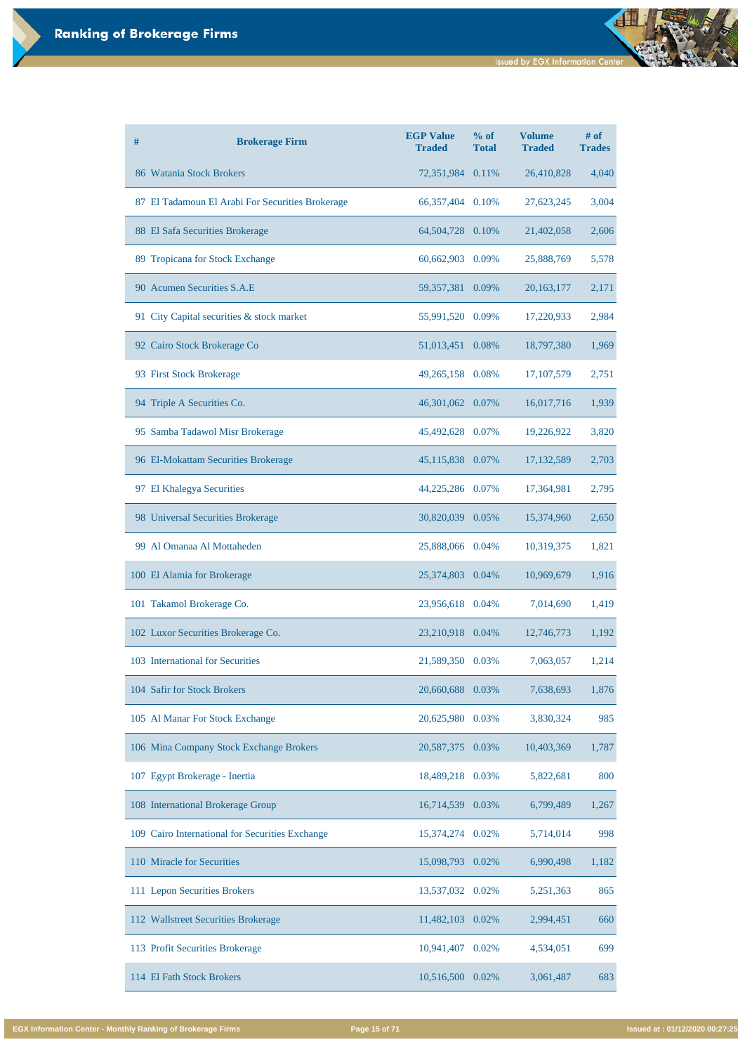| # | <b>Brokerage Firm</b>                            | <b>EGP Value</b><br><b>Traded</b> | $%$ of<br><b>Total</b> | <b>Volume</b><br><b>Traded</b> | $#$ of<br><b>Trades</b> |
|---|--------------------------------------------------|-----------------------------------|------------------------|--------------------------------|-------------------------|
|   | 86 Watania Stock Brokers                         | 72,351,984 0.11%                  |                        | 26,410,828                     | 4,040                   |
|   | 87 El Tadamoun El Arabi For Securities Brokerage | 66, 357, 404 0.10%                |                        | 27,623,245                     | 3,004                   |
|   | 88 El Safa Securities Brokerage                  | 64,504,728 0.10%                  |                        | 21,402,058                     | 2,606                   |
|   | 89 Tropicana for Stock Exchange                  | 60,662,903 0.09%                  |                        | 25,888,769                     | 5,578                   |
|   | 90 Acumen Securities S.A.E                       | 59,357,381 0.09%                  |                        | 20, 163, 177                   | 2,171                   |
|   | 91 City Capital securities & stock market        | 55,991,520                        | 0.09%                  | 17,220,933                     | 2,984                   |
|   | 92 Cairo Stock Brokerage Co                      | 51,013,451                        | 0.08%                  | 18,797,380                     | 1,969                   |
|   | 93 First Stock Brokerage                         | 49,265,158 0.08%                  |                        | 17, 107, 579                   | 2,751                   |
|   | 94 Triple A Securities Co.                       | 46,301,062 0.07%                  |                        | 16,017,716                     | 1,939                   |
|   | 95 Samba Tadawol Misr Brokerage                  | 45,492,628 0.07%                  |                        | 19,226,922                     | 3,820                   |
|   | 96 El-Mokattam Securities Brokerage              | 45,115,838 0.07%                  |                        | 17, 132, 589                   | 2,703                   |
|   | 97 El Khalegya Securities                        | 44,225,286 0.07%                  |                        | 17,364,981                     | 2,795                   |
|   | 98 Universal Securities Brokerage                | 30,820,039 0.05%                  |                        | 15,374,960                     | 2,650                   |
|   | 99 Al Omanaa Al Mottaheden                       | 25,888,066                        | 0.04%                  | 10,319,375                     | 1,821                   |
|   | 100 El Alamia for Brokerage                      | 25,374,803                        | 0.04%                  | 10,969,679                     | 1,916                   |
|   | 101 Takamol Brokerage Co.                        | 23,956,618                        | 0.04%                  | 7,014,690                      | 1,419                   |
|   | 102 Luxor Securities Brokerage Co.               | 23,210,918 0.04%                  |                        | 12,746,773                     | 1,192                   |
|   | 103 International for Securities                 | 21,589,350                        | 0.03%                  | 7,063,057                      | 1,214                   |
|   | 104 Safir for Stock Brokers                      | 20,660,688                        | 0.03%                  | 7,638,693                      | 1,876                   |
|   | 105 Al Manar For Stock Exchange                  | 20,625,980                        | 0.03%                  | 3,830,324                      | 985                     |
|   | 106 Mina Company Stock Exchange Brokers          | 20,587,375                        | 0.03%                  | 10,403,369                     | 1,787                   |

| 107 Egypt Brokerage - Inertia                   | 18,489,218 0.03% |          | 5,822,681 | 800   |
|-------------------------------------------------|------------------|----------|-----------|-------|
| 108 International Brokerage Group               | 16,714,539       | 0.03%    | 6,799,489 | 1,267 |
| 109 Cairo International for Securities Exchange | 15,374,274       | 0.02%    | 5,714,014 | 998   |
| 110 Miracle for Securities                      | 15,098,793       | 0.02%    | 6,990,498 | 1,182 |
| 111 Lepon Securities Brokers                    | 13,537,032 0.02% |          | 5,251,363 | 865   |
| 112 Wallstreet Securities Brokerage             | 11,482,103       | 0.02%    | 2,994,451 | 660   |
| 113 Profit Securities Brokerage                 | 10,941,407       | $0.02\%$ | 4,534,051 | 699   |
| 114 El Fath Stock Brokers                       | 10,516,500       | 0.02%    | 3,061,487 | 683   |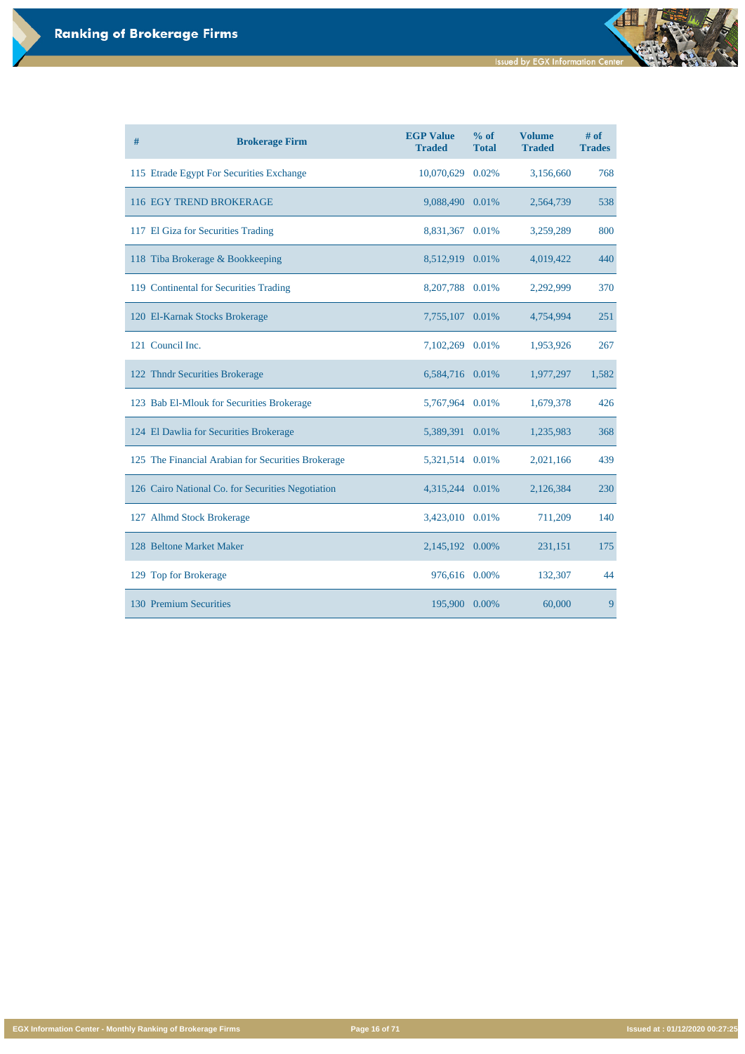**Issued by EGX Information Center** 

đ

**EGX Information Center - Monthly Ranking of Brokerage Firms Page 16 of 71 Issued at : 01/12/2020 00:27:25**

| # | <b>Brokerage Firm</b>                              | <b>EGP Value</b><br><b>Traded</b> | % of<br><b>Total</b> | <b>Volume</b><br><b>Traded</b> | $#$ of<br><b>Trades</b> |
|---|----------------------------------------------------|-----------------------------------|----------------------|--------------------------------|-------------------------|
|   | 115 Etrade Egypt For Securities Exchange           | 10,070,629                        | 0.02%                | 3,156,660                      | 768                     |
|   | 116 EGY TREND BROKERAGE                            | 9,088,490                         | 0.01%                | 2,564,739                      | 538                     |
|   | 117 El Giza for Securities Trading                 | 8,831,367                         | 0.01%                | 3,259,289                      | 800                     |
|   | 118 Tiba Brokerage & Bookkeeping                   | 8,512,919                         | 0.01%                | 4,019,422                      | 440                     |
|   | 119 Continental for Securities Trading             | 8,207,788 0.01%                   |                      | 2,292,999                      | 370                     |
|   | 120 El-Karnak Stocks Brokerage                     | 7,755,107                         | 0.01%                | 4,754,994                      | 251                     |
|   | 121 Council Inc.                                   | 7,102,269                         | 0.01%                | 1,953,926                      | 267                     |
|   | 122 Thndr Securities Brokerage                     | 6,584,716 0.01%                   |                      | 1,977,297                      | 1,582                   |
|   | 123 Bab El-Mlouk for Securities Brokerage          | 5,767,964                         | 0.01%                | 1,679,378                      | 426                     |
|   | 124 El Dawlia for Securities Brokerage             | 5,389,391                         | 0.01%                | 1,235,983                      | 368                     |
|   | 125 The Financial Arabian for Securities Brokerage | 5,321,514                         | 0.01%                | 2,021,166                      | 439                     |
|   | 126 Cairo National Co. for Securities Negotiation  | 4,315,244                         | 0.01%                | 2,126,384                      | 230                     |
|   | 127 Alhmd Stock Brokerage                          | 3,423,010 0.01%                   |                      | 711,209                        | 140                     |
|   | 128 Beltone Market Maker                           | 2,145,192                         | 0.00%                | 231,151                        | 175                     |
|   | 129 Top for Brokerage                              | 976,616                           | 0.00%                | 132,307                        | 44                      |
|   | 130 Premium Securities                             | 195,900                           | 0.00%                | 60,000                         | 9                       |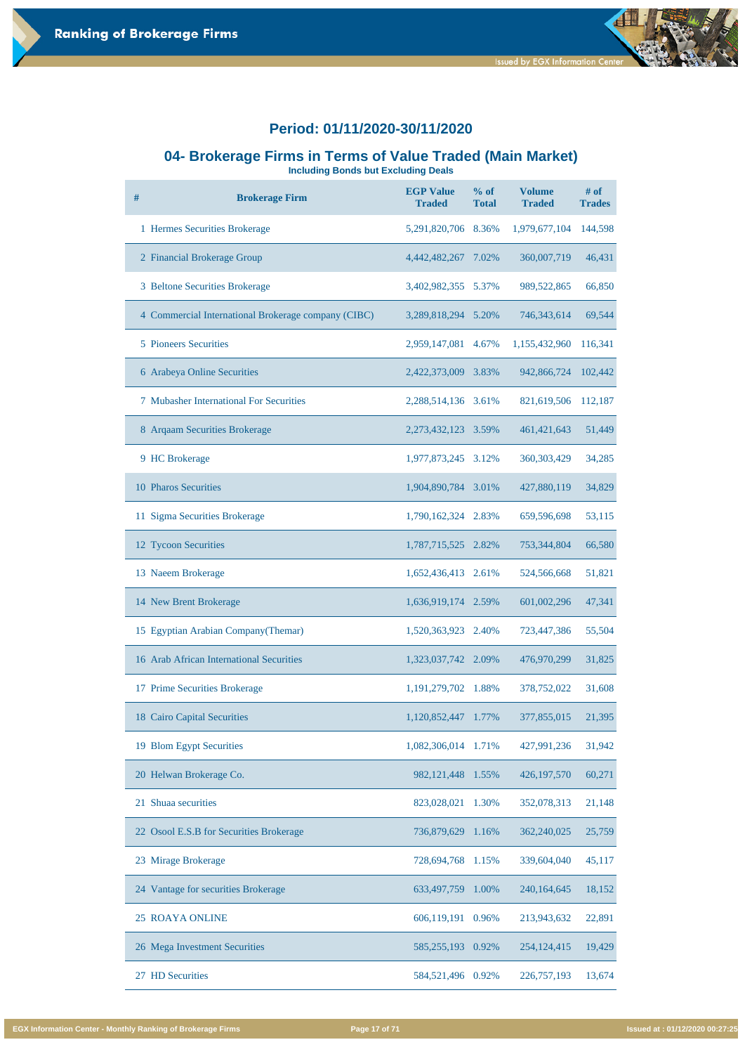

#### **04- Brokerage Firms in Terms of Value Traded (Main Market)**

**Including Bonds but Excluding Deals**

| # | <b>Brokerage Firm</b>                               | <b>EGP Value</b><br><b>Traded</b> | $%$ of<br><b>Total</b> | <b>Volume</b><br><b>Traded</b> | $#$ of<br><b>Trades</b> |
|---|-----------------------------------------------------|-----------------------------------|------------------------|--------------------------------|-------------------------|
|   | 1 Hermes Securities Brokerage                       | 5,291,820,706                     | 8.36%                  | 1,979,677,104                  | 144,598                 |
|   | 2 Financial Brokerage Group                         | 4,442,482,267                     | 7.02%                  | 360,007,719                    | 46,431                  |
|   | 3 Beltone Securities Brokerage                      | 3,402,982,355                     | 5.37%                  | 989,522,865                    | 66,850                  |
|   | 4 Commercial International Brokerage company (CIBC) | 3,289,818,294                     | 5.20%                  | 746, 343, 614                  | 69,544                  |
|   | <b>5</b> Pioneers Securities                        | 2,959,147,081                     | 4.67%                  | 1,155,432,960                  | 116,341                 |
|   | 6 Arabeya Online Securities                         | 2,422,373,009                     | 3.83%                  | 942,866,724                    | 102,442                 |
|   | <b>7</b> Mubasher International For Securities      | 2,288,514,136                     | 3.61%                  | 821,619,506                    | 112,187                 |
|   | 8 Arqaam Securities Brokerage                       | 2, 273, 432, 123                  | 3.59%                  | 461, 421, 643                  | 51,449                  |
|   | 9 HC Brokerage                                      | 1,977,873,245                     | 3.12%                  | 360, 303, 429                  | 34,285                  |
|   | 10 Pharos Securities                                | 1,904,890,784                     | 3.01%                  | 427,880,119                    | 34,829                  |
|   | 11 Sigma Securities Brokerage                       | 1,790,162,324                     | 2.83%                  | 659,596,698                    | 53,115                  |
|   | 12 Tycoon Securities                                | 1,787,715,525                     | 2.82%                  | 753,344,804                    | 66,580                  |
|   | 13 Naeem Brokerage                                  | 1,652,436,413                     | 2.61%                  | 524,566,668                    | 51,821                  |
|   | 14 New Brent Brokerage                              | 1,636,919,174 2.59%               |                        | 601,002,296                    | 47,341                  |
|   | 15 Egyptian Arabian Company (Themar)                | 1,520,363,923                     | 2.40%                  | 723,447,386                    | 55,504                  |
|   | 16 Arab African International Securities            | 1,323,037,742                     | 2.09%                  | 476,970,299                    | 31,825                  |
|   | 17 Prime Securities Brokerage                       | 1, 191, 279, 702                  | 1.88%                  | 378,752,022                    | 31,608                  |
|   | 18 Cairo Capital Securities                         | 1,120,852,447                     | 1.77%                  | 377,855,015                    | 21,395                  |
|   | 19 Blom Egypt Securities                            | 1,082,306,014                     | 1.71%                  | 427,991,236                    | 31,942                  |

| 20 Helwan Brokerage Co.                 | 982, 121, 448 1.55%    | 426, 197, 570 | 60,271 |
|-----------------------------------------|------------------------|---------------|--------|
| 21 Shuaa securities                     | 823,028,021<br>1.30%   | 352,078,313   | 21,148 |
| 22 Osool E.S.B for Securities Brokerage | 736,879,629<br>1.16%   | 362,240,025   | 25,759 |
| 23 Mirage Brokerage                     | 728,694,768<br>1.15%   | 339,604,040   | 45,117 |
| 24 Vantage for securities Brokerage     | 633,497,759<br>1.00%   | 240, 164, 645 | 18,152 |
| <b>25 ROAYA ONLINE</b>                  | 606,119,191<br>0.96%   | 213,943,632   | 22,891 |
| 26 Mega Investment Securities           | 585, 255, 193<br>0.92% | 254, 124, 415 | 19,429 |
| <b>HD</b> Securities<br>27              | 584,521,496<br>0.92%   | 226, 757, 193 | 13,674 |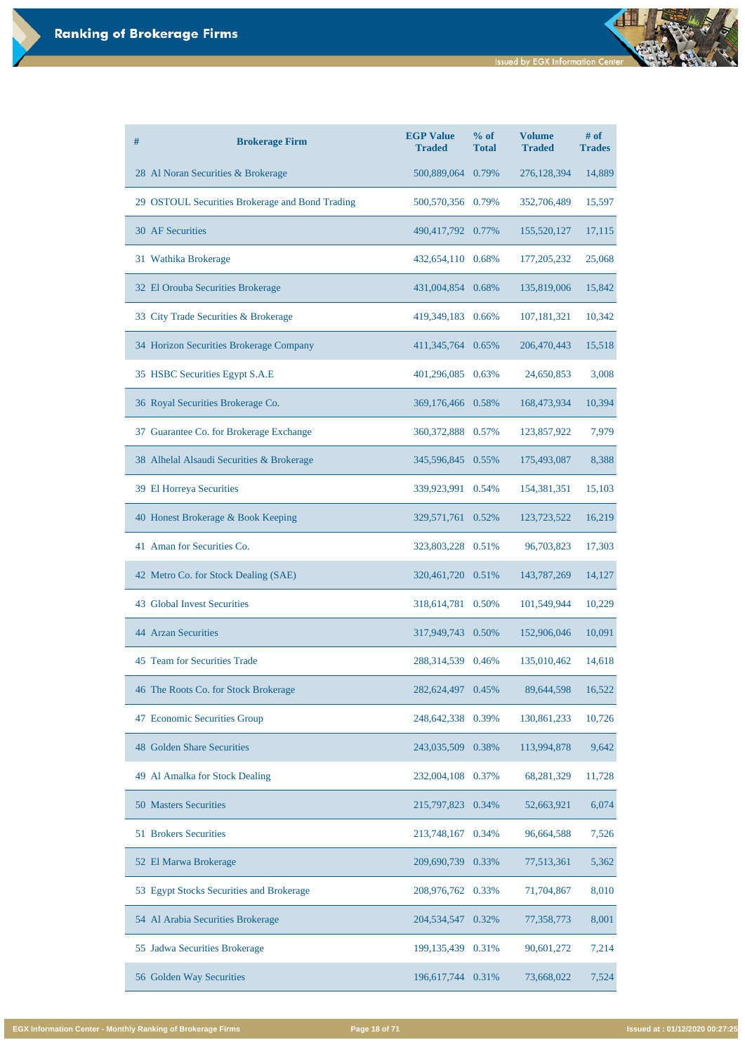**Issued by EGX Information Center** 

| #<br><b>Brokerage Firm</b>                      | <b>EGP Value</b><br><b>Traded</b> | $%$ of<br><b>Total</b> | <b>Volume</b><br><b>Traded</b> | $#$ of<br><b>Trades</b> |
|-------------------------------------------------|-----------------------------------|------------------------|--------------------------------|-------------------------|
| 28 Al Noran Securities & Brokerage              | 500,889,064                       | 0.79%                  | 276,128,394                    | 14,889                  |
| 29 OSTOUL Securities Brokerage and Bond Trading | 500,570,356 0.79%                 |                        | 352,706,489                    | 15,597                  |
| <b>30 AF Securities</b>                         | 490,417,792 0.77%                 |                        | 155,520,127                    | 17,115                  |
| 31 Wathika Brokerage                            | 432,654,110                       | 0.68%                  | 177, 205, 232                  | 25,068                  |
| 32 El Orouba Securities Brokerage               | 431,004,854                       | 0.68%                  | 135,819,006                    | 15,842                  |
| 33 City Trade Securities & Brokerage            | 419,349,183 0.66%                 |                        | 107, 181, 321                  | 10,342                  |
| 34 Horizon Securities Brokerage Company         | 411,345,764 0.65%                 |                        | 206,470,443                    | 15,518                  |
| 35 HSBC Securities Egypt S.A.E                  | 401,296,085                       | 0.63%                  | 24,650,853                     | 3,008                   |
| 36 Royal Securities Brokerage Co.               | 369,176,466 0.58%                 |                        | 168,473,934                    | 10,394                  |
| 37 Guarantee Co. for Brokerage Exchange         | 360, 372, 888 0.57%               |                        | 123,857,922                    | 7,979                   |
| 38 Alhelal Alsaudi Securities & Brokerage       | 345,596,845                       | 0.55%                  | 175,493,087                    | 8,388                   |
| 39 El Horreya Securities                        | 339,923,991                       | 0.54%                  | 154,381,351                    | 15,103                  |
| 40 Honest Brokerage & Book Keeping              | 329,571,761 0.52%                 |                        | 123,723,522                    | 16,219                  |
| 41 Aman for Securities Co.                      | 323,803,228 0.51%                 |                        | 96,703,823                     | 17,303                  |
| 42 Metro Co. for Stock Dealing (SAE)            | 320,461,720 0.51%                 |                        | 143,787,269                    | 14,127                  |
| <b>43 Global Invest Securities</b>              | 318,614,781                       | 0.50%                  | 101,549,944                    | 10,229                  |
| <b>44 Arzan Securities</b>                      | 317,949,743                       | 0.50%                  | 152,906,046                    | 10,091                  |
| 45 Team for Securities Trade                    | 288, 314, 539                     | 0.46%                  | 135,010,462                    | 14,618                  |
| 46 The Roots Co. for Stock Brokerage            | 282,624,497                       | 0.45%                  | 89,644,598                     | 16,522                  |
| 47 Economic Securities Group                    | 248, 642, 338                     | 0.39%                  | 130,861,233                    | 10,726                  |
| <b>48 Golden Share Securities</b>               | 243,035,509                       | 0.38%                  | 113,994,878                    | 9,642                   |

| 49 Al Amalka for Stock Dealing           | 232,004,108 0.37%   | 68,281,329          | 11,728 |
|------------------------------------------|---------------------|---------------------|--------|
| <b>50 Masters Securities</b>             | 215,797,823 0.34%   | 52,663,921          | 6,074  |
| <b>51 Brokers Securities</b>             | 213,748,167 0.34%   | 96,664,588          | 7,526  |
| 52 El Marwa Brokerage                    | 209,690,739         | 77,513,361<br>0.33% | 5,362  |
| 53 Egypt Stocks Securities and Brokerage | 208,976,762 0.33%   | 71,704,867          | 8,010  |
| 54 Al Arabia Securities Brokerage        | 204, 534, 547       | 77,358,773<br>0.32% | 8,001  |
| 55 Jadwa Securities Brokerage            | 199, 135, 439 0.31% | 90,601,272          | 7,214  |
| 56 Golden Way Securities                 | 196,617,744 0.31%   | 73,668,022          | 7,524  |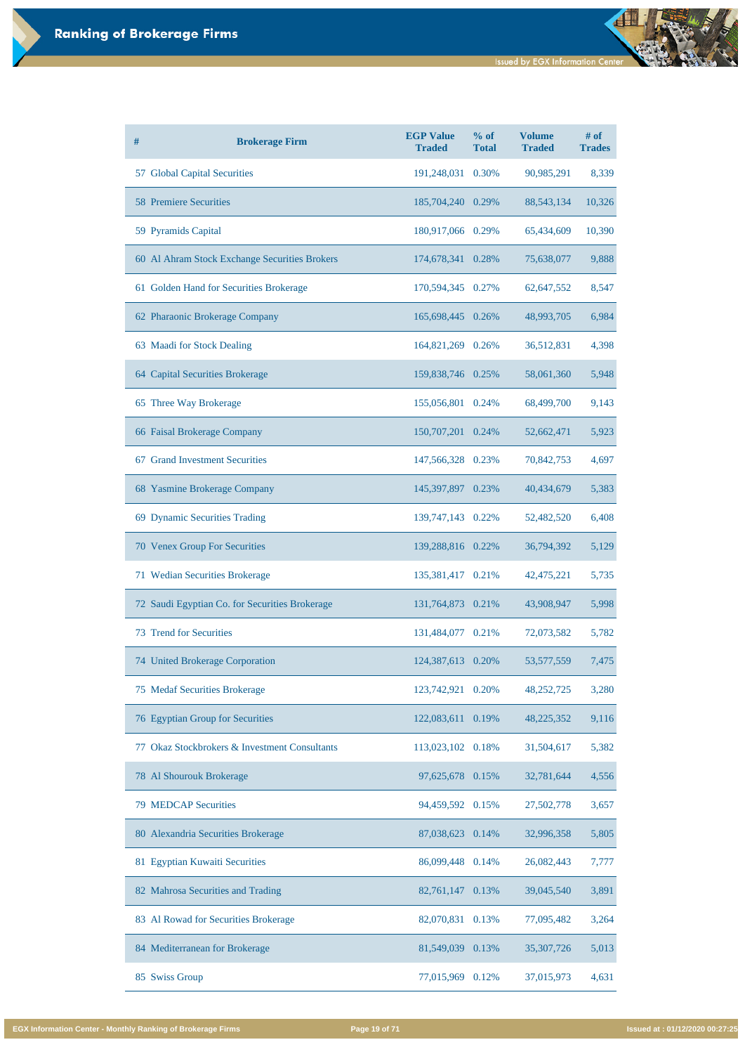| # | <b>Brokerage Firm</b>                          | <b>EGP Value</b><br><b>Traded</b> | $%$ of<br><b>Total</b> | <b>Volume</b><br><b>Traded</b> | # of<br><b>Trades</b> |
|---|------------------------------------------------|-----------------------------------|------------------------|--------------------------------|-----------------------|
|   | 57 Global Capital Securities                   | 191,248,031                       | 0.30%                  | 90,985,291                     | 8,339                 |
|   | <b>58 Premiere Securities</b>                  | 185,704,240 0.29%                 |                        | 88, 543, 134                   | 10,326                |
|   | 59 Pyramids Capital                            | 180,917,066 0.29%                 |                        | 65,434,609                     | 10,390                |
|   | 60 Al Ahram Stock Exchange Securities Brokers  | 174,678,341 0.28%                 |                        | 75,638,077                     | 9,888                 |
|   | 61 Golden Hand for Securities Brokerage        | 170,594,345 0.27%                 |                        | 62,647,552                     | 8,547                 |
|   | 62 Pharaonic Brokerage Company                 | 165,698,445 0.26%                 |                        | 48,993,705                     | 6,984                 |
|   | 63 Maadi for Stock Dealing                     | 164,821,269 0.26%                 |                        | 36,512,831                     | 4,398                 |
|   | 64 Capital Securities Brokerage                | 159,838,746 0.25%                 |                        | 58,061,360                     | 5,948                 |
|   | 65 Three Way Brokerage                         | 155,056,801 0.24%                 |                        | 68,499,700                     | 9,143                 |
|   | 66 Faisal Brokerage Company                    | 150,707,201 0.24%                 |                        | 52,662,471                     | 5,923                 |
|   | 67 Grand Investment Securities                 | 147,566,328 0.23%                 |                        | 70,842,753                     | 4,697                 |
|   | 68 Yasmine Brokerage Company                   | 145,397,897                       | 0.23%                  | 40,434,679                     | 5,383                 |
|   | 69 Dynamic Securities Trading                  | 139,747,143 0.22%                 |                        | 52,482,520                     | 6,408                 |
|   | 70 Venex Group For Securities                  | 139,288,816 0.22%                 |                        | 36,794,392                     | 5,129                 |
|   | 71 Wedian Securities Brokerage                 | 135,381,417 0.21%                 |                        | 42,475,221                     | 5,735                 |
|   | 72 Saudi Egyptian Co. for Securities Brokerage | 131,764,873 0.21%                 |                        | 43,908,947                     | 5,998                 |
|   | <b>73 Trend for Securities</b>                 | 131,484,077 0.21%                 |                        | 72,073,582                     | 5,782                 |
|   | 74 United Brokerage Corporation                | 124,387,613                       | 0.20%                  | 53, 577, 559                   | 7,475                 |
|   | 75 Medaf Securities Brokerage                  | 123,742,921                       | 0.20%                  | 48,252,725                     | 3,280                 |
|   | 76 Egyptian Group for Securities               | 122,083,611 0.19%                 |                        | 48,225,352                     | 9,116                 |
|   | 77 Okaz Stockbrokers & Investment Consultants  | 113,023,102 0.18%                 |                        | 31,504,617                     | 5,382                 |

| 78 Al Shourouk Brokerage             | 97,625,678 0.15%    | 32,781,644   | 4,556 |
|--------------------------------------|---------------------|--------------|-------|
| <b>79 MEDCAP Securities</b>          | 94,459,592 0.15%    | 27,502,778   | 3,657 |
| 80 Alexandria Securities Brokerage   | 87,038,623 0.14%    | 32,996,358   | 5,805 |
| 81 Egyptian Kuwaiti Securities       | 86,099,448 0.14%    | 26,082,443   | 7,777 |
| 82 Mahrosa Securities and Trading    | 82,761,147<br>0.13% | 39,045,540   | 3,891 |
| 83 Al Rowad for Securities Brokerage | 82,070,831 0.13%    | 77,095,482   | 3,264 |
| 84 Mediterranean for Brokerage       | 81,549,039 0.13%    | 35, 307, 726 | 5,013 |
| 85 Swiss Group                       | 77,015,969<br>0.12% | 37,015,973   | 4,631 |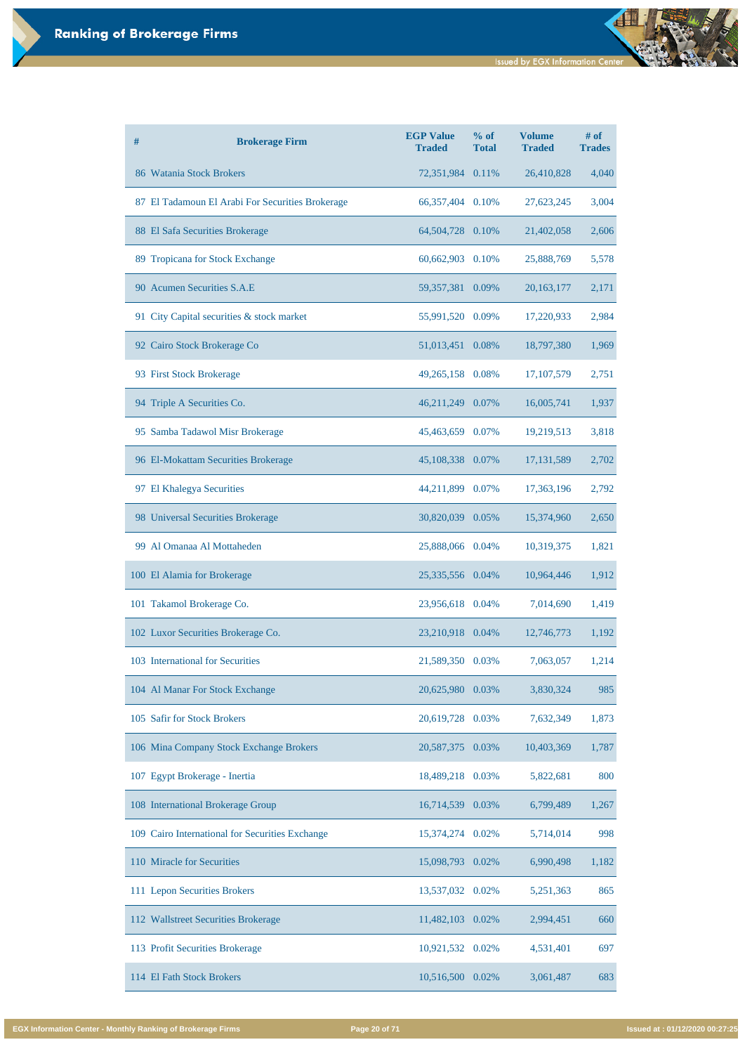| # | <b>Brokerage Firm</b>                            | <b>EGP Value</b><br><b>Traded</b> | % of<br><b>Total</b> | <b>Volume</b><br><b>Traded</b> | $#$ of<br><b>Trades</b> |
|---|--------------------------------------------------|-----------------------------------|----------------------|--------------------------------|-------------------------|
|   | 86 Watania Stock Brokers                         | 72,351,984 0.11%                  |                      | 26,410,828                     | 4,040                   |
|   | 87 El Tadamoun El Arabi For Securities Brokerage | 66, 357, 404 0.10%                |                      | 27,623,245                     | 3,004                   |
|   | 88 El Safa Securities Brokerage                  | 64,504,728 0.10%                  |                      | 21,402,058                     | 2,606                   |
|   | 89 Tropicana for Stock Exchange                  | 60,662,903 0.10%                  |                      | 25,888,769                     | 5,578                   |
|   | 90 Acumen Securities S.A.E                       | 59,357,381 0.09%                  |                      | 20, 163, 177                   | 2,171                   |
|   | 91 City Capital securities & stock market        | 55,991,520 0.09%                  |                      | 17,220,933                     | 2,984                   |
|   | 92 Cairo Stock Brokerage Co                      | 51,013,451 0.08%                  |                      | 18,797,380                     | 1,969                   |
|   | 93 First Stock Brokerage                         | 49,265,158 0.08%                  |                      | 17, 107, 579                   | 2,751                   |
|   | 94 Triple A Securities Co.                       | 46,211,249 0.07%                  |                      | 16,005,741                     | 1,937                   |
|   | 95 Samba Tadawol Misr Brokerage                  | 45,463,659 0.07%                  |                      | 19,219,513                     | 3,818                   |
|   | 96 El-Mokattam Securities Brokerage              | 45,108,338 0.07%                  |                      | 17, 131, 589                   | 2,702                   |
|   | 97 El Khalegya Securities                        | 44,211,899                        | 0.07%                | 17,363,196                     | 2,792                   |
|   | 98 Universal Securities Brokerage                | 30,820,039 0.05%                  |                      | 15,374,960                     | 2,650                   |
|   | 99 Al Omanaa Al Mottaheden                       | 25,888,066 0.04%                  |                      | 10,319,375                     | 1,821                   |
|   | 100 El Alamia for Brokerage                      | 25,335,556 0.04%                  |                      | 10,964,446                     | 1,912                   |
|   | 101 Takamol Brokerage Co.                        | 23,956,618 0.04%                  |                      | 7,014,690                      | 1,419                   |
|   | 102 Luxor Securities Brokerage Co.               | 23,210,918 0.04%                  |                      | 12,746,773                     | 1,192                   |
|   | 103 International for Securities                 | 21,589,350 0.03%                  |                      | 7,063,057                      | 1,214                   |
|   | 104 Al Manar For Stock Exchange                  | 20,625,980                        | 0.03%                | 3,830,324                      | 985                     |
|   | 105 Safir for Stock Brokers                      | 20,619,728                        | 0.03%                | 7,632,349                      | 1,873                   |
|   | 106 Mina Company Stock Exchange Brokers          | 20,587,375                        | 0.03%                | 10,403,369                     | 1,787                   |

| 107 Egypt Brokerage - Inertia                   | 18,489,218 0.03% |       | 5,822,681 | 800   |
|-------------------------------------------------|------------------|-------|-----------|-------|
| 108 International Brokerage Group               | 16,714,539       | 0.03% | 6,799,489 | 1,267 |
| 109 Cairo International for Securities Exchange | 15,374,274       | 0.02% | 5,714,014 | 998   |
| 110 Miracle for Securities                      | 15,098,793       | 0.02% | 6,990,498 | 1,182 |
| 111 Lepon Securities Brokers                    | 13,537,032 0.02% |       | 5,251,363 | 865   |
| 112 Wallstreet Securities Brokerage             | 11,482,103       | 0.02% | 2,994,451 | 660   |
| 113 Profit Securities Brokerage                 | 10,921,532 0.02% |       | 4,531,401 | 697   |
| 114 El Fath Stock Brokers                       | 10,516,500       | 0.02% | 3,061,487 | 683   |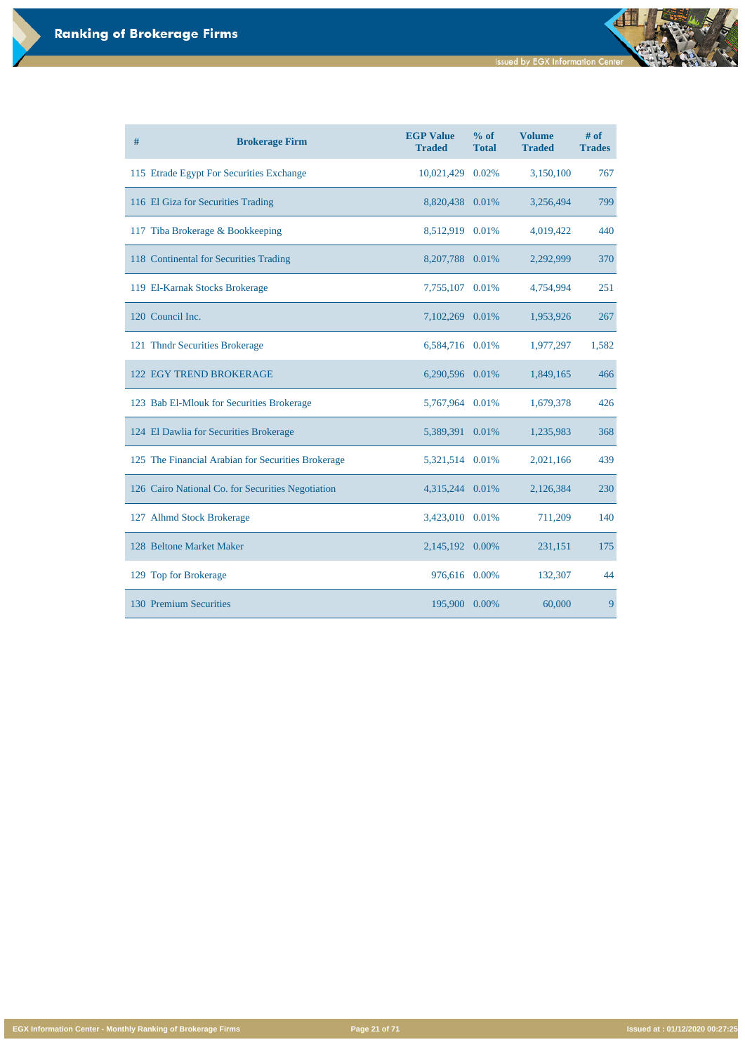**Issued by EGX Information Center** 

d

**EGX Information Center - Monthly Ranking of Brokerage Firms Page 21 of 71 Issued at : 01/12/2020 00:27:25**

| # | <b>Brokerage Firm</b>                              | <b>EGP Value</b><br><b>Traded</b> | % of<br><b>Total</b> | <b>Volume</b><br><b>Traded</b> | # of<br><b>Trades</b> |
|---|----------------------------------------------------|-----------------------------------|----------------------|--------------------------------|-----------------------|
|   | 115 Etrade Egypt For Securities Exchange           | 10,021,429                        | 0.02%                | 3,150,100                      | 767                   |
|   | 116 El Giza for Securities Trading                 | 8,820,438 0.01%                   |                      | 3,256,494                      | 799                   |
|   | 117 Tiba Brokerage & Bookkeeping                   | 8,512,919 0.01%                   |                      | 4,019,422                      | 440                   |
|   | 118 Continental for Securities Trading             | 8,207,788 0.01%                   |                      | 2,292,999                      | 370                   |
|   | 119 El-Karnak Stocks Brokerage                     | 7,755,107 0.01%                   |                      | 4,754,994                      | 251                   |
|   | 120 Council Inc.                                   | 7,102,269                         | 0.01%                | 1,953,926                      | 267                   |
|   | 121 Thndr Securities Brokerage                     | 6,584,716 0.01%                   |                      | 1,977,297                      | 1,582                 |
|   | <b>122 EGY TREND BROKERAGE</b>                     | 6,290,596 0.01%                   |                      | 1,849,165                      | 466                   |
|   | 123 Bab El-Mlouk for Securities Brokerage          | 5,767,964 0.01%                   |                      | 1,679,378                      | 426                   |
|   | 124 El Dawlia for Securities Brokerage             | 5,389,391                         | 0.01%                | 1,235,983                      | 368                   |
|   | 125 The Financial Arabian for Securities Brokerage | 5,321,514 0.01%                   |                      | 2,021,166                      | 439                   |
|   | 126 Cairo National Co. for Securities Negotiation  | 4,315,244 0.01%                   |                      | 2,126,384                      | 230                   |
|   | 127 Alhmd Stock Brokerage                          | 3,423,010 0.01%                   |                      | 711,209                        | 140                   |
|   | 128 Beltone Market Maker                           | 2,145,192                         | 0.00%                | 231,151                        | 175                   |
|   | 129 Top for Brokerage                              | 976,616                           | 0.00%                | 132,307                        | 44                    |
|   | 130 Premium Securities                             | 195,900                           | 0.00%                | 60,000                         | 9                     |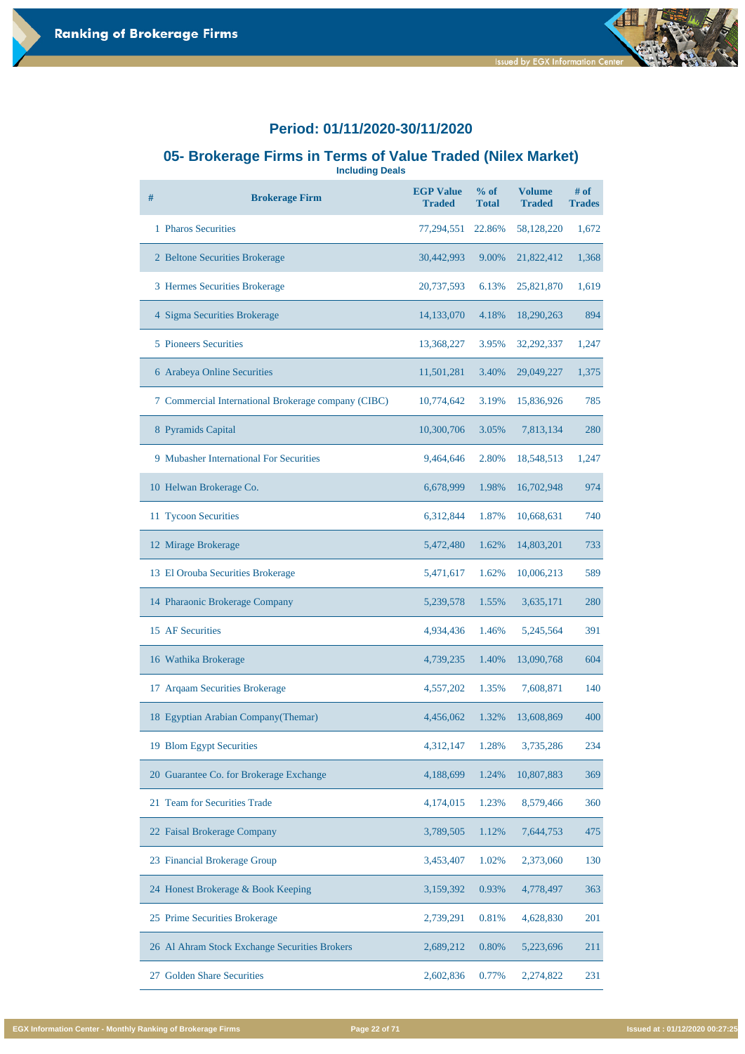### **05- Brokerage Firms in Terms of Value Traded (Nilex Market)**

**Including Deals**

| # | <b>Brokerage Firm</b>                               | <b>EGP Value</b><br><b>Traded</b> | $%$ of<br><b>Total</b> | <b>Volume</b><br><b>Traded</b> | # of<br><b>Trades</b> |
|---|-----------------------------------------------------|-----------------------------------|------------------------|--------------------------------|-----------------------|
|   | 1 Pharos Securities                                 | 77,294,551                        | 22.86%                 | 58,128,220                     | 1,672                 |
|   | 2 Beltone Securities Brokerage                      | 30,442,993                        | 9.00%                  | 21,822,412                     | 1,368                 |
|   | 3 Hermes Securities Brokerage                       | 20,737,593                        | 6.13%                  | 25,821,870                     | 1,619                 |
|   | 4 Sigma Securities Brokerage                        | 14,133,070                        | 4.18%                  | 18,290,263                     | 894                   |
|   | <b>5</b> Pioneers Securities                        | 13,368,227                        | 3.95%                  | 32,292,337                     | 1,247                 |
|   | 6 Arabeya Online Securities                         | 11,501,281                        | 3.40%                  | 29,049,227                     | 1,375                 |
|   | 7 Commercial International Brokerage company (CIBC) | 10,774,642                        | 3.19%                  | 15,836,926                     | 785                   |
|   | 8 Pyramids Capital                                  | 10,300,706                        | 3.05%                  | 7,813,134                      | 280                   |
|   | 9 Mubasher International For Securities             | 9,464,646                         | 2.80%                  | 18,548,513                     | 1,247                 |
|   | 10 Helwan Brokerage Co.                             | 6,678,999                         | 1.98%                  | 16,702,948                     | 974                   |
|   | 11 Tycoon Securities                                | 6,312,844                         | 1.87%                  | 10,668,631                     | 740                   |
|   | 12 Mirage Brokerage                                 | 5,472,480                         | 1.62%                  | 14,803,201                     | 733                   |
|   | 13 El Orouba Securities Brokerage                   | 5,471,617                         | 1.62%                  | 10,006,213                     | 589                   |
|   | 14 Pharaonic Brokerage Company                      | 5,239,578                         | 1.55%                  | 3,635,171                      | 280                   |
|   | 15 AF Securities                                    | 4,934,436                         | 1.46%                  | 5,245,564                      | 391                   |
|   | 16 Wathika Brokerage                                | 4,739,235                         | 1.40%                  | 13,090,768                     | 604                   |
|   | 17 Arqaam Securities Brokerage                      | 4,557,202                         | 1.35%                  | 7,608,871                      | 140                   |
|   | 18 Egyptian Arabian Company(Themar)                 | 4,456,062                         | 1.32%                  | 13,608,869                     | 400                   |
|   | 19 Blom Egypt Securities                            | 4,312,147                         | 1.28%                  | 3,735,286                      | 234                   |

| 20 Guarantee Co. for Brokerage Exchange       | 4,188,699 | 1.24% | 10,807,883 | 369 |
|-----------------------------------------------|-----------|-------|------------|-----|
| 21 Team for Securities Trade                  | 4,174,015 | 1.23% | 8,579,466  | 360 |
| 22 Faisal Brokerage Company                   | 3,789,505 | 1.12% | 7,644,753  | 475 |
| 23 Financial Brokerage Group                  | 3,453,407 | 1.02% | 2,373,060  | 130 |
| 24 Honest Brokerage & Book Keeping            | 3,159,392 | 0.93% | 4,778,497  | 363 |
| 25 Prime Securities Brokerage                 | 2,739,291 | 0.81% | 4,628,830  | 201 |
| 26 Al Ahram Stock Exchange Securities Brokers | 2,689,212 | 0.80% | 5,223,696  | 211 |
| <b>Golden Share Securities</b><br>27          | 2,602,836 | 0.77% | 2,274,822  | 231 |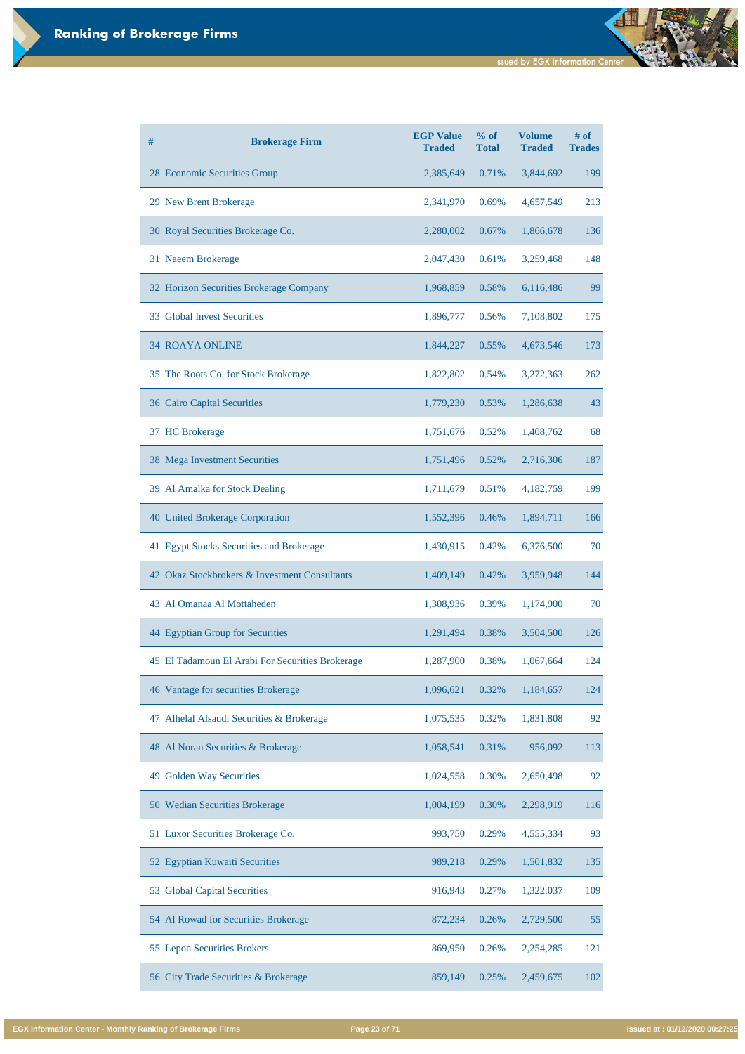**Issued by EGX Information Center** 

| #<br><b>Brokerage Firm</b>                       | <b>EGP Value</b><br><b>Traded</b> | % of<br><b>Total</b> | <b>Volume</b><br><b>Traded</b> | # of<br><b>Trades</b> |
|--------------------------------------------------|-----------------------------------|----------------------|--------------------------------|-----------------------|
| 28 Economic Securities Group                     | 2,385,649                         | 0.71%                | 3,844,692                      | 199                   |
| 29 New Brent Brokerage                           | 2,341,970                         | 0.69%                | 4,657,549                      | 213                   |
| 30 Royal Securities Brokerage Co.                | 2,280,002                         | 0.67%                | 1,866,678                      | 136                   |
| 31 Naeem Brokerage                               | 2,047,430                         | 0.61%                | 3,259,468                      | 148                   |
| 32 Horizon Securities Brokerage Company          | 1,968,859                         | 0.58%                | 6,116,486                      | 99                    |
| 33 Global Invest Securities                      | 1,896,777                         | 0.56%                | 7,108,802                      | 175                   |
| <b>34 ROAYA ONLINE</b>                           | 1,844,227                         | 0.55%                | 4,673,546                      | 173                   |
| 35 The Roots Co. for Stock Brokerage             | 1,822,802                         | 0.54%                | 3,272,363                      | 262                   |
| 36 Cairo Capital Securities                      | 1,779,230                         | 0.53%                | 1,286,638                      | 43                    |
| 37 HC Brokerage                                  | 1,751,676                         | 0.52%                | 1,408,762                      | 68                    |
| 38 Mega Investment Securities                    | 1,751,496                         | 0.52%                | 2,716,306                      | 187                   |
| 39 Al Amalka for Stock Dealing                   | 1,711,679                         | 0.51%                | 4,182,759                      | 199                   |
| 40 United Brokerage Corporation                  | 1,552,396                         | 0.46%                | 1,894,711                      | 166                   |
| 41 Egypt Stocks Securities and Brokerage         | 1,430,915                         | 0.42%                | 6,376,500                      | 70                    |
| 42 Okaz Stockbrokers & Investment Consultants    | 1,409,149                         | 0.42%                | 3,959,948                      | 144                   |
| 43 Al Omanaa Al Mottaheden                       | 1,308,936                         | 0.39%                | 1,174,900                      | 70                    |
| 44 Egyptian Group for Securities                 | 1,291,494                         | 0.38%                | 3,504,500                      | 126                   |
| 45 El Tadamoun El Arabi For Securities Brokerage | 1,287,900                         | 0.38%                | 1,067,664                      | 124                   |
| 46 Vantage for securities Brokerage              | 1,096,621                         | 0.32%                | 1,184,657                      | 124                   |
| 47 Alhelal Alsaudi Securities & Brokerage        | 1,075,535                         | 0.32%                | 1,831,808                      | 92                    |
| 48 Al Noran Securities & Brokerage               | 1,058,541                         | 0.31%                | 956,092                        | 113                   |
| 49 Golden Way Securities                         | 1,024,558                         | 0.30%                | 2,650,498                      | 92                    |
| 50 Wedian Securities Brokerage                   | 1,004,199                         | 0.30%                | 2,298,919                      | 116                   |
| 51 Luxor Securities Brokerage Co.                | 993,750                           | 0.29%                | 4,555,334                      | 93                    |
| 52 Egyptian Kuwaiti Securities                   | 989,218                           | 0.29%                | 1,501,832                      | 135                   |
| 53 Global Capital Securities                     | 916,943                           | 0.27%                | 1,322,037                      | 109                   |
| 54 Al Rowad for Securities Brokerage             | 872,234                           | 0.26%                | 2,729,500                      | 55                    |
| 55 Lepon Securities Brokers                      | 869,950                           | 0.26%                | 2,254,285                      | 121                   |
| 56 City Trade Securities & Brokerage             | 859,149                           | 0.25%                | 2,459,675                      | 102                   |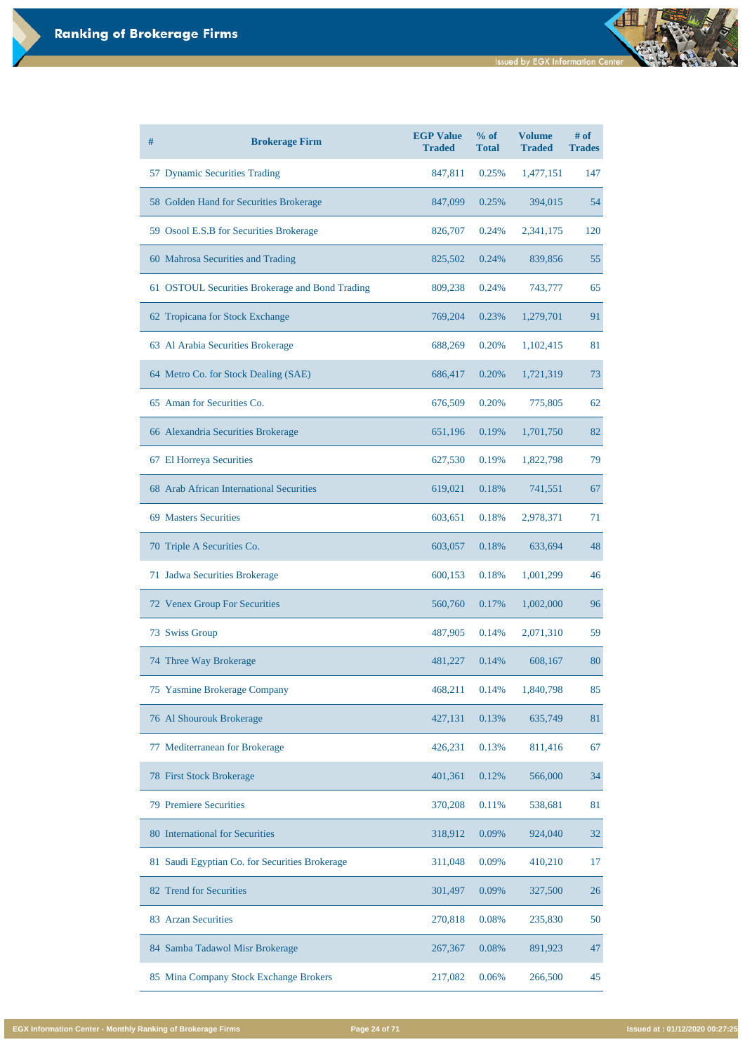| # | <b>Brokerage Firm</b>                           | <b>EGP Value</b><br><b>Traded</b> | % of<br><b>Total</b> | <b>Volume</b><br><b>Traded</b> | $#$ of<br><b>Trades</b> |
|---|-------------------------------------------------|-----------------------------------|----------------------|--------------------------------|-------------------------|
|   | 57 Dynamic Securities Trading                   | 847,811                           | 0.25%                | 1,477,151                      | 147                     |
|   | 58 Golden Hand for Securities Brokerage         | 847,099                           | 0.25%                | 394,015                        | 54                      |
|   | 59 Osool E.S.B for Securities Brokerage         | 826,707                           | 0.24%                | 2,341,175                      | 120                     |
|   | 60 Mahrosa Securities and Trading               | 825,502                           | 0.24%                | 839,856                        | 55                      |
|   | 61 OSTOUL Securities Brokerage and Bond Trading | 809,238                           | 0.24%                | 743,777                        | 65                      |
|   | 62 Tropicana for Stock Exchange                 | 769,204                           | 0.23%                | 1,279,701                      | 91                      |
|   | 63 Al Arabia Securities Brokerage               | 688,269                           | 0.20%                | 1,102,415                      | 81                      |
|   | 64 Metro Co. for Stock Dealing (SAE)            | 686,417                           | 0.20%                | 1,721,319                      | 73                      |
|   | 65 Aman for Securities Co.                      | 676,509                           | 0.20%                | 775,805                        | 62                      |
|   | 66 Alexandria Securities Brokerage              | 651,196                           | 0.19%                | 1,701,750                      | 82                      |
|   | 67 El Horreya Securities                        | 627,530                           | 0.19%                | 1,822,798                      | 79                      |
|   | 68 Arab African International Securities        | 619,021                           | 0.18%                | 741,551                        | 67                      |
|   | 69 Masters Securities                           | 603,651                           | 0.18%                | 2,978,371                      | 71                      |
|   | 70 Triple A Securities Co.                      | 603,057                           | 0.18%                | 633,694                        | 48                      |
|   | 71 Jadwa Securities Brokerage                   | 600,153                           | 0.18%                | 1,001,299                      | 46                      |
|   | 72 Venex Group For Securities                   | 560,760                           | 0.17%                | 1,002,000                      | 96                      |
|   | 73 Swiss Group                                  | 487,905                           | 0.14%                | 2,071,310                      | 59                      |
|   | 74 Three Way Brokerage                          | 481,227                           | 0.14%                | 608,167                        | 80                      |
|   | 75 Yasmine Brokerage Company                    | 468,211                           | 0.14%                | 1,840,798                      | 85                      |
|   | 76 Al Shourouk Brokerage                        | 427,131                           | 0.13%                | 635,749                        | 81                      |
|   | 77 Mediterranean for Brokerage                  | 426,231                           | 0.13%                | 811,416                        | 67                      |

| 78 First Stock Brokerage                       | 401,361 | 0.12% | 566,000 | 34 |
|------------------------------------------------|---------|-------|---------|----|
| <b>79 Premiere Securities</b>                  | 370,208 | 0.11% | 538,681 | 81 |
| 80 International for Securities                | 318,912 | 0.09% | 924,040 | 32 |
| 81 Saudi Egyptian Co. for Securities Brokerage | 311,048 | 0.09% | 410,210 | 17 |
| 82 Trend for Securities                        | 301,497 | 0.09% | 327,500 | 26 |
| 83 Arzan Securities                            | 270,818 | 0.08% | 235,830 | 50 |
| 84 Samba Tadawol Misr Brokerage                | 267,367 | 0.08% | 891,923 | 47 |
| 85 Mina Company Stock Exchange Brokers         | 217,082 | 0.06% | 266,500 | 45 |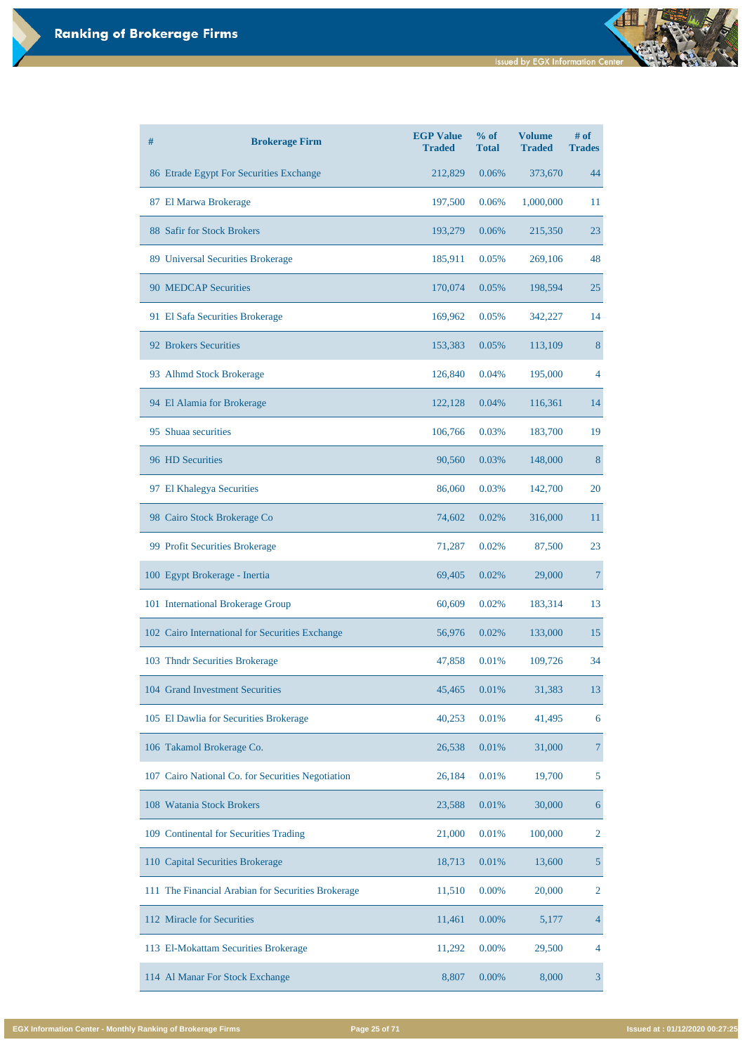| # | <b>Brokerage Firm</b>                           | <b>EGP Value</b><br><b>Traded</b> | $%$ of<br><b>Total</b> | <b>Volume</b><br><b>Traded</b> | # of<br><b>Trades</b> |
|---|-------------------------------------------------|-----------------------------------|------------------------|--------------------------------|-----------------------|
|   | 86 Etrade Egypt For Securities Exchange         | 212,829                           | 0.06%                  | 373,670                        | 44                    |
|   | 87 El Marwa Brokerage                           | 197,500                           | 0.06%                  | 1,000,000                      | 11                    |
|   | 88 Safir for Stock Brokers                      | 193,279                           | 0.06%                  | 215,350                        | 23                    |
|   | 89 Universal Securities Brokerage               | 185,911                           | 0.05%                  | 269,106                        | 48                    |
|   | <b>90 MEDCAP Securities</b>                     | 170,074                           | 0.05%                  | 198,594                        | 25                    |
|   | 91 El Safa Securities Brokerage                 | 169,962                           | 0.05%                  | 342,227                        | 14                    |
|   | 92 Brokers Securities                           | 153,383                           | 0.05%                  | 113,109                        | 8                     |
|   | 93 Alhmd Stock Brokerage                        | 126,840                           | 0.04%                  | 195,000                        | 4                     |
|   | 94 El Alamia for Brokerage                      | 122,128                           | 0.04%                  | 116,361                        | 14                    |
|   | 95 Shuaa securities                             | 106,766                           | 0.03%                  | 183,700                        | 19                    |
|   | 96 HD Securities                                | 90,560                            | 0.03%                  | 148,000                        | 8                     |
|   | 97 El Khalegya Securities                       | 86,060                            | 0.03%                  | 142,700                        | 20                    |
|   | 98 Cairo Stock Brokerage Co                     | 74,602                            | 0.02%                  | 316,000                        | 11                    |
|   | 99 Profit Securities Brokerage                  | 71,287                            | 0.02%                  | 87,500                         | 23                    |
|   | 100 Egypt Brokerage - Inertia                   | 69,405                            | 0.02%                  | 29,000                         |                       |
|   | 101 International Brokerage Group               | 60,609                            | 0.02%                  | 183,314                        | 13                    |
|   | 102 Cairo International for Securities Exchange | 56,976                            | 0.02%                  | 133,000                        | 15                    |
|   | 103 Thndr Securities Brokerage                  | 47,858                            | 0.01%                  | 109,726                        | 34                    |
|   | 104 Grand Investment Securities                 | 45,465                            | 0.01%                  | 31,383                         | 13                    |
|   | 105 El Dawlia for Securities Brokerage          | 40,253                            | 0.01%                  | 41,495                         | 6                     |
|   | 106 Takamol Brokerage Co.                       | 26,538                            | 0.01%                  | 31,000                         |                       |

| 107 Cairo National Co. for Securities Negotiation  | 26,184 | 0.01%    | 19,700  | 5 |
|----------------------------------------------------|--------|----------|---------|---|
| 108 Watania Stock Brokers                          | 23,588 | 0.01%    | 30,000  | 6 |
| 109 Continental for Securities Trading             | 21,000 | 0.01%    | 100,000 | 2 |
| 110 Capital Securities Brokerage                   | 18,713 | 0.01%    | 13,600  |   |
| 111 The Financial Arabian for Securities Brokerage | 11,510 | 0.00%    | 20,000  | 2 |
| 112 Miracle for Securities                         | 11,461 | $0.00\%$ | 5,177   | 4 |
| 113 El-Mokattam Securities Brokerage               | 11,292 | $0.00\%$ | 29,500  | 4 |
| 114 Al Manar For Stock Exchange                    | 8,807  | $0.00\%$ | 8,000   | 3 |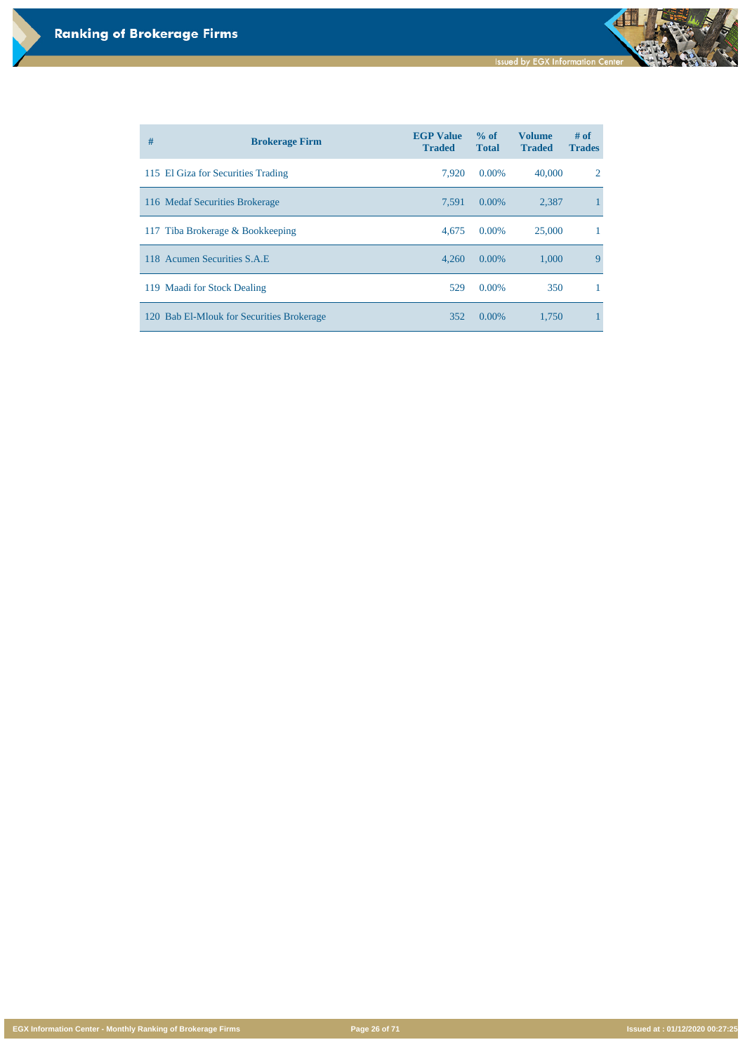**EGX Information Center - Monthly Ranking of Brokerage Firms Page 26 of 71 Issued at : 01/12/2020 00:27:25**

| # | <b>Brokerage Firm</b>                     | <b>EGP Value</b><br><b>Traded</b> | $\%$ of<br><b>Total</b> | <b>Volume</b><br><b>Traded</b> | $#$ of<br><b>Trades</b> |
|---|-------------------------------------------|-----------------------------------|-------------------------|--------------------------------|-------------------------|
|   | 115 El Giza for Securities Trading        | 7,920                             | $0.00\%$                | 40,000                         | 2                       |
|   | 116 Medaf Securities Brokerage            | 7,591                             | $0.00\%$                | 2,387                          |                         |
|   | 117 Tiba Brokerage & Bookkeeping          | 4,675                             | $0.00\%$                | 25,000                         |                         |
|   | 118 Acumen Securities S.A.E.              | 4,260                             | $0.00\%$                | 1,000                          | $\mathbf{Q}$            |
|   | 119 Maadi for Stock Dealing               | 529                               | $0.00\%$                | 350                            |                         |
|   | 120 Bab El-Mlouk for Securities Brokerage | 352                               | $0.00\%$                | 1,750                          |                         |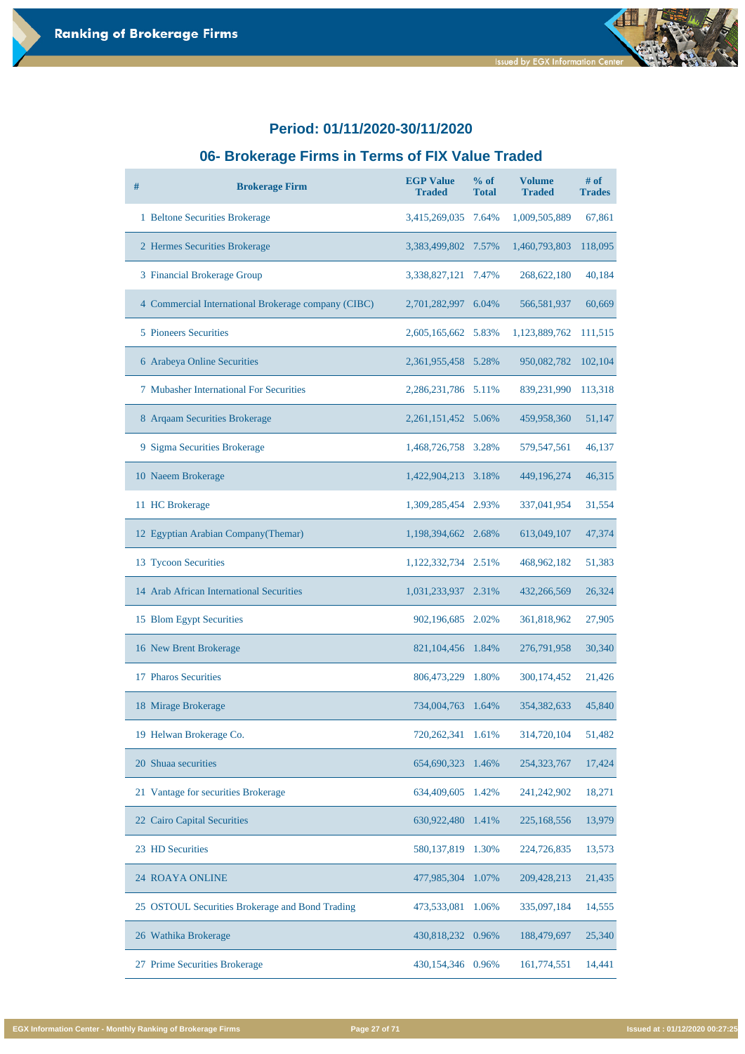### **06- Brokerage Firms in Terms of FIX Value Traded**

| # | <b>Brokerage Firm</b>                               | <b>EGP Value</b><br><b>Traded</b> | $%$ of<br><b>Total</b> | <b>Volume</b><br><b>Traded</b> | $#$ of<br><b>Trades</b> |
|---|-----------------------------------------------------|-----------------------------------|------------------------|--------------------------------|-------------------------|
|   | 1 Beltone Securities Brokerage                      | 3,415,269,035                     | 7.64%                  | 1,009,505,889                  | 67,861                  |
|   | 2 Hermes Securities Brokerage                       | 3,383,499,802                     | 7.57%                  | 1,460,793,803                  | 118,095                 |
|   | 3 Financial Brokerage Group                         | 3,338,827,121                     | 7.47%                  | 268, 622, 180                  | 40,184                  |
|   | 4 Commercial International Brokerage company (CIBC) | 2,701,282,997                     | 6.04%                  | 566,581,937                    | 60,669                  |
|   | <b>5</b> Pioneers Securities                        | 2,605,165,662 5.83%               |                        | 1,123,889,762                  | 111,515                 |
|   | 6 Arabeya Online Securities                         | 2,361,955,458                     | 5.28%                  | 950,082,782                    | 102,104                 |
|   | <b>7 Mubasher International For Securities</b>      | 2,286,231,786                     | 5.11%                  | 839,231,990                    | 113,318                 |
|   | 8 Arqaam Securities Brokerage                       | 2,261,151,452 5.06%               |                        | 459,958,360                    | 51,147                  |
|   | 9 Sigma Securities Brokerage                        | 1,468,726,758                     | 3.28%                  | 579, 547, 561                  | 46,137                  |
|   | 10 Naeem Brokerage                                  | 1,422,904,213                     | 3.18%                  | 449,196,274                    | 46,315                  |
|   | 11 HC Brokerage                                     | 1,309,285,454                     | 2.93%                  | 337,041,954                    | 31,554                  |
|   | 12 Egyptian Arabian Company (Themar)                | 1,198,394,662                     | 2.68%                  | 613,049,107                    | 47,374                  |
|   | 13 Tycoon Securities                                | 1,122,332,734 2.51%               |                        | 468,962,182                    | 51,383                  |
|   | 14 Arab African International Securities            | 1,031,233,937 2.31%               |                        | 432,266,569                    | 26,324                  |
|   | 15 Blom Egypt Securities                            | 902,196,685                       | 2.02%                  | 361,818,962                    | 27,905                  |
|   | 16 New Brent Brokerage                              | 821, 104, 456                     | 1.84%                  | 276,791,958                    | 30,340                  |
|   | 17 Pharos Securities                                | 806,473,229                       | 1.80%                  | 300,174,452                    | 21,426                  |
|   | 18 Mirage Brokerage                                 | 734,004,763                       | 1.64%                  | 354,382,633                    | 45,840                  |
|   | 19 Helwan Brokerage Co.                             | 720,262,341                       | 1.61%                  | 314,720,104                    | 51,482                  |
|   | 20 Shuaa securities                                 | 654,690,323                       | 1.46%                  | 254, 323, 767                  | 17,424                  |
|   | 21 Vantage for securities Brokerage                 | 634,409,605                       | 1.42%                  | 241,242,902                    | 18,271                  |
|   | 22 Cairo Capital Securities                         | 630,922,480                       | 1.41%                  | 225,168,556                    | 13,979                  |
|   | 23 HD Securities                                    | 580, 137, 819                     | 1.30%                  | 224,726,835                    | 13,573                  |
|   | <b>24 ROAYA ONLINE</b>                              | 477,985,304                       | 1.07%                  | 209,428,213                    | 21,435                  |
|   | 25 OSTOUL Securities Brokerage and Bond Trading     | 473,533,081                       | 1.06%                  | 335,097,184                    | 14,555                  |
|   | 26 Wathika Brokerage                                | 430,818,232 0.96%                 |                        | 188,479,697                    | 25,340                  |
|   | 27 Prime Securities Brokerage                       | 430,154,346                       | 0.96%                  | 161,774,551                    | 14,441                  |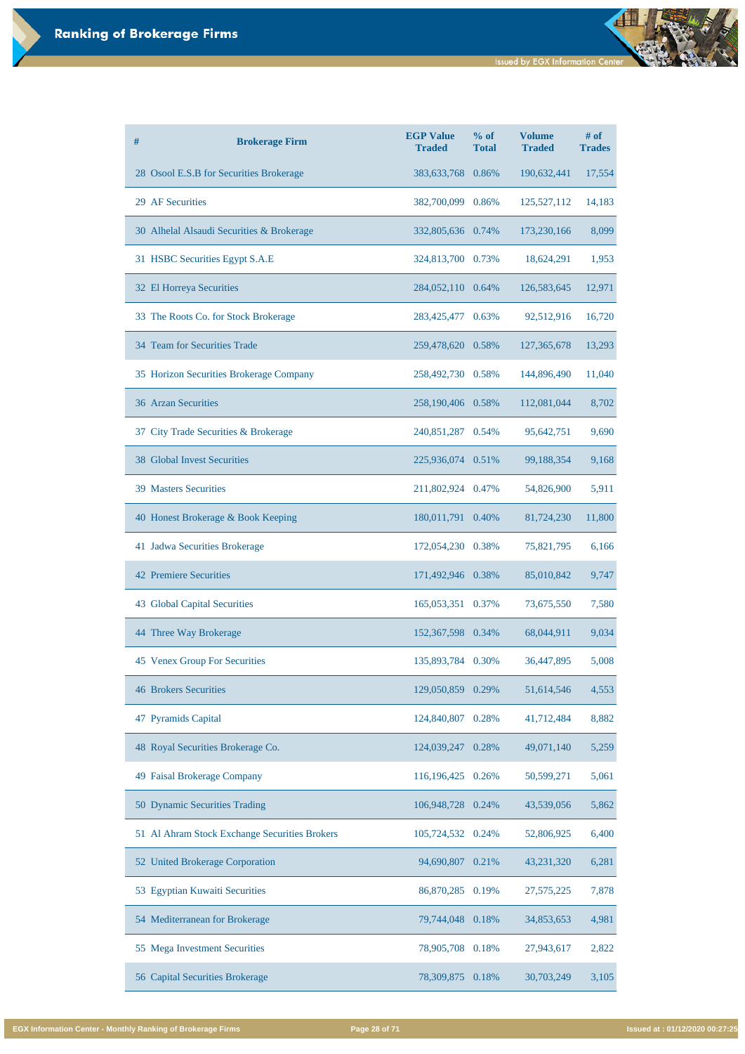| # | <b>Brokerage Firm</b>                     | <b>EGP Value</b><br><b>Traded</b> | % of<br><b>Total</b> | <b>Volume</b><br><b>Traded</b> | # of<br><b>Trades</b> |
|---|-------------------------------------------|-----------------------------------|----------------------|--------------------------------|-----------------------|
|   | 28 Osool E.S.B for Securities Brokerage   | 383, 633, 768                     | 0.86%                | 190,632,441                    | 17,554                |
|   | 29 AF Securities                          | 382,700,099 0.86%                 |                      | 125,527,112                    | 14,183                |
|   | 30 Alhelal Alsaudi Securities & Brokerage | 332,805,636 0.74%                 |                      | 173,230,166                    | 8,099                 |
|   | 31 HSBC Securities Egypt S.A.E            | 324,813,700 0.73%                 |                      | 18,624,291                     | 1,953                 |
|   | 32 El Horreya Securities                  | 284,052,110 0.64%                 |                      | 126,583,645                    | 12,971                |
|   | 33 The Roots Co. for Stock Brokerage      | 283,425,477                       | 0.63%                | 92,512,916                     | 16,720                |
|   | 34 Team for Securities Trade              | 259,478,620 0.58%                 |                      | 127, 365, 678                  | 13,293                |
|   | 35 Horizon Securities Brokerage Company   | 258,492,730                       | 0.58%                | 144,896,490                    | 11,040                |
|   | <b>36 Arzan Securities</b>                | 258,190,406 0.58%                 |                      | 112,081,044                    | 8,702                 |
|   | 37 City Trade Securities & Brokerage      | 240,851,287 0.54%                 |                      | 95,642,751                     | 9,690                 |
|   | <b>38 Global Invest Securities</b>        | 225,936,074 0.51%                 |                      | 99,188,354                     | 9,168                 |
|   | <b>39 Masters Securities</b>              | 211,802,924                       | 0.47%                | 54,826,900                     | 5,911                 |
|   | 40 Honest Brokerage & Book Keeping        | 180,011,791 0.40%                 |                      | 81,724,230                     | 11,800                |
|   | 41 Jadwa Securities Brokerage             | 172,054,230                       | 0.38%                | 75,821,795                     | 6,166                 |
|   | <b>42 Premiere Securities</b>             | 171,492,946                       | 0.38%                | 85,010,842                     | 9,747                 |
|   | 43 Global Capital Securities              | 165,053,351                       | 0.37%                | 73,675,550                     | 7,580                 |
|   | 44 Three Way Brokerage                    | 152,367,598 0.34%                 |                      | 68,044,911                     | 9,034                 |
|   | 45 Venex Group For Securities             | 135,893,784                       | 0.30%                | 36,447,895                     | 5,008                 |
|   | <b>46 Brokers Securities</b>              | 129,050,859                       | 0.29%                | 51,614,546                     | 4,553                 |
|   | 47 Pyramids Capital                       | 124,840,807                       | 0.28%                | 41,712,484                     | 8,882                 |
|   | 48 Royal Securities Brokerage Co.         | 124,039,247                       | 0.28%                | 49,071,140                     | 5,259                 |

| 49 Faisal Brokerage Company                   | 116,196,425 0.26% |       | 50,599,271   | 5,061 |
|-----------------------------------------------|-------------------|-------|--------------|-------|
| 50 Dynamic Securities Trading                 | 106,948,728 0.24% |       | 43,539,056   | 5,862 |
| 51 Al Ahram Stock Exchange Securities Brokers | 105,724,532 0.24% |       | 52,806,925   | 6,400 |
| 52 United Brokerage Corporation               | 94,690,807        | 0.21% | 43,231,320   | 6,281 |
| 53 Egyptian Kuwaiti Securities                | 86,870,285 0.19%  |       | 27, 575, 225 | 7,878 |
| 54 Mediterranean for Brokerage                | 79,744,048        | 0.18% | 34,853,653   | 4,981 |
| 55 Mega Investment Securities                 | 78,905,708 0.18%  |       | 27,943,617   | 2,822 |
| 56 Capital Securities Brokerage               | 78,309,875        | 0.18% | 30,703,249   | 3,105 |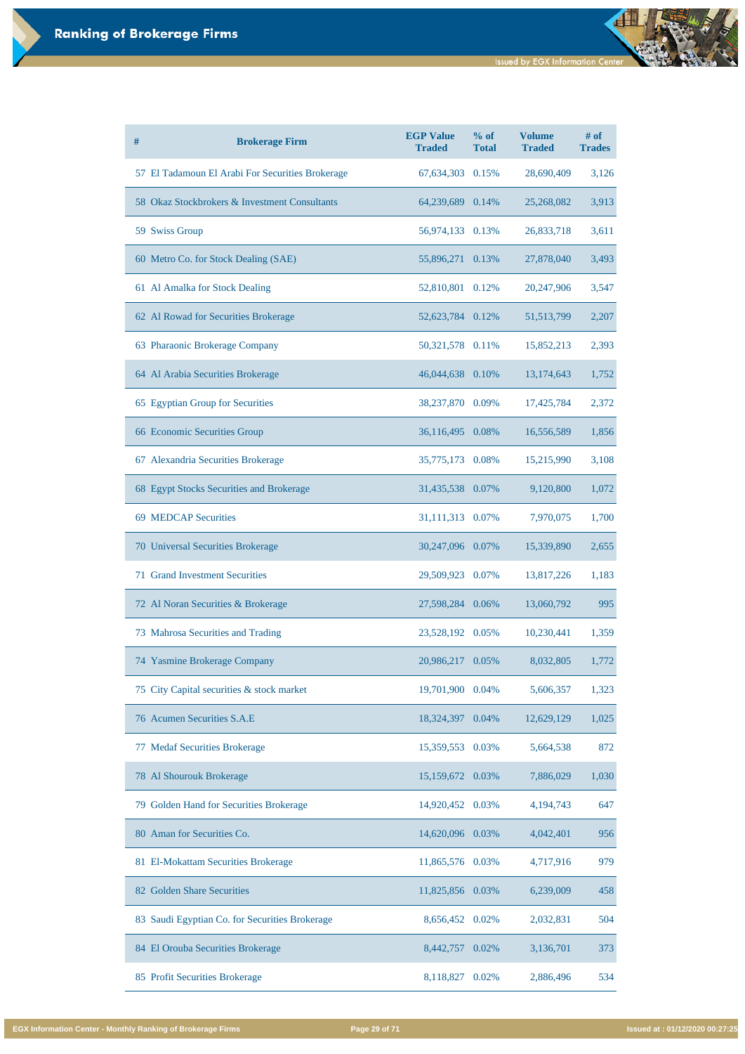| # | <b>Brokerage Firm</b>                            | <b>EGP Value</b><br><b>Traded</b> | % of<br><b>Total</b> | <b>Volume</b><br><b>Traded</b> | $#$ of<br><b>Trades</b> |
|---|--------------------------------------------------|-----------------------------------|----------------------|--------------------------------|-------------------------|
|   | 57 El Tadamoun El Arabi For Securities Brokerage | 67,634,303 0.15%                  |                      | 28,690,409                     | 3,126                   |
|   | 58 Okaz Stockbrokers & Investment Consultants    | 64,239,689 0.14%                  |                      | 25,268,082                     | 3,913                   |
|   | 59 Swiss Group                                   | 56,974,133 0.13%                  |                      | 26,833,718                     | 3,611                   |
|   | 60 Metro Co. for Stock Dealing (SAE)             | 55,896,271 0.13%                  |                      | 27,878,040                     | 3,493                   |
|   | 61 Al Amalka for Stock Dealing                   | 52,810,801 0.12%                  |                      | 20,247,906                     | 3,547                   |
|   | 62 Al Rowad for Securities Brokerage             | 52,623,784 0.12%                  |                      | 51, 513, 799                   | 2,207                   |
|   | 63 Pharaonic Brokerage Company                   | 50,321,578 0.11%                  |                      | 15,852,213                     | 2,393                   |
|   | 64 Al Arabia Securities Brokerage                | 46,044,638 0.10%                  |                      | 13,174,643                     | 1,752                   |
|   | 65 Egyptian Group for Securities                 | 38,237,870 0.09%                  |                      | 17,425,784                     | 2,372                   |
|   | 66 Economic Securities Group                     | 36,116,495 0.08%                  |                      | 16,556,589                     | 1,856                   |
|   | 67 Alexandria Securities Brokerage               | 35,775,173 0.08%                  |                      | 15,215,990                     | 3,108                   |
|   | 68 Egypt Stocks Securities and Brokerage         | 31,435,538 0.07%                  |                      | 9,120,800                      | 1,072                   |
|   | 69 MEDCAP Securities                             | 31,111,313 0.07%                  |                      | 7,970,075                      | 1,700                   |
|   | 70 Universal Securities Brokerage                | 30,247,096 0.07%                  |                      | 15,339,890                     | 2,655                   |
|   | <b>71 Grand Investment Securities</b>            | 29,509,923                        | 0.07%                | 13,817,226                     | 1,183                   |
|   | 72 Al Noran Securities & Brokerage               | 27,598,284 0.06%                  |                      | 13,060,792                     | 995                     |
|   | 73 Mahrosa Securities and Trading                | 23,528,192                        | 0.05%                | 10,230,441                     | 1,359                   |
|   | 74 Yasmine Brokerage Company                     | 20,986,217                        | 0.05%                | 8,032,805                      | 1,772                   |
|   | 75 City Capital securities & stock market        | 19,701,900                        | 0.04%                | 5,606,357                      | 1,323                   |
|   | 76 Acumen Securities S.A.E                       | 18,324,397                        | 0.04%                | 12,629,129                     | 1,025                   |
|   | 77 Medaf Securities Brokerage                    | 15,359,553                        | 0.03%                | 5,664,538                      | 872                     |

| 78 Al Shourouk Brokerage                       | 15,159,672 0.03%   | 7,886,029   | 1,030 |
|------------------------------------------------|--------------------|-------------|-------|
| 79 Golden Hand for Securities Brokerage        | 14,920,452 0.03%   | 4, 194, 743 | 647   |
| 80 Aman for Securities Co.                     | 14,620,096 0.03%   | 4,042,401   | 956   |
| 81 El-Mokattam Securities Brokerage            | 11,865,576 0.03%   | 4,717,916   | 979   |
| 82 Golden Share Securities                     | 11,825,856 0.03%   | 6,239,009   | 458   |
| 83 Saudi Egyptian Co. for Securities Brokerage | 8,656,452 0.02%    | 2,032,831   | 504   |
| 84 El Orouba Securities Brokerage              | 8,442,757<br>0.02% | 3,136,701   | 373   |
| 85 Profit Securities Brokerage                 | 8,118,827<br>0.02% | 2,886,496   | 534   |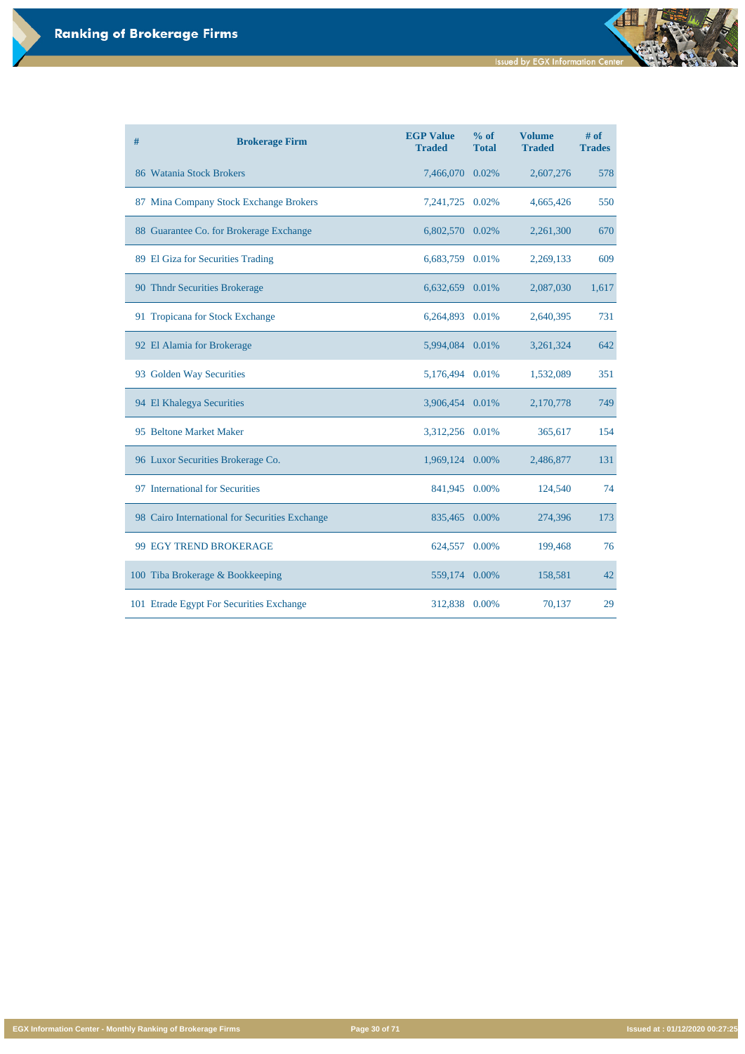**Issued by EGX Information Center** 

đ

**EGX Information Center - Monthly Ranking of Brokerage Firms Page 30 of 71 Issued at : 01/12/2020 00:27:25**

| # | <b>Brokerage Firm</b>                          | <b>EGP Value</b><br><b>Traded</b> | % of<br><b>Total</b> | <b>Volume</b><br><b>Traded</b> | $#$ of<br><b>Trades</b> |
|---|------------------------------------------------|-----------------------------------|----------------------|--------------------------------|-------------------------|
|   | 86 Watania Stock Brokers                       | 7,466,070                         | 0.02%                | 2,607,276                      | 578                     |
|   | 87 Mina Company Stock Exchange Brokers         | 7, 241, 725                       | 0.02%                | 4,665,426                      | 550                     |
|   | 88 Guarantee Co. for Brokerage Exchange        | 6,802,570                         | 0.02%                | 2,261,300                      | 670                     |
|   | 89 El Giza for Securities Trading              | 6,683,759                         | 0.01%                | 2,269,133                      | 609                     |
|   | 90 Thndr Securities Brokerage                  | 6,632,659                         | 0.01%                | 2,087,030                      | 1,617                   |
|   | 91 Tropicana for Stock Exchange                | 6,264,893                         | 0.01%                | 2,640,395                      | 731                     |
|   | 92 El Alamia for Brokerage                     | 5,994,084                         | 0.01%                | 3,261,324                      | 642                     |
|   | 93 Golden Way Securities                       | 5,176,494                         | 0.01%                | 1,532,089                      | 351                     |
|   | 94 El Khalegya Securities                      | 3,906,454                         | 0.01%                | 2,170,778                      | 749                     |
|   | 95 Beltone Market Maker                        | 3,312,256 0.01%                   |                      | 365,617                        | 154                     |
|   | 96 Luxor Securities Brokerage Co.              | 1,969,124                         | 0.00%                | 2,486,877                      | 131                     |
|   | 97 International for Securities                | 841,945                           | 0.00%                | 124,540                        | 74                      |
|   | 98 Cairo International for Securities Exchange | 835,465 0.00%                     |                      | 274,396                        | 173                     |
|   | 99 EGY TREND BROKERAGE                         | 624,557                           | 0.00%                | 199,468                        | 76                      |
|   | 100 Tiba Brokerage & Bookkeeping               | 559,174                           | 0.00%                | 158,581                        | 42                      |
|   | 101 Etrade Egypt For Securities Exchange       | 312,838                           | 0.00%                | 70,137                         | 29                      |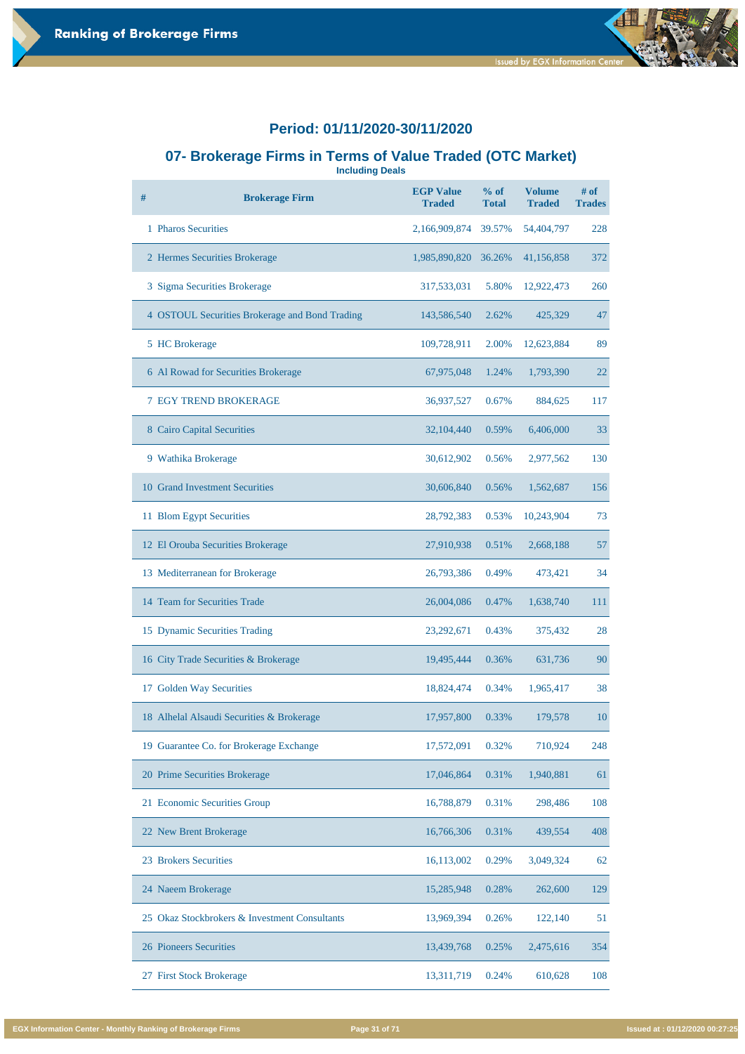#### **07- Brokerage Firms in Terms of Value Traded (OTC Market)**

**Including Deals**

| # | <b>Brokerage Firm</b>                          | <b>EGP Value</b><br><b>Traded</b> | % of<br><b>Total</b> | <b>Volume</b><br><b>Traded</b> | # of<br><b>Trades</b> |
|---|------------------------------------------------|-----------------------------------|----------------------|--------------------------------|-----------------------|
|   | 1 Pharos Securities                            | 2,166,909,874                     | 39.57%               | 54,404,797                     | 228                   |
|   | 2 Hermes Securities Brokerage                  | 1,985,890,820                     | 36.26%               | 41,156,858                     | 372                   |
|   | 3 Sigma Securities Brokerage                   | 317,533,031                       | 5.80%                | 12,922,473                     | 260                   |
|   | 4 OSTOUL Securities Brokerage and Bond Trading | 143,586,540                       | 2.62%                | 425,329                        | 47                    |
|   | 5 HC Brokerage                                 | 109,728,911                       | 2.00%                | 12,623,884                     | 89                    |
|   | 6 Al Rowad for Securities Brokerage            | 67,975,048                        | 1.24%                | 1,793,390                      | 22                    |
|   | <b>7 EGY TREND BROKERAGE</b>                   | 36,937,527                        | 0.67%                | 884,625                        | 117                   |
|   | <b>8 Cairo Capital Securities</b>              | 32,104,440                        | 0.59%                | 6,406,000                      | 33                    |
|   | 9 Wathika Brokerage                            | 30,612,902                        | 0.56%                | 2,977,562                      | 130                   |
|   | 10 Grand Investment Securities                 | 30,606,840                        | 0.56%                | 1,562,687                      | 156                   |
|   | 11 Blom Egypt Securities                       | 28,792,383                        | 0.53%                | 10,243,904                     | 73                    |
|   | 12 El Orouba Securities Brokerage              | 27,910,938                        | 0.51%                | 2,668,188                      | 57                    |
|   | 13 Mediterranean for Brokerage                 | 26,793,386                        | 0.49%                | 473,421                        | 34                    |
|   | 14 Team for Securities Trade                   | 26,004,086                        | 0.47%                | 1,638,740                      | 111                   |
|   | 15 Dynamic Securities Trading                  | 23,292,671                        | 0.43%                | 375,432                        | 28                    |
|   | 16 City Trade Securities & Brokerage           | 19,495,444                        | 0.36%                | 631,736                        | 90                    |
|   | 17 Golden Way Securities                       | 18,824,474                        | 0.34%                | 1,965,417                      | 38                    |
|   | 18 Alhelal Alsaudi Securities & Brokerage      | 17,957,800                        | 0.33%                | 179,578                        | 10                    |
|   | 19 Guarantee Co. for Brokerage Exchange        | 17,572,091                        | 0.32%                | 710,924                        | 248                   |

| 20 Prime Securities Brokerage                 | 17,046,864 | 0.31% | 1,940,881 | 61  |
|-----------------------------------------------|------------|-------|-----------|-----|
| 21 Economic Securities Group                  | 16,788,879 | 0.31% | 298,486   | 108 |
| 22 New Brent Brokerage                        | 16,766,306 | 0.31% | 439,554   | 408 |
| 23 Brokers Securities                         | 16,113,002 | 0.29% | 3,049,324 | 62  |
| 24 Naeem Brokerage                            | 15,285,948 | 0.28% | 262,600   | 129 |
| 25 Okaz Stockbrokers & Investment Consultants | 13,969,394 | 0.26% | 122,140   | 51  |
| 26 Pioneers Securities                        | 13,439,768 | 0.25% | 2,475,616 | 354 |
| 27 First Stock Brokerage                      | 13,311,719 | 0.24% | 610,628   | 108 |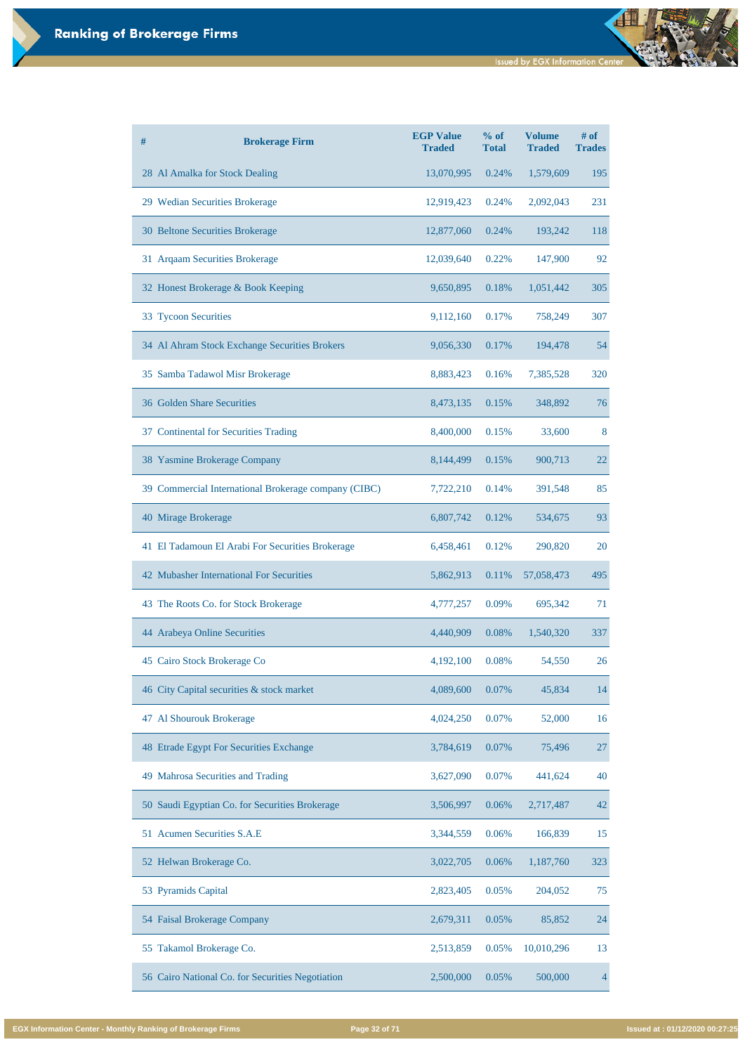| #  | <b>Brokerage Firm</b>                                | <b>EGP Value</b><br><b>Traded</b> | % of<br><b>Total</b> | <b>Volume</b><br><b>Traded</b> | # of<br><b>Trades</b> |
|----|------------------------------------------------------|-----------------------------------|----------------------|--------------------------------|-----------------------|
|    | 28 Al Amalka for Stock Dealing                       | 13,070,995                        | 0.24%                | 1,579,609                      | 195                   |
|    | 29 Wedian Securities Brokerage                       | 12,919,423                        | 0.24%                | 2,092,043                      | 231                   |
|    | 30 Beltone Securities Brokerage                      | 12,877,060                        | 0.24%                | 193,242                        | 118                   |
|    | 31 Arqaam Securities Brokerage                       | 12,039,640                        | 0.22%                | 147,900                        | 92                    |
|    | 32 Honest Brokerage & Book Keeping                   | 9,650,895                         | 0.18%                | 1,051,442                      | 305                   |
|    | 33 Tycoon Securities                                 | 9,112,160                         | 0.17%                | 758,249                        | 307                   |
|    | 34 Al Ahram Stock Exchange Securities Brokers        | 9,056,330                         | 0.17%                | 194,478                        | 54                    |
|    | 35 Samba Tadawol Misr Brokerage                      | 8,883,423                         | 0.16%                | 7,385,528                      | 320                   |
|    | 36 Golden Share Securities                           | 8,473,135                         | 0.15%                | 348,892                        | 76                    |
|    | 37 Continental for Securities Trading                | 8,400,000                         | 0.15%                | 33,600                         | 8                     |
|    | 38 Yasmine Brokerage Company                         | 8,144,499                         | 0.15%                | 900,713                        | 22                    |
|    | 39 Commercial International Brokerage company (CIBC) | 7,722,210                         | 0.14%                | 391,548                        | 85                    |
|    | 40 Mirage Brokerage                                  | 6,807,742                         | 0.12%                | 534,675                        | 93                    |
|    | 41 El Tadamoun El Arabi For Securities Brokerage     | 6,458,461                         | 0.12%                | 290,820                        | <b>20</b>             |
|    | 42 Mubasher International For Securities             | 5,862,913                         | 0.11%                | 57,058,473                     | 495                   |
|    | 43 The Roots Co. for Stock Brokerage                 | 4,777,257                         | 0.09%                | 695,342                        | 71                    |
|    | 44 Arabeya Online Securities                         | 4,440,909                         | 0.08%                | 1,540,320                      | 337                   |
|    | 45 Cairo Stock Brokerage Co                          | 4,192,100                         | 0.08%                | 54,550                         | 26                    |
|    | 46 City Capital securities & stock market            | 4,089,600                         | 0.07%                | 45,834                         | 14                    |
| 47 | <b>Al Shourouk Brokerage</b>                         | 4,024,250                         | 0.07%                | 52,000                         | 16                    |
|    | 48 Etrade Egypt For Securities Exchange              | 3,784,619                         | 0.07%                | 75,496                         | 27                    |

| 49 Mahrosa Securities and Trading                | 3,627,090 | 0.07%    | 441,624    | 40  |
|--------------------------------------------------|-----------|----------|------------|-----|
| 50 Saudi Egyptian Co. for Securities Brokerage   | 3,506,997 | 0.06%    | 2,717,487  | 42  |
| 51 Acumen Securities S.A.E                       | 3,344,559 | 0.06%    | 166,839    | 15  |
| 52 Helwan Brokerage Co.                          | 3,022,705 | 0.06%    | 1,187,760  | 323 |
| 53 Pyramids Capital                              | 2,823,405 | 0.05%    | 204,052    | 75  |
| 54 Faisal Brokerage Company                      | 2,679,311 | $0.05\%$ | 85,852     | 24  |
| 55 Takamol Brokerage Co.                         | 2,513,859 | 0.05%    | 10,010,296 | 13  |
| 56 Cairo National Co. for Securities Negotiation | 2,500,000 | 0.05%    | 500,000    |     |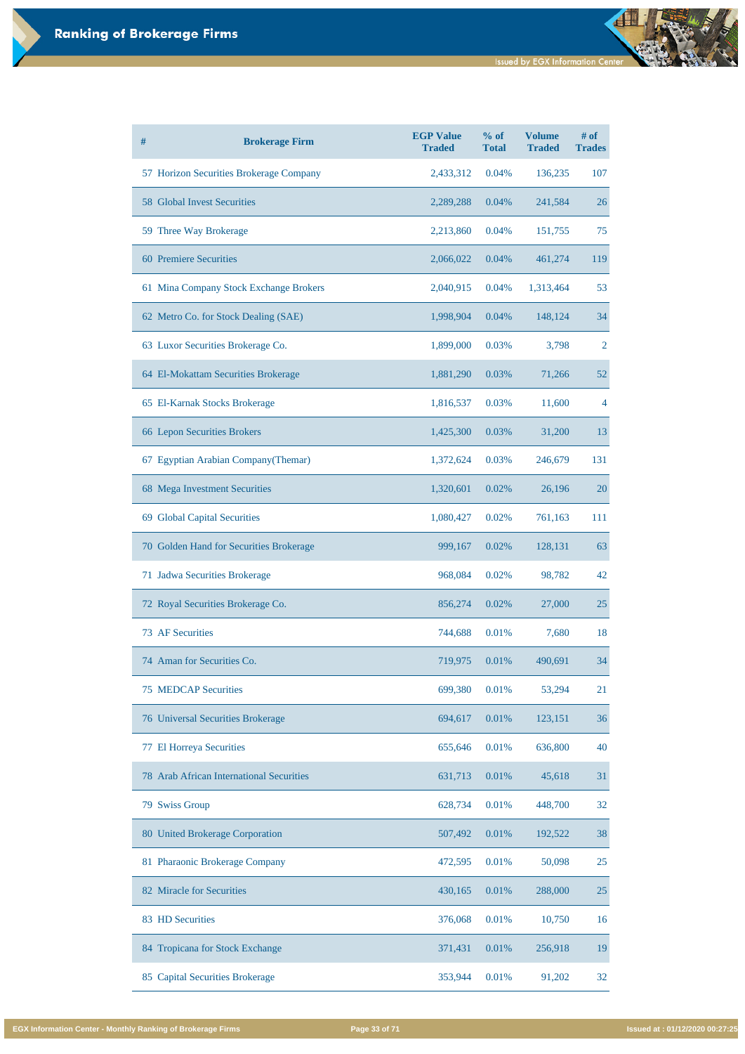| $\#$ | <b>Brokerage Firm</b>                   | <b>EGP Value</b><br><b>Traded</b> | % of<br><b>Total</b> | <b>Volume</b><br><b>Traded</b> | $#$ of<br><b>Trades</b> |
|------|-----------------------------------------|-----------------------------------|----------------------|--------------------------------|-------------------------|
|      | 57 Horizon Securities Brokerage Company | 2,433,312                         | 0.04%                | 136,235                        | 107                     |
|      | <b>58 Global Invest Securities</b>      | 2,289,288                         | 0.04%                | 241,584                        | 26                      |
|      | 59 Three Way Brokerage                  | 2,213,860                         | 0.04%                | 151,755                        | 75                      |
|      | <b>60 Premiere Securities</b>           | 2,066,022                         | 0.04%                | 461,274                        | 119                     |
|      | 61 Mina Company Stock Exchange Brokers  | 2,040,915                         | 0.04%                | 1,313,464                      | 53                      |
|      | 62 Metro Co. for Stock Dealing (SAE)    | 1,998,904                         | 0.04%                | 148,124                        | 34                      |
|      | 63 Luxor Securities Brokerage Co.       | 1,899,000                         | 0.03%                | 3,798                          | $\overline{2}$          |
|      | 64 El-Mokattam Securities Brokerage     | 1,881,290                         | 0.03%                | 71,266                         | 52                      |
|      | 65 El-Karnak Stocks Brokerage           | 1,816,537                         | 0.03%                | 11,600                         | 4                       |
|      | <b>66 Lepon Securities Brokers</b>      | 1,425,300                         | 0.03%                | 31,200                         | 13                      |
|      | 67 Egyptian Arabian Company (Themar)    | 1,372,624                         | 0.03%                | 246,679                        | 131                     |
|      | 68 Mega Investment Securities           | 1,320,601                         | 0.02%                | 26,196                         | 20                      |
|      | 69 Global Capital Securities            | 1,080,427                         | 0.02%                | 761,163                        | 111                     |
|      | 70 Golden Hand for Securities Brokerage | 999,167                           | 0.02%                | 128,131                        | 63                      |
|      | 71 Jadwa Securities Brokerage           | 968,084                           | 0.02%                | 98,782                         | 42                      |
|      | 72 Royal Securities Brokerage Co.       | 856,274                           | 0.02%                | 27,000                         | 25                      |
|      | <b>73 AF Securities</b>                 | 744,688                           | 0.01%                | 7,680                          | 18                      |
|      | 74 Aman for Securities Co.              | 719,975                           | 0.01%                | 490,691                        | 34                      |
|      | <b>75 MEDCAP Securities</b>             | 699,380                           | 0.01%                | 53,294                         | 21                      |
|      | 76 Universal Securities Brokerage       | 694,617                           | 0.01%                | 123,151                        | 36                      |
|      | 77 El Horreya Securities                | 655,646                           | 0.01%                | 636,800                        | 40                      |

| 78 Arab African International Securities  | 631,713 | 0.01% | 45,618  | 31 |
|-------------------------------------------|---------|-------|---------|----|
| 79 Swiss Group                            | 628,734 | 0.01% | 448,700 | 32 |
| 80 United Brokerage Corporation           | 507,492 | 0.01% | 192,522 | 38 |
| 81 Pharaonic Brokerage Company            | 472,595 | 0.01% | 50,098  | 25 |
| 82 Miracle for Securities                 | 430,165 | 0.01% | 288,000 | 25 |
| 83 HD Securities                          | 376,068 | 0.01% | 10,750  | 16 |
| 84 Tropicana for Stock Exchange           | 371,431 | 0.01% | 256,918 | 19 |
| <b>Capital Securities Brokerage</b><br>85 | 353,944 | 0.01% | 91,202  | 32 |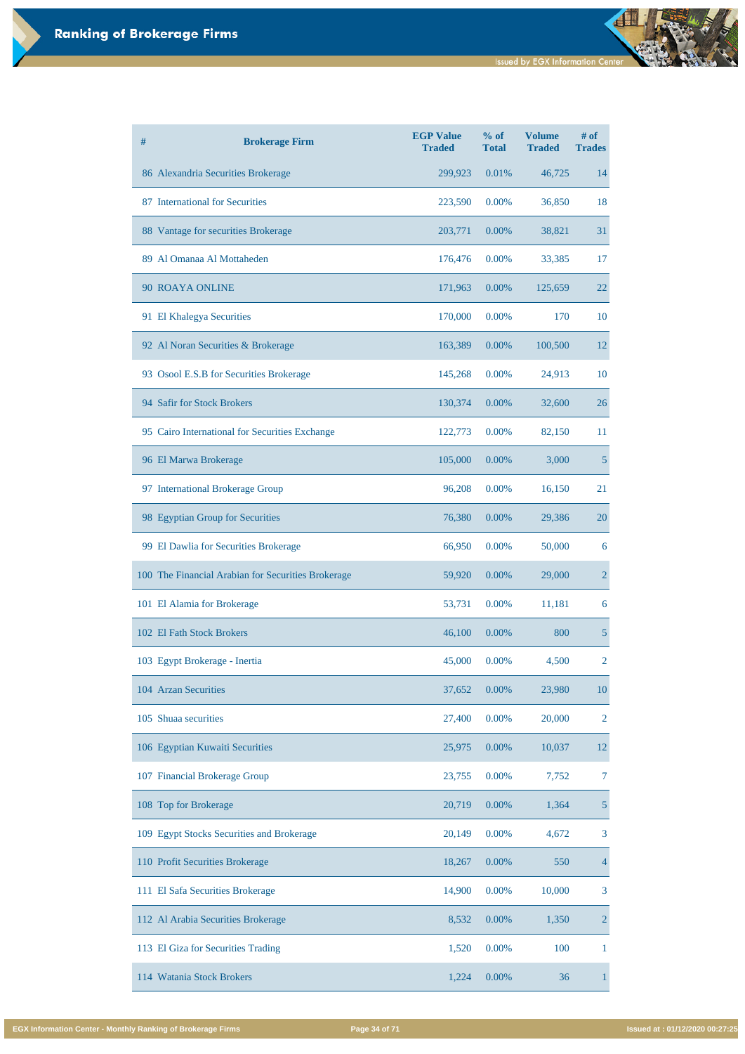| # | <b>Brokerage Firm</b>                              | <b>EGP Value</b><br><b>Traded</b> | % of<br><b>Total</b> | <b>Volume</b><br><b>Traded</b> | $#$ of<br><b>Trades</b> |
|---|----------------------------------------------------|-----------------------------------|----------------------|--------------------------------|-------------------------|
|   | 86 Alexandria Securities Brokerage                 | 299,923                           | 0.01%                | 46,725                         | 14                      |
|   | 87 International for Securities                    | 223,590                           | 0.00%                | 36,850                         | 18                      |
|   | 88 Vantage for securities Brokerage                | 203,771                           | 0.00%                | 38,821                         | 31                      |
|   | 89 Al Omanaa Al Mottaheden                         | 176,476                           | 0.00%                | 33,385                         | 17                      |
|   | 90 ROAYA ONLINE                                    | 171,963                           | 0.00%                | 125,659                        | 22                      |
|   | 91 El Khalegya Securities                          | 170,000                           | 0.00%                | 170                            | 10                      |
|   | 92 Al Noran Securities & Brokerage                 | 163,389                           | 0.00%                | 100,500                        | 12                      |
|   | 93 Osool E.S.B for Securities Brokerage            | 145,268                           | 0.00%                | 24,913                         | 10                      |
|   | 94 Safir for Stock Brokers                         | 130,374                           | 0.00%                | 32,600                         | 26                      |
|   | 95 Cairo International for Securities Exchange     | 122,773                           | 0.00%                | 82,150                         | 11                      |
|   | 96 El Marwa Brokerage                              | 105,000                           | 0.00%                | 3,000                          | $5\overline{)}$         |
|   | 97 International Brokerage Group                   | 96,208                            | 0.00%                | 16,150                         | 21                      |
|   | 98 Egyptian Group for Securities                   | 76,380                            | 0.00%                | 29,386                         | 20                      |
|   | 99 El Dawlia for Securities Brokerage              | 66,950                            | 0.00%                | 50,000                         | 6                       |
|   | 100 The Financial Arabian for Securities Brokerage | 59,920                            | 0.00%                | 29,000                         | $\overline{2}$          |
|   | 101 El Alamia for Brokerage                        | 53,731                            | 0.00%                | 11,181                         | 6                       |
|   | 102 El Fath Stock Brokers                          | 46,100                            | 0.00%                | 800                            | $5\overline{)}$         |
|   | 103 Egypt Brokerage - Inertia                      | 45,000                            | 0.00%                | 4,500                          | $\overline{2}$          |
|   | 104 Arzan Securities                               | 37,652                            | 0.00%                | 23,980                         | 10                      |
|   | 105 Shuaa securities                               | 27,400                            | 0.00%                | 20,000                         | $\overline{2}$          |
|   | 106 Egyptian Kuwaiti Securities                    | 25,975                            | 0.00%                | 10,037                         | 12                      |

| 107 Financial Brokerage Group             | 23,755 | $0.00\%$ | 7,752  | 7              |
|-------------------------------------------|--------|----------|--------|----------------|
| 108 Top for Brokerage                     | 20,719 | $0.00\%$ | 1,364  | 5              |
| 109 Egypt Stocks Securities and Brokerage | 20,149 | $0.00\%$ | 4,672  | 3              |
| 110 Profit Securities Brokerage           | 18,267 | $0.00\%$ | 550    | $\overline{4}$ |
| 111 El Safa Securities Brokerage          | 14,900 | $0.00\%$ | 10,000 | 3              |
| 112 Al Arabia Securities Brokerage        | 8,532  | $0.00\%$ | 1,350  | $\overline{2}$ |
| 113 El Giza for Securities Trading        | 1,520  | $0.00\%$ | 100    |                |
| 114 Watania Stock Brokers                 | 1,224  | $0.00\%$ | 36     |                |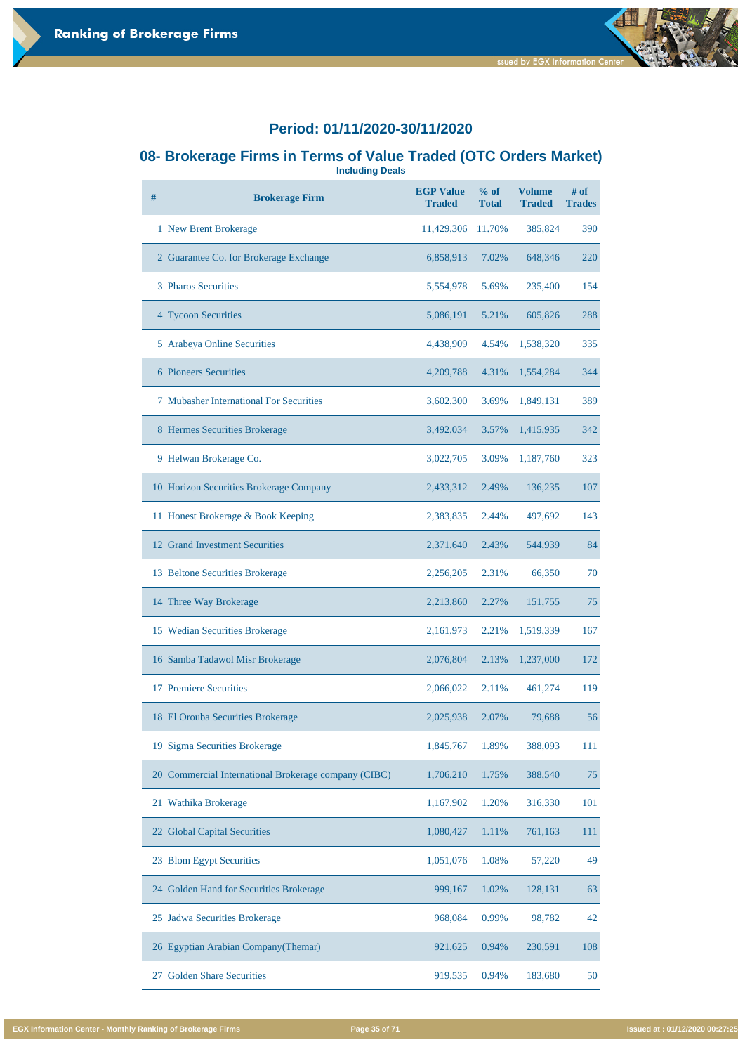#### **08- Brokerage Firms in Terms of Value Traded (OTC Orders Market) Including Deals**

**# Brokerage Firm EGP Value Traded % of Total Volume Traded # of Trades** New Brent Brokerage 11,429,306 11.70% 385,824 390 2 Guarantee Co. for Brokerage Exchange 6,858,913 7.02% 648,346 220 Pharos Securities 5,554,978 5.69% 235,400 154 Tycoon Securities 5,086,191 5.21% 605,826 288 Arabeya Online Securities 4,438,909 4.54% 1,538,320 335 Pioneers Securities 4,209,788 4.31% 1,554,284 344 Mubasher International For Securities 3,602,300 3.69% 1,849,131 389 Hermes Securities Brokerage 3,492,034 3.57% 1,415,935 342 Helwan Brokerage Co. 3,022,705 3.09% 1,187,760 323 Horizon Securities Brokerage Company 2,433,312 2.49% 136,235 107 Honest Brokerage & Book Keeping 2,383,835 2.44% 497,692 143 Grand Investment Securities 2,371,640 2.43% 544,939 84 Beltone Securities Brokerage 2,256,205 2.31% 66,350 70 14 Three Way Brokerage 2,213,860 2.27% 151,755 75 Wedian Securities Brokerage 2,161,973 2.21% 1,519,339 167 Samba Tadawol Misr Brokerage 2,076,804 2.13% 1,237,000 172 Premiere Securities 2,066,022 2.11% 461,274 119 El Orouba Securities Brokerage 2,025,938 2.07% 79,688 56 Sigma Securities Brokerage 1,845,767 1.89% 388,093 111

| 20 Commercial International Brokerage company (CIBC) | 1,706,210 | 1.75% | 388,540 | 75  |
|------------------------------------------------------|-----------|-------|---------|-----|
| 21 Wathika Brokerage                                 | 1,167,902 | 1.20% | 316,330 | 101 |
| 22 Global Capital Securities                         | 1,080,427 | 1.11% | 761,163 | 111 |
| 23 Blom Egypt Securities                             | 1,051,076 | 1.08% | 57,220  | 49  |
| 24 Golden Hand for Securities Brokerage              | 999,167   | 1.02% | 128,131 | 63  |
| 25 Jadwa Securities Brokerage                        | 968,084   | 0.99% | 98,782  | 42  |
| 26 Egyptian Arabian Company (Themar)                 | 921,625   | 0.94% | 230,591 | 108 |
| <b>Golden Share Securities</b><br>27                 | 919,535   | 0.94% | 183,680 | 50  |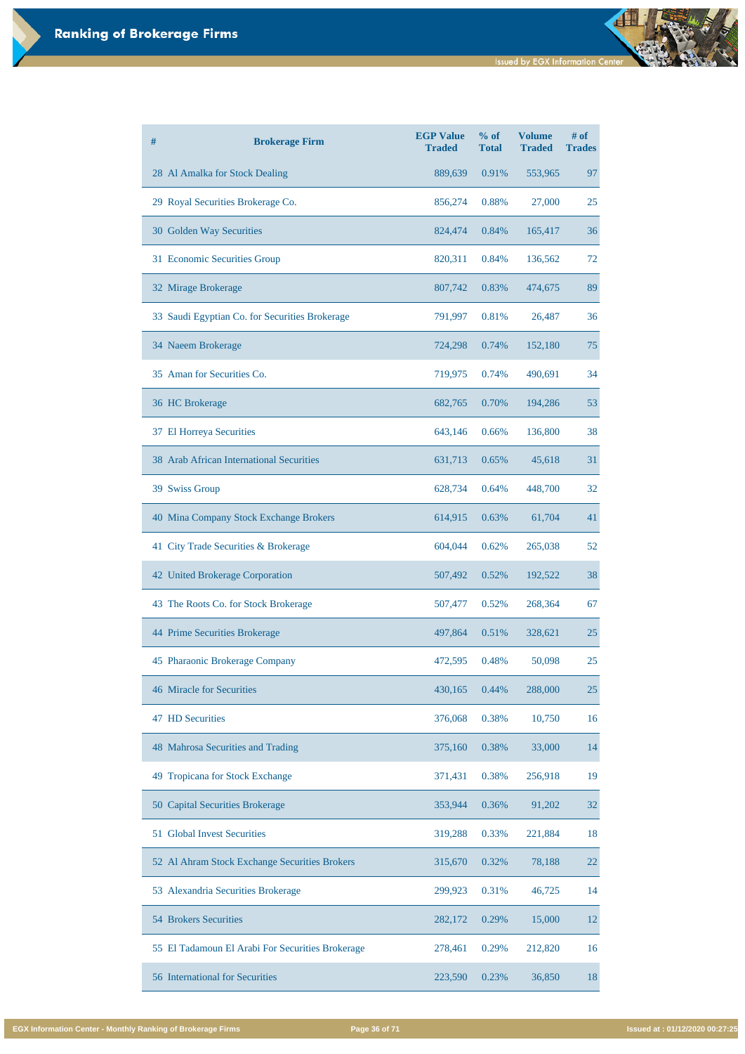| # | <b>Brokerage Firm</b>                          | <b>EGP Value</b><br><b>Traded</b> | $%$ of<br><b>Total</b> | <b>Volume</b><br><b>Traded</b> | # of<br><b>Trades</b> |
|---|------------------------------------------------|-----------------------------------|------------------------|--------------------------------|-----------------------|
|   | 28 Al Amalka for Stock Dealing                 | 889,639                           | 0.91%                  | 553,965                        | 97                    |
|   | 29 Royal Securities Brokerage Co.              | 856,274                           | 0.88%                  | 27,000                         | 25                    |
|   | 30 Golden Way Securities                       | 824,474                           | 0.84%                  | 165,417                        | 36                    |
|   | 31 Economic Securities Group                   | 820,311                           | 0.84%                  | 136,562                        | 72                    |
|   | 32 Mirage Brokerage                            | 807,742                           | 0.83%                  | 474,675                        | 89                    |
|   | 33 Saudi Egyptian Co. for Securities Brokerage | 791,997                           | 0.81%                  | 26,487                         | 36                    |
|   | 34 Naeem Brokerage                             | 724,298                           | 0.74%                  | 152,180                        | 75                    |
|   | 35 Aman for Securities Co.                     | 719,975                           | 0.74%                  | 490,691                        | 34                    |
|   | 36 HC Brokerage                                | 682,765                           | 0.70%                  | 194,286                        | 53                    |
|   | 37 El Horreya Securities                       | 643,146                           | 0.66%                  | 136,800                        | 38                    |
|   | 38 Arab African International Securities       | 631,713                           | 0.65%                  | 45,618                         | 31                    |
|   | 39 Swiss Group                                 | 628,734                           | 0.64%                  | 448,700                        | 32                    |
|   | 40 Mina Company Stock Exchange Brokers         | 614,915                           | 0.63%                  | 61,704                         | 41                    |
|   | 41 City Trade Securities & Brokerage           | 604,044                           | 0.62%                  | 265,038                        | 52                    |
|   | <b>42 United Brokerage Corporation</b>         | 507,492                           | 0.52%                  | 192,522                        | 38                    |
|   | 43 The Roots Co. for Stock Brokerage           | 507,477                           | 0.52%                  | 268,364                        | 67                    |
|   | 44 Prime Securities Brokerage                  | 497,864                           | 0.51%                  | 328,621                        | 25                    |
|   | 45 Pharaonic Brokerage Company                 | 472,595                           | 0.48%                  | 50,098                         | 25                    |
|   | <b>46 Miracle for Securities</b>               | 430,165                           | 0.44%                  | 288,000                        | 25                    |
|   | <b>47 HD Securities</b>                        | 376,068                           | 0.38%                  | 10,750                         | 16                    |
|   | 48 Mahrosa Securities and Trading              | 375,160                           | 0.38%                  | 33,000                         | 14                    |

| 49 Tropicana for Stock Exchange                  | 371,431 | 0.38% | 256,918 | 19 |
|--------------------------------------------------|---------|-------|---------|----|
| 50 Capital Securities Brokerage                  | 353,944 | 0.36% | 91,202  | 32 |
| 51 Global Invest Securities                      | 319,288 | 0.33% | 221,884 | 18 |
| 52 Al Ahram Stock Exchange Securities Brokers    | 315,670 | 0.32% | 78,188  | 22 |
| 53 Alexandria Securities Brokerage               | 299,923 | 0.31% | 46,725  | 14 |
| <b>54 Brokers Securities</b>                     | 282,172 | 0.29% | 15,000  | 12 |
| 55 El Tadamoun El Arabi For Securities Brokerage | 278,461 | 0.29% | 212,820 | 16 |
| 56 International for Securities                  | 223,590 | 0.23% | 36,850  | 18 |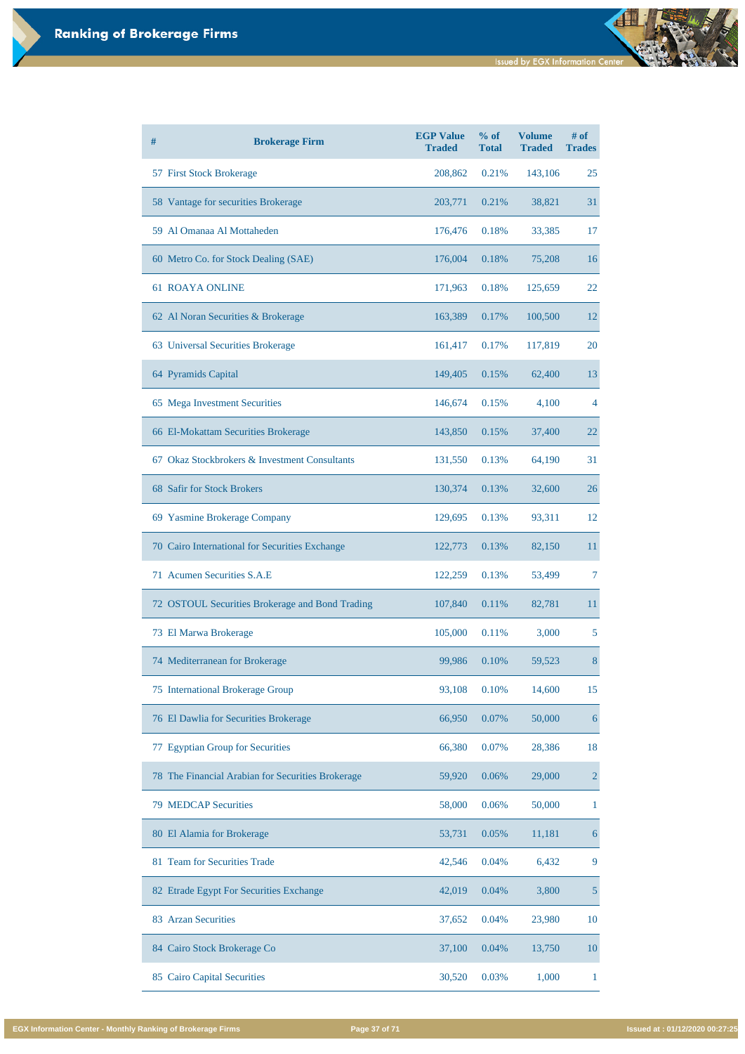| # | <b>Brokerage Firm</b>                           | <b>EGP Value</b><br><b>Traded</b> | % of<br><b>Total</b> | <b>Volume</b><br><b>Traded</b> | $#$ of<br><b>Trades</b> |
|---|-------------------------------------------------|-----------------------------------|----------------------|--------------------------------|-------------------------|
|   | 57 First Stock Brokerage                        | 208,862                           | 0.21%                | 143,106                        | 25                      |
|   | 58 Vantage for securities Brokerage             | 203,771                           | 0.21%                | 38,821                         | 31                      |
|   | 59 Al Omanaa Al Mottaheden                      | 176,476                           | 0.18%                | 33,385                         | 17                      |
|   | 60 Metro Co. for Stock Dealing (SAE)            | 176,004                           | 0.18%                | 75,208                         | 16                      |
|   | <b>61 ROAYA ONLINE</b>                          | 171,963                           | 0.18%                | 125,659                        | 22                      |
|   | 62 Al Noran Securities & Brokerage              | 163,389                           | 0.17%                | 100,500                        | 12                      |
|   | 63 Universal Securities Brokerage               | 161,417                           | 0.17%                | 117,819                        | <b>20</b>               |
|   | 64 Pyramids Capital                             | 149,405                           | 0.15%                | 62,400                         | 13                      |
|   | 65 Mega Investment Securities                   | 146,674                           | 0.15%                | 4,100                          | 4                       |
|   | 66 El-Mokattam Securities Brokerage             | 143,850                           | 0.15%                | 37,400                         | 22                      |
|   | 67 Okaz Stockbrokers & Investment Consultants   | 131,550                           | 0.13%                | 64,190                         | 31                      |
|   | 68 Safir for Stock Brokers                      | 130,374                           | 0.13%                | 32,600                         | 26                      |
|   | 69 Yasmine Brokerage Company                    | 129,695                           | 0.13%                | 93,311                         | 12                      |
|   | 70 Cairo International for Securities Exchange  | 122,773                           | 0.13%                | 82,150                         | 11                      |
|   | 71 Acumen Securities S.A.E                      | 122,259                           | 0.13%                | 53,499                         | 7                       |
|   | 72 OSTOUL Securities Brokerage and Bond Trading | 107,840                           | 0.11%                | 82,781                         | 11                      |
|   | 73 El Marwa Brokerage                           | 105,000                           | 0.11%                | 3,000                          | 5                       |
|   | 74 Mediterranean for Brokerage                  | 99,986                            | 0.10%                | 59,523                         | 8                       |
|   | 75 International Brokerage Group                | 93,108                            | 0.10%                | 14,600                         | 15                      |
|   | 76 El Dawlia for Securities Brokerage           | 66,950                            | 0.07%                | 50,000                         | 6                       |
|   | 77 Egyptian Group for Securities                | 66,380                            | 0.07%                | 28,386                         | 18                      |

| 78 The Financial Arabian for Securities Brokerage | 59,920 | 0.06%    | 29,000 | 2  |
|---------------------------------------------------|--------|----------|--------|----|
| <b>79 MEDCAP Securities</b>                       | 58,000 | $0.06\%$ | 50,000 |    |
| 80 El Alamia for Brokerage                        | 53,731 | 0.05%    | 11,181 | 6  |
| 81 Team for Securities Trade                      | 42,546 | 0.04%    | 6,432  | 9  |
| 82 Etrade Egypt For Securities Exchange           | 42,019 | 0.04%    | 3,800  | 5  |
| 83 Arzan Securities                               | 37,652 | 0.04%    | 23,980 | 10 |
| 84 Cairo Stock Brokerage Co                       | 37,100 | $0.04\%$ | 13,750 | 10 |
| <b>Cairo Capital Securities</b><br>85             | 30,520 | 0.03%    | 1,000  |    |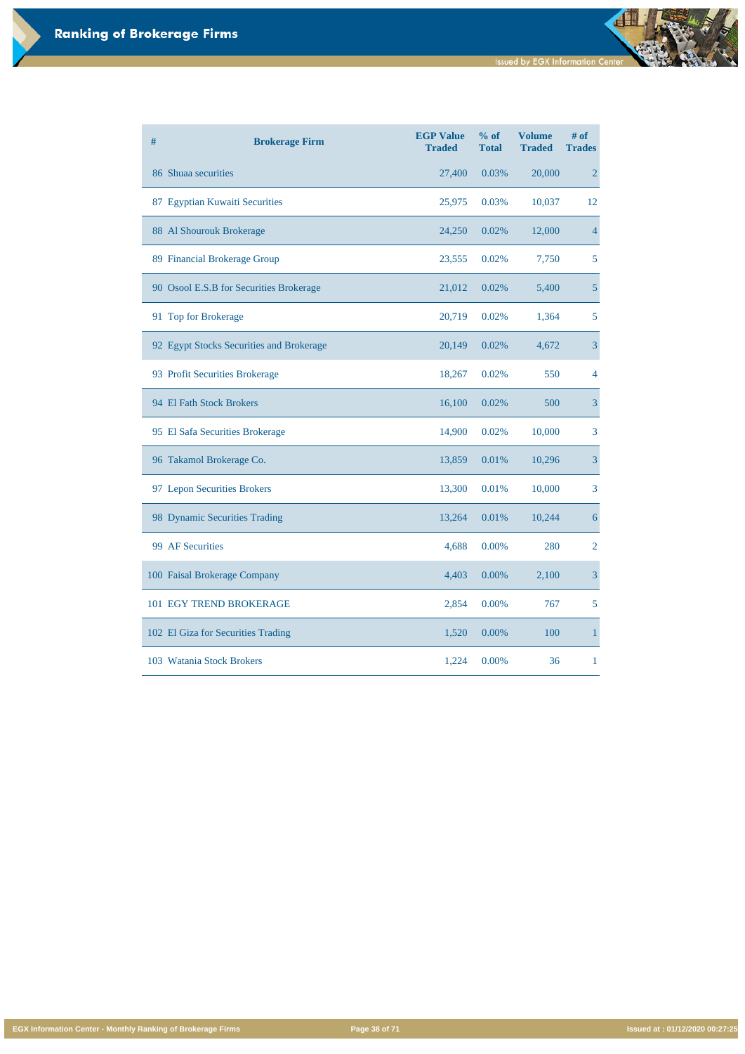**EGX Information Center - Monthly Ranking of Brokerage Firms Page 38 of 71 Issued at : 01/12/2020 00:27:25**

| # | <b>Brokerage Firm</b>                    | <b>EGP Value</b><br><b>Traded</b> | % of<br><b>Total</b> | <b>Volume</b><br><b>Traded</b> | # of<br><b>Trades</b> |
|---|------------------------------------------|-----------------------------------|----------------------|--------------------------------|-----------------------|
|   | 86 Shuaa securities                      | 27,400                            | 0.03%                | 20,000                         | $\overline{2}$        |
|   | 87 Egyptian Kuwaiti Securities           | 25,975                            | 0.03%                | 10,037                         | 12                    |
|   | 88 Al Shourouk Brokerage                 | 24,250                            | 0.02%                | 12,000                         | $\overline{4}$        |
|   | 89 Financial Brokerage Group             | 23,555                            | 0.02%                | 7,750                          | 5                     |
|   | 90 Osool E.S.B for Securities Brokerage  | 21,012                            | 0.02%                | 5,400                          | $5\overline{)}$       |
|   | 91 Top for Brokerage                     | 20,719                            | 0.02%                | 1,364                          | 5                     |
|   | 92 Egypt Stocks Securities and Brokerage | 20,149                            | 0.02%                | 4,672                          | $\overline{3}$        |
|   | 93 Profit Securities Brokerage           | 18,267                            | 0.02%                | 550                            | $\overline{4}$        |
|   | 94 El Fath Stock Brokers                 | 16,100                            | 0.02%                | 500                            | $\overline{3}$        |
|   | 95 El Safa Securities Brokerage          | 14,900                            | 0.02%                | 10,000                         | 3                     |
|   | 96 Takamol Brokerage Co.                 | 13,859                            | 0.01%                | 10,296                         | $\overline{3}$        |
|   | 97 Lepon Securities Brokers              | 13,300                            | 0.01%                | 10,000                         | 3                     |
|   | 98 Dynamic Securities Trading            | 13,264                            | 0.01%                | 10,244                         | $\boldsymbol{6}$      |
|   | 99 AF Securities                         | 4,688                             | 0.00%                | 280                            | $\overline{2}$        |
|   | 100 Faisal Brokerage Company             | 4,403                             | 0.00%                | 2,100                          | $\overline{3}$        |
|   | 101 EGY TREND BROKERAGE                  | 2,854                             | 0.00%                | 767                            | 5                     |
|   | 102 El Giza for Securities Trading       | 1,520                             | 0.00%                | 100                            | $\mathbf{1}$          |
|   | 103 Watania Stock Brokers                | 1,224                             | 0.00%                | 36                             | $\mathbf{1}$          |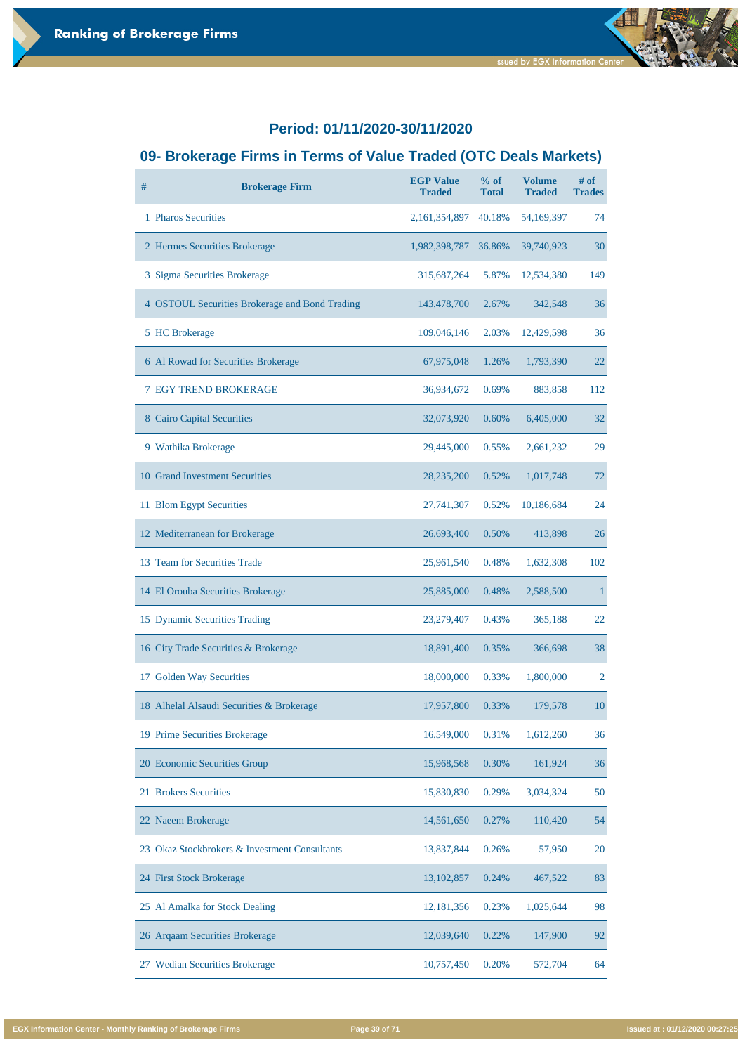# **09- Brokerage Firms in Terms of Value Traded (OTC Deals Markets)**

| $\#$ | <b>Brokerage Firm</b>                                 | <b>EGP Value</b><br><b>Traded</b> | % of<br><b>Total</b> | <b>Volume</b><br><b>Traded</b> | $#$ of<br><b>Trades</b> |
|------|-------------------------------------------------------|-----------------------------------|----------------------|--------------------------------|-------------------------|
|      | 1 Pharos Securities                                   | 2, 161, 354, 897                  | 40.18%               | 54,169,397                     | 74                      |
|      | 2 Hermes Securities Brokerage                         | 1,982,398,787                     | 36.86%               | 39,740,923                     | 30                      |
|      | 3 Sigma Securities Brokerage                          | 315,687,264                       | 5.87%                | 12,534,380                     | 149                     |
|      | 4 OSTOUL Securities Brokerage and Bond Trading        | 143,478,700                       | 2.67%                | 342,548                        | 36                      |
|      | 5 HC Brokerage                                        | 109,046,146                       | 2.03%                | 12,429,598                     | 36                      |
|      | 6 Al Rowad for Securities Brokerage                   | 67,975,048                        | 1.26%                | 1,793,390                      | 22                      |
|      | <b>7 EGY TREND BROKERAGE</b>                          | 36,934,672                        | 0.69%                | 883,858                        | 112                     |
|      | 8 Cairo Capital Securities                            | 32,073,920                        | 0.60%                | 6,405,000                      | 32                      |
|      | 9 Wathika Brokerage                                   | 29,445,000                        | 0.55%                | 2,661,232                      | 29                      |
|      | 10 Grand Investment Securities                        | 28, 235, 200                      | 0.52%                | 1,017,748                      | 72                      |
|      | 11 Blom Egypt Securities                              | 27,741,307                        | 0.52%                | 10,186,684                     | 24                      |
|      | 12 Mediterranean for Brokerage                        | 26,693,400                        | 0.50%                | 413,898                        | 26                      |
|      | 13 Team for Securities Trade                          | 25,961,540                        | 0.48%                | 1,632,308                      | 102                     |
|      | 14 El Orouba Securities Brokerage                     | 25,885,000                        | 0.48%                | 2,588,500                      | $\mathbf{1}$            |
|      | 15 Dynamic Securities Trading                         | 23,279,407                        | 0.43%                | 365,188                        | 22                      |
|      | 16 City Trade Securities & Brokerage                  | 18,891,400                        | 0.35%                | 366,698                        | 38                      |
|      | 17 Golden Way Securities                              | 18,000,000                        | 0.33%                | 1,800,000                      | $\overline{2}$          |
|      | 18 Alhelal Alsaudi Securities & Brokerage             | 17,957,800                        | 0.33%                | 179,578                        | 10                      |
|      | 19 Prime Securities Brokerage                         | 16,549,000                        | 0.31%                | 1,612,260                      | 36                      |
|      | 20 Economic Securities Group                          | 15,968,568                        | 0.30%                | 161,924                        | 36                      |
|      | 21 Brokers Securities                                 | 15,830,830                        | 0.29%                | 3,034,324                      | 50                      |
|      | 22 Naeem Brokerage                                    | 14,561,650                        | 0.27%                | 110,420                        | 54                      |
| 23   | <b>Okaz Stockbrokers &amp; Investment Consultants</b> | 13,837,844                        | 0.26%                | 57,950                         | 20                      |
|      | 24 First Stock Brokerage                              | 13, 102, 857                      | 0.24%                | 467,522                        | 83                      |
|      | 25 Al Amalka for Stock Dealing                        | 12,181,356                        | 0.23%                | 1,025,644                      | 98                      |
|      | 26 Arqaam Securities Brokerage                        | 12,039,640                        | 0.22%                | 147,900                        | 92                      |
|      | 27 Wedian Securities Brokerage                        | 10,757,450                        | 0.20%                | 572,704                        | 64                      |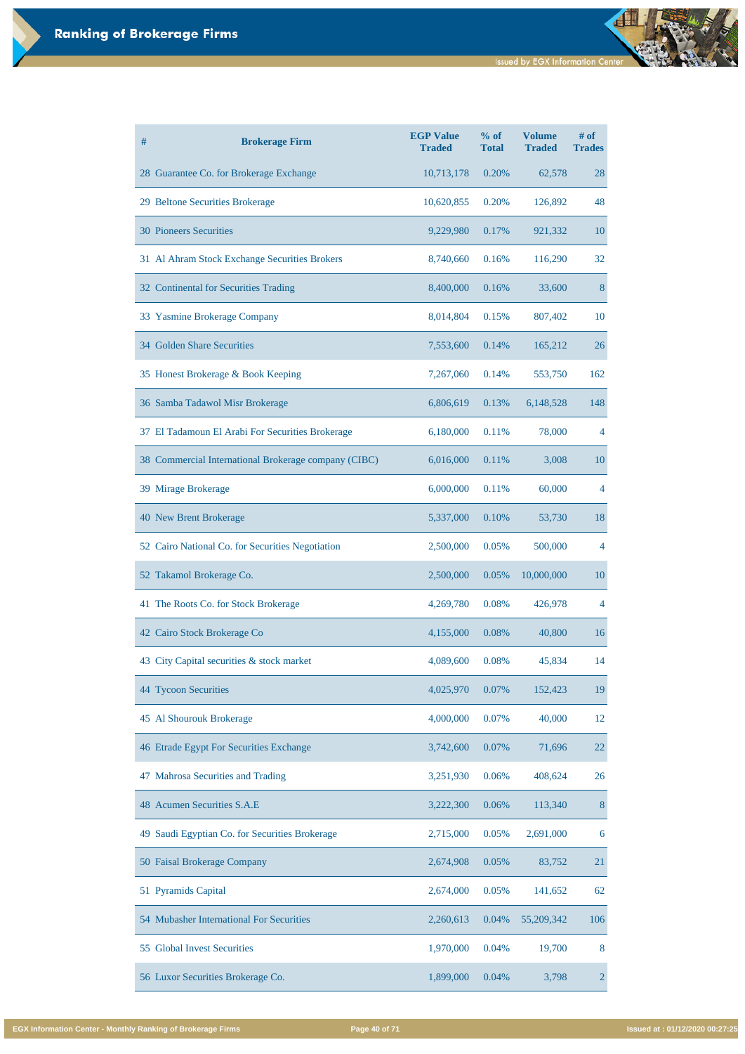| #<br><b>Brokerage Firm</b>                           | <b>EGP Value</b><br><b>Traded</b> | % of<br><b>Total</b> | <b>Volume</b><br><b>Traded</b> | # of<br><b>Trades</b> |
|------------------------------------------------------|-----------------------------------|----------------------|--------------------------------|-----------------------|
| 28 Guarantee Co. for Brokerage Exchange              | 10,713,178                        | 0.20%                | 62,578                         | 28                    |
| 29 Beltone Securities Brokerage                      | 10,620,855                        | 0.20%                | 126,892                        | 48                    |
| <b>30 Pioneers Securities</b>                        | 9,229,980                         | 0.17%                | 921,332                        | <b>10</b>             |
| 31 Al Ahram Stock Exchange Securities Brokers        | 8,740,660                         | 0.16%                | 116,290                        | 32                    |
| 32 Continental for Securities Trading                | 8,400,000                         | 0.16%                | 33,600                         | 8                     |
| 33 Yasmine Brokerage Company                         | 8,014,804                         | 0.15%                | 807,402                        | 10                    |
| 34 Golden Share Securities                           | 7,553,600                         | 0.14%                | 165,212                        | 26                    |
| 35 Honest Brokerage & Book Keeping                   | 7,267,060                         | 0.14%                | 553,750                        | 162                   |
| 36 Samba Tadawol Misr Brokerage                      | 6,806,619                         | 0.13%                | 6,148,528                      | 148                   |
| 37 El Tadamoun El Arabi For Securities Brokerage     | 6,180,000                         | 0.11%                | 78,000                         | 4                     |
| 38 Commercial International Brokerage company (CIBC) | 6,016,000                         | 0.11%                | 3,008                          | <b>10</b>             |
| 39 Mirage Brokerage                                  | 6,000,000                         | 0.11%                | 60,000                         | 4                     |
| 40 New Brent Brokerage                               | 5,337,000                         | 0.10%                | 53,730                         | 18                    |
| 52 Cairo National Co. for Securities Negotiation     | 2,500,000                         | 0.05%                | 500,000                        | 4                     |
| 52 Takamol Brokerage Co.                             | 2,500,000                         | 0.05%                | 10,000,000                     | 10                    |
| 41 The Roots Co. for Stock Brokerage                 | 4,269,780                         | 0.08%                | 426,978                        | 4                     |
| Cairo Stock Brokerage Co<br>42                       | 4,155,000                         | 0.08%                | 40,800                         | 16                    |
| City Capital securities & stock market<br>43         | 4,089,600                         | 0.08%                | 45,834                         | 14                    |
| 44 Tycoon Securities                                 | 4,025,970                         | 0.07%                | 152,423                        | 19                    |
| 45 Al Shourouk Brokerage                             | 4,000,000                         | 0.07%                | 40,000                         | 12                    |
| 46 Etrade Egypt For Securities Exchange              | 3,742,600                         | 0.07%                | 71,696                         | 22                    |

| 47 Mahrosa Securities and Trading              | 3,251,930 | 0.06%    | 408,624      | 26  |
|------------------------------------------------|-----------|----------|--------------|-----|
| 48 Acumen Securities S.A.E                     | 3,222,300 | 0.06%    | 113,340      | 8   |
| 49 Saudi Egyptian Co. for Securities Brokerage | 2,715,000 | 0.05%    | 2,691,000    | 6   |
| 50 Faisal Brokerage Company                    | 2,674,908 | 0.05%    | 83,752       | 21  |
| 51 Pyramids Capital                            | 2,674,000 | 0.05%    | 141,652      | 62  |
| 54 Mubasher International For Securities       | 2,260,613 | $0.04\%$ | 55, 209, 342 | 106 |
| 55 Global Invest Securities                    | 1,970,000 | 0.04%    | 19,700       | 8   |
| 56 Luxor Securities Brokerage Co.              | 1,899,000 | 0.04%    | 3,798        |     |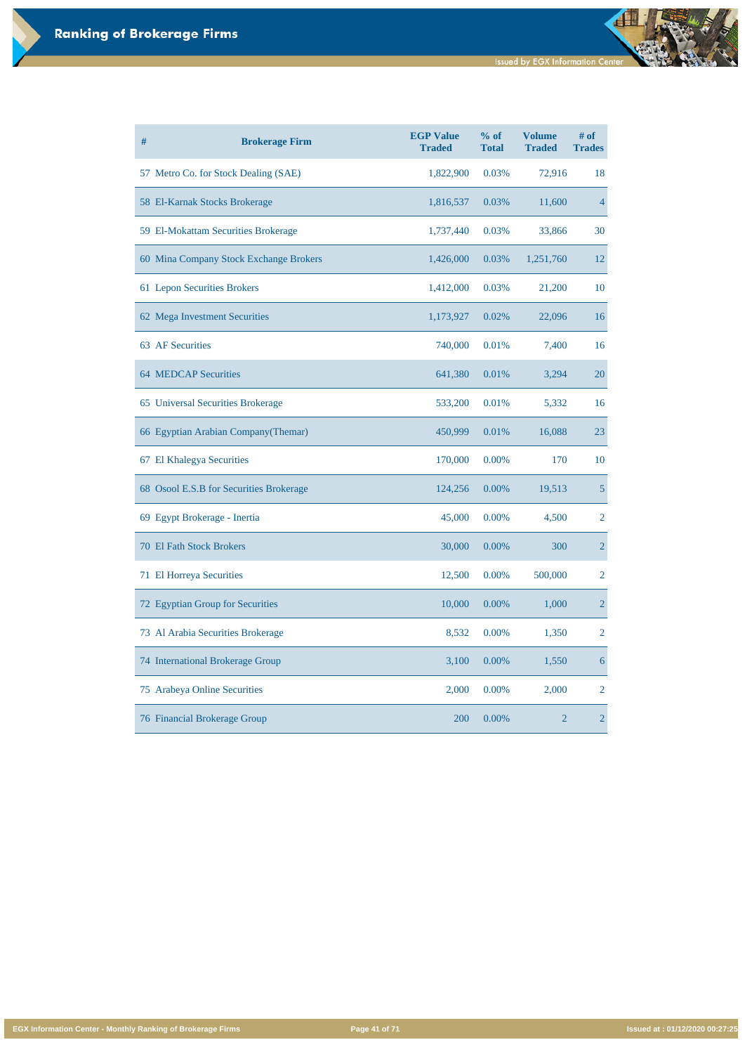**EGX Information Center - Monthly Ranking of Brokerage Firms Page 41 of 71 Issued at : 01/12/2020 00:27:25**

| #<br><b>Brokerage Firm</b>              | <b>EGP Value</b><br><b>Traded</b> | $%$ of<br><b>Total</b> | <b>Volume</b><br><b>Traded</b> | $#$ of<br><b>Trades</b> |
|-----------------------------------------|-----------------------------------|------------------------|--------------------------------|-------------------------|
| 57 Metro Co. for Stock Dealing (SAE)    | 1,822,900                         | 0.03%                  | 72,916                         | 18                      |
| 58 El-Karnak Stocks Brokerage           | 1,816,537                         | 0.03%                  | 11,600                         | $\overline{4}$          |
| 59 El-Mokattam Securities Brokerage     | 1,737,440                         | 0.03%                  | 33,866                         | 30                      |
| 60 Mina Company Stock Exchange Brokers  | 1,426,000                         | 0.03%                  | 1,251,760                      | 12                      |
| 61 Lepon Securities Brokers             | 1,412,000                         | 0.03%                  | 21,200                         | 10                      |
| 62 Mega Investment Securities           | 1,173,927                         | 0.02%                  | 22,096                         | 16                      |
| <b>63 AF Securities</b>                 | 740,000                           | 0.01%                  | 7,400                          | 16                      |
| <b>64 MEDCAP Securities</b>             | 641,380                           | 0.01%                  | 3,294                          | 20                      |
| 65 Universal Securities Brokerage       | 533,200                           | 0.01%                  | 5,332                          | 16                      |
| 66 Egyptian Arabian Company (Themar)    | 450,999                           | 0.01%                  | 16,088                         | 23                      |
| 67 El Khalegya Securities               | 170,000                           | 0.00%                  | 170                            | 10                      |
| 68 Osool E.S.B for Securities Brokerage | 124,256                           | 0.00%                  | 19,513                         | 5                       |
| 69 Egypt Brokerage - Inertia            | 45,000                            | 0.00%                  | 4,500                          | $\overline{2}$          |
| <b>70 El Fath Stock Brokers</b>         | 30,000                            | 0.00%                  | 300                            | $\overline{2}$          |
| 71 El Horreya Securities                | 12,500                            | 0.00%                  | 500,000                        | $\overline{2}$          |
| 72 Egyptian Group for Securities        | 10,000                            | 0.00%                  | 1,000                          | $\overline{2}$          |
| 73 Al Arabia Securities Brokerage       | 8,532                             | 0.00%                  | 1,350                          | 2                       |
| <b>74 International Brokerage Group</b> | 3,100                             | 0.00%                  | 1,550                          | 6                       |
| 75 Arabeya Online Securities            | 2,000                             | 0.00%                  | 2,000                          | 2                       |
| <b>76 Financial Brokerage Group</b>     | 200                               | 0.00%                  | $\overline{2}$                 | $\overline{2}$          |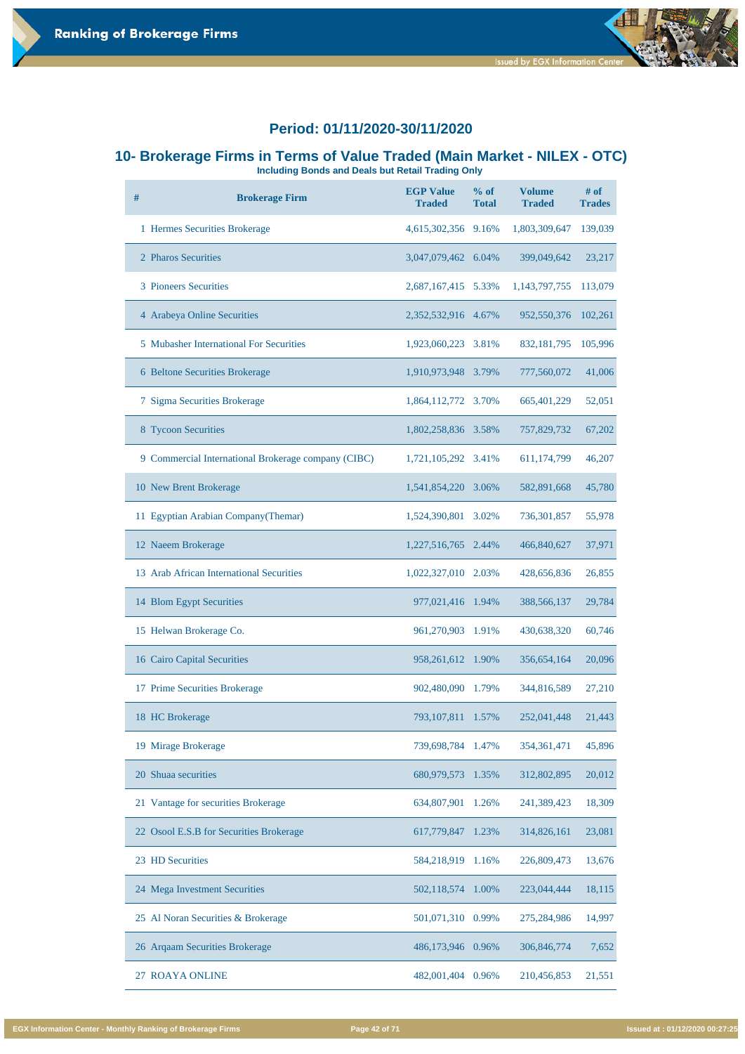



## **10- Brokerage Firms in Terms of Value Traded (Main Market - NILEX - OTC)**

**Including Bonds and Deals but Retail Trading Only** 

| # | <b>Brokerage Firm</b>                               | <b>EGP Value</b><br><b>Traded</b> | $%$ of<br><b>Total</b> | <b>Volume</b><br><b>Traded</b> | # of<br><b>Trades</b> |
|---|-----------------------------------------------------|-----------------------------------|------------------------|--------------------------------|-----------------------|
|   | 1 Hermes Securities Brokerage                       | 4,615,302,356                     | 9.16%                  | 1,803,309,647                  | 139,039               |
|   | 2 Pharos Securities                                 | 3,047,079,462                     | 6.04%                  | 399,049,642                    | 23,217                |
|   | <b>3 Pioneers Securities</b>                        | 2,687,167,415                     | 5.33%                  | 1,143,797,755                  | 113,079               |
|   | 4 Arabeya Online Securities                         | 2,352,532,916 4.67%               |                        | 952,550,376                    | 102,261               |
|   | <b>5</b> Mubasher International For Securities      | 1,923,060,223                     | 3.81%                  | 832, 181, 795                  | 105,996               |
|   | 6 Beltone Securities Brokerage                      | 1,910,973,948                     | 3.79%                  | 777,560,072                    | 41,006                |
|   | 7 Sigma Securities Brokerage                        | 1,864,112,772 3.70%               |                        | 665,401,229                    | 52,051                |
|   | 8 Tycoon Securities                                 | 1,802,258,836 3.58%               |                        | 757,829,732                    | 67,202                |
|   | 9 Commercial International Brokerage company (CIBC) | 1,721,105,292                     | 3.41%                  | 611,174,799                    | 46,207                |
|   | 10 New Brent Brokerage                              | 1,541,854,220                     | 3.06%                  | 582,891,668                    | 45,780                |
|   | 11 Egyptian Arabian Company (Themar)                | 1,524,390,801                     | 3.02%                  | 736,301,857                    | 55,978                |
|   | 12 Naeem Brokerage                                  | 1,227,516,765                     | 2.44%                  | 466,840,627                    | 37,971                |
|   | 13 Arab African International Securities            | 1,022,327,010                     | 2.03%                  | 428,656,836                    | 26,855                |
|   | 14 Blom Egypt Securities                            | 977,021,416                       | 1.94%                  | 388,566,137                    | 29,784                |
|   | 15 Helwan Brokerage Co.                             | 961,270,903                       | 1.91%                  | 430,638,320                    | 60,746                |
|   | <b>16 Cairo Capital Securities</b>                  | 958,261,612                       | 1.90%                  | 356,654,164                    | 20,096                |
|   | 17 Prime Securities Brokerage                       | 902,480,090                       | 1.79%                  | 344,816,589                    | 27,210                |
|   | 18 HC Brokerage                                     | 793, 107, 811                     | 1.57%                  | 252,041,448                    | 21,443                |
|   | 19 Mirage Brokerage                                 | 739,698,784                       | 1.47%                  | 354, 361, 471                  | 45,896                |

| 20 Shuaa securities                     | 680,979,573 1.35%    | 312,802,895 | 20,012 |
|-----------------------------------------|----------------------|-------------|--------|
| 21 Vantage for securities Brokerage     | 634,807,901<br>1.26% | 241,389,423 | 18,309 |
| 22 Osool E.S.B for Securities Brokerage | 617,779,847<br>1.23% | 314,826,161 | 23,081 |
| 23 HD Securities                        | 584,218,919<br>1.16% | 226,809,473 | 13,676 |
| 24 Mega Investment Securities           | 502,118,574<br>1.00% | 223,044,444 | 18,115 |
| 25 Al Noran Securities & Brokerage      | 501,071,310 0.99%    | 275,284,986 | 14,997 |
| 26 Arqaam Securities Brokerage          | 486,173,946 0.96%    | 306,846,774 | 7,652  |
| 27 ROAYA ONLINE                         | 482,001,404<br>0.96% | 210,456,853 | 21,551 |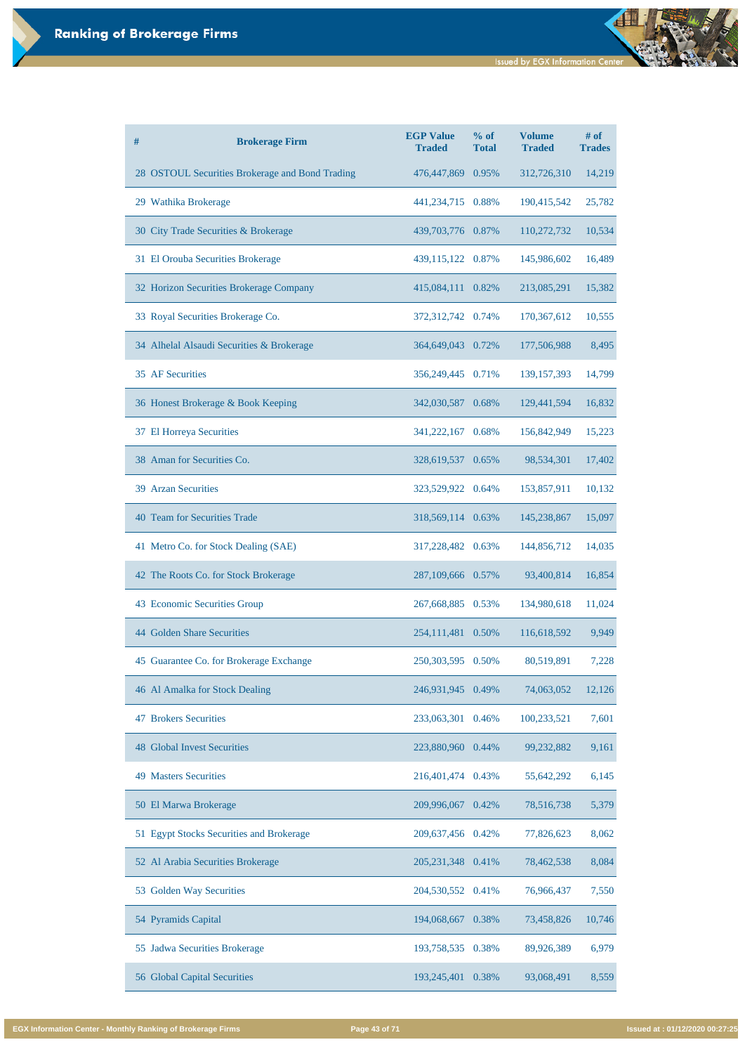| #<br><b>Brokerage Firm</b>                      | <b>EGP Value</b><br><b>Traded</b> | % of<br><b>Total</b> | <b>Volume</b><br><b>Traded</b> | $#$ of<br><b>Trades</b> |
|-------------------------------------------------|-----------------------------------|----------------------|--------------------------------|-------------------------|
| 28 OSTOUL Securities Brokerage and Bond Trading | 476,447,869                       | 0.95%                | 312,726,310                    | 14,219                  |
| 29 Wathika Brokerage                            | 441,234,715 0.88%                 |                      | 190,415,542                    | 25,782                  |
| 30 City Trade Securities & Brokerage            | 439,703,776 0.87%                 |                      | 110,272,732                    | 10,534                  |
| 31 El Orouba Securities Brokerage               | 439,115,122 0.87%                 |                      | 145,986,602                    | 16,489                  |
| 32 Horizon Securities Brokerage Company         | 415,084,111                       | 0.82%                | 213,085,291                    | 15,382                  |
| 33 Royal Securities Brokerage Co.               | 372,312,742                       | 0.74%                | 170,367,612                    | 10,555                  |
| 34 Alhelal Alsaudi Securities & Brokerage       | 364,649,043 0.72%                 |                      | 177,506,988                    | 8,495                   |
| 35 AF Securities                                | 356,249,445 0.71%                 |                      | 139, 157, 393                  | 14,799                  |
| 36 Honest Brokerage & Book Keeping              | 342,030,587 0.68%                 |                      | 129,441,594                    | 16,832                  |
| 37 El Horreya Securities                        | 341,222,167 0.68%                 |                      | 156,842,949                    | 15,223                  |
| 38 Aman for Securities Co.                      | 328,619,537 0.65%                 |                      | 98,534,301                     | 17,402                  |
| <b>39 Arzan Securities</b>                      | 323,529,922                       | 0.64%                | 153,857,911                    | 10,132                  |
| 40 Team for Securities Trade                    | 318,569,114 0.63%                 |                      | 145,238,867                    | 15,097                  |
| 41 Metro Co. for Stock Dealing (SAE)            | 317,228,482                       | 0.63%                | 144,856,712                    | 14,035                  |
| 42 The Roots Co. for Stock Brokerage            | 287,109,666 0.57%                 |                      | 93,400,814                     | 16,854                  |
| 43 Economic Securities Group                    | 267,668,885 0.53%                 |                      | 134,980,618                    | 11,024                  |
| 44 Golden Share Securities                      | 254,111,481 0.50%                 |                      | 116,618,592                    | 9,949                   |
| 45 Guarantee Co. for Brokerage Exchange         | 250, 303, 595                     | 0.50%                | 80,519,891                     | 7,228                   |
| 46 Al Amalka for Stock Dealing                  | 246,931,945                       | 0.49%                | 74,063,052                     | 12,126                  |
| <b>Brokers Securities</b><br>47                 | 233,063,301                       | 0.46%                | 100,233,521                    | 7,601                   |
| <b>48 Global Invest Securities</b>              | 223,880,960                       | 0.44%                | 99,232,882                     | 9,161                   |

| <b>49 Masters Securities</b>             | 216,401,474 0.43% |       | 55,642,292 | 6,145  |
|------------------------------------------|-------------------|-------|------------|--------|
| 50 El Marwa Brokerage                    | 209,996,067       | 0.42% | 78,516,738 | 5,379  |
| 51 Egypt Stocks Securities and Brokerage | 209,637,456 0.42% |       | 77,826,623 | 8,062  |
| 52 Al Arabia Securities Brokerage        | 205, 231, 348     | 0.41% | 78,462,538 | 8,084  |
| 53 Golden Way Securities                 | 204,530,552 0.41% |       | 76,966,437 | 7,550  |
| 54 Pyramids Capital                      | 194,068,667       | 0.38% | 73,458,826 | 10,746 |
| 55 Jadwa Securities Brokerage            | 193,758,535       | 0.38% | 89,926,389 | 6,979  |
| 56 Global Capital Securities             | 193,245,401       | 0.38% | 93,068,491 | 8,559  |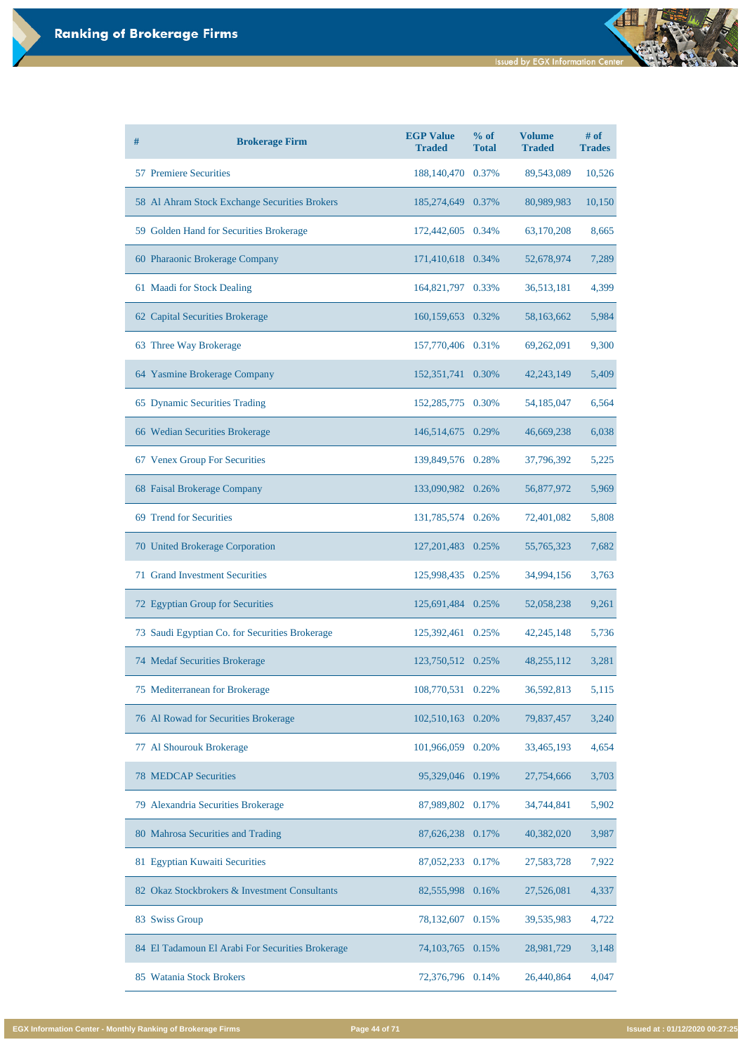| # | <b>Brokerage Firm</b>                          | <b>EGP Value</b><br><b>Traded</b> | % of<br><b>Total</b> | <b>Volume</b><br><b>Traded</b> | # of<br><b>Trades</b> |
|---|------------------------------------------------|-----------------------------------|----------------------|--------------------------------|-----------------------|
|   | <b>57 Premiere Securities</b>                  | 188,140,470 0.37%                 |                      | 89,543,089                     | 10,526                |
|   | 58 Al Ahram Stock Exchange Securities Brokers  | 185,274,649 0.37%                 |                      | 80,989,983                     | 10,150                |
|   | 59 Golden Hand for Securities Brokerage        | 172,442,605 0.34%                 |                      | 63,170,208                     | 8,665                 |
|   | 60 Pharaonic Brokerage Company                 | 171,410,618 0.34%                 |                      | 52,678,974                     | 7,289                 |
|   | 61 Maadi for Stock Dealing                     | 164,821,797 0.33%                 |                      | 36,513,181                     | 4,399                 |
|   | 62 Capital Securities Brokerage                | 160,159,653 0.32%                 |                      | 58,163,662                     | 5,984                 |
|   | 63 Three Way Brokerage                         | 157,770,406 0.31%                 |                      | 69,262,091                     | 9,300                 |
|   | 64 Yasmine Brokerage Company                   | 152,351,741                       | 0.30%                | 42, 243, 149                   | 5,409                 |
|   | 65 Dynamic Securities Trading                  | 152,285,775 0.30%                 |                      | 54,185,047                     | 6,564                 |
|   | 66 Wedian Securities Brokerage                 | 146,514,675 0.29%                 |                      | 46,669,238                     | 6,038                 |
|   | 67 Venex Group For Securities                  | 139,849,576 0.28%                 |                      | 37,796,392                     | 5,225                 |
|   | 68 Faisal Brokerage Company                    | 133,090,982 0.26%                 |                      | 56,877,972                     | 5,969                 |
|   | 69 Trend for Securities                        | 131,785,574 0.26%                 |                      | 72,401,082                     | 5,808                 |
|   | 70 United Brokerage Corporation                | 127, 201, 483                     | 0.25%                | 55,765,323                     | 7,682                 |
|   | <b>71 Grand Investment Securities</b>          | 125,998,435                       | 0.25%                | 34,994,156                     | 3,763                 |
|   | 72 Egyptian Group for Securities               | 125,691,484 0.25%                 |                      | 52,058,238                     | 9,261                 |
|   | 73 Saudi Egyptian Co. for Securities Brokerage | 125,392,461                       | 0.25%                | 42, 245, 148                   | 5,736                 |
|   | 74 Medaf Securities Brokerage                  | 123,750,512                       | 0.25%                | 48,255,112                     | 3,281                 |
|   | 75 Mediterranean for Brokerage                 | 108,770,531                       | 0.22%                | 36,592,813                     | 5,115                 |
|   | 76 Al Rowad for Securities Brokerage           | 102,510,163                       | 0.20%                | 79,837,457                     | 3,240                 |
|   | 77 Al Shourouk Brokerage                       | 101,966,059 0.20%                 |                      | 33,465,193                     | 4,654                 |

| <b>78 MEDCAP Securities</b>                      | 95,329,046 0.19%      | 27,754,666 | 3,703 |
|--------------------------------------------------|-----------------------|------------|-------|
| 79 Alexandria Securities Brokerage               | 87,989,802 0.17%      | 34,744,841 | 5,902 |
| 80 Mahrosa Securities and Trading                | 87,626,238<br>0.17%   | 40,382,020 | 3,987 |
| 81 Egyptian Kuwaiti Securities                   | 87,052,233<br>0.17%   | 27,583,728 | 7,922 |
| 82 Okaz Stockbrokers & Investment Consultants    | 82,555,998<br>0.16%   | 27,526,081 | 4,337 |
| 83 Swiss Group                                   | 78,132,607<br>0.15%   | 39,535,983 | 4,722 |
| 84 El Tadamoun El Arabi For Securities Brokerage | 74, 103, 765<br>0.15% | 28,981,729 | 3,148 |
| 85 Watania Stock Brokers                         | 72,376,796<br>0.14%   | 26,440,864 | 4,047 |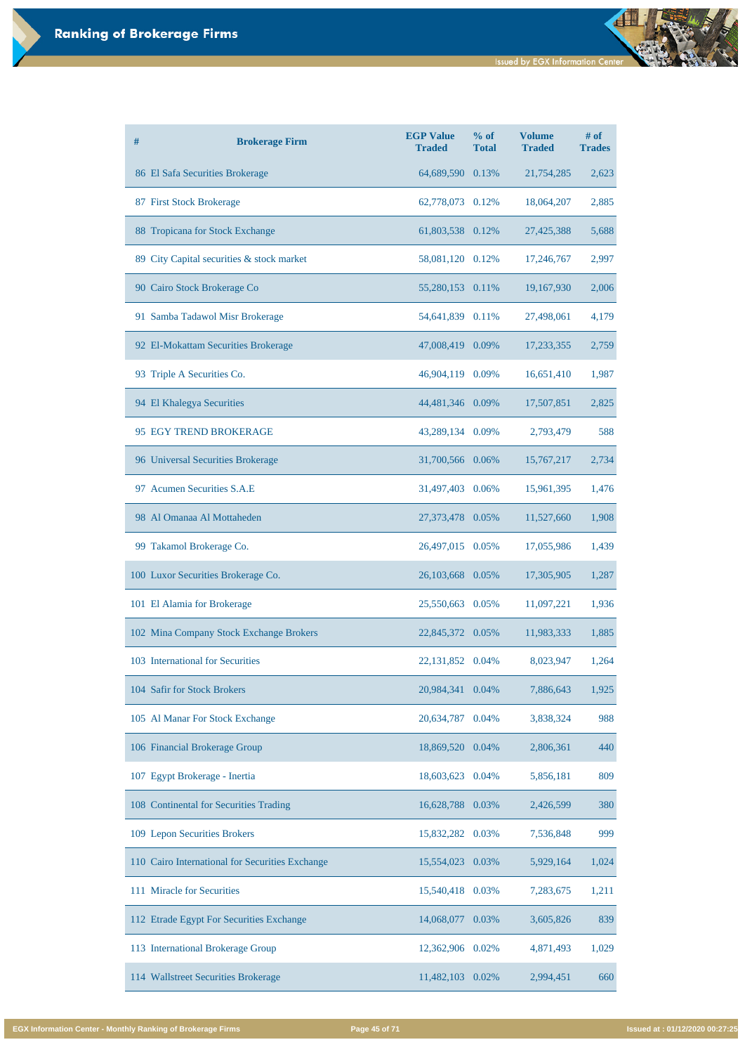| #  | <b>Brokerage Firm</b>                     | <b>EGP Value</b><br><b>Traded</b> | % of<br><b>Total</b> | <b>Volume</b><br><b>Traded</b> | # of<br><b>Trades</b> |
|----|-------------------------------------------|-----------------------------------|----------------------|--------------------------------|-----------------------|
|    | 86 El Safa Securities Brokerage           | 64,689,590                        | 0.13%                | 21,754,285                     | 2,623                 |
|    | 87 First Stock Brokerage                  | 62,778,073 0.12%                  |                      | 18,064,207                     | 2,885                 |
|    | 88 Tropicana for Stock Exchange           | 61,803,538 0.12%                  |                      | 27,425,388                     | 5,688                 |
|    | 89 City Capital securities & stock market | 58,081,120 0.12%                  |                      | 17,246,767                     | 2,997                 |
|    | 90 Cairo Stock Brokerage Co               | 55,280,153 0.11%                  |                      | 19,167,930                     | 2,006                 |
|    | 91 Samba Tadawol Misr Brokerage           | 54,641,839                        | 0.11%                | 27,498,061                     | 4,179                 |
|    | 92 El-Mokattam Securities Brokerage       | 47,008,419 0.09%                  |                      | 17,233,355                     | 2,759                 |
|    | 93 Triple A Securities Co.                | 46,904,119 0.09%                  |                      | 16,651,410                     | 1,987                 |
|    | 94 El Khalegya Securities                 | 44,481,346 0.09%                  |                      | 17,507,851                     | 2,825                 |
|    | 95 EGY TREND BROKERAGE                    | 43,289,134 0.09%                  |                      | 2,793,479                      | 588                   |
|    | 96 Universal Securities Brokerage         | 31,700,566 0.06%                  |                      | 15,767,217                     | 2,734                 |
| 97 | <b>Acumen Securities S.A.E</b>            | 31,497,403                        | 0.06%                | 15,961,395                     | 1,476                 |
|    | 98 Al Omanaa Al Mottaheden                | 27,373,478 0.05%                  |                      | 11,527,660                     | 1,908                 |
|    | 99 Takamol Brokerage Co.                  | 26,497,015                        | 0.05%                | 17,055,986                     | 1,439                 |
|    | 100 Luxor Securities Brokerage Co.        | 26,103,668 0.05%                  |                      | 17,305,905                     | 1,287                 |
|    | 101 El Alamia for Brokerage               | 25,550,663                        | 0.05%                | 11,097,221                     | 1,936                 |
|    | 102 Mina Company Stock Exchange Brokers   | 22,845,372 0.05%                  |                      | 11,983,333                     | 1,885                 |
|    | 103 International for Securities          | 22, 131, 852                      | 0.04%                | 8,023,947                      | 1,264                 |
|    | 104 Safir for Stock Brokers               | 20,984,341                        | 0.04%                | 7,886,643                      | 1,925                 |
|    | 105 Al Manar For Stock Exchange           | 20,634,787                        | 0.04%                | 3,838,324                      | 988                   |
|    | 106 Financial Brokerage Group             | 18,869,520                        | 0.04%                | 2,806,361                      | 440                   |

| 107 Egypt Brokerage - Inertia                   | 18,603,623 0.04% |          | 5,856,181 | 809   |
|-------------------------------------------------|------------------|----------|-----------|-------|
| 108 Continental for Securities Trading          | 16,628,788 0.03% |          | 2,426,599 | 380   |
| 109 Lepon Securities Brokers                    | 15,832,282 0.03% |          | 7,536,848 | 999   |
| 110 Cairo International for Securities Exchange | 15,554,023       | 0.03%    | 5,929,164 | 1,024 |
| 111 Miracle for Securities                      | 15,540,418 0.03% |          | 7,283,675 | 1,211 |
| 112 Etrade Egypt For Securities Exchange        | 14,068,077       | $0.03\%$ | 3,605,826 | 839   |
| 113 International Brokerage Group               | 12,362,906 0.02% |          | 4,871,493 | 1,029 |
| 114 Wallstreet Securities Brokerage             | 11,482,103       | $0.02\%$ | 2,994,451 | 660   |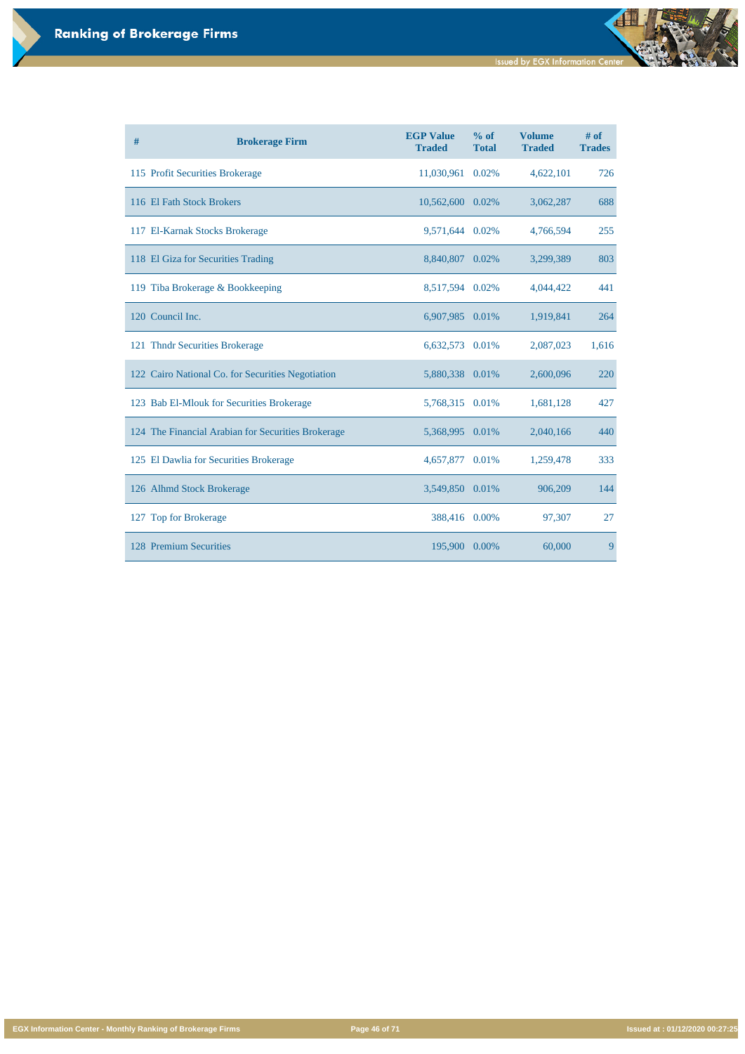**Issued by EGX Information Center** 

đ

**EGX Information Center - Monthly Ranking of Brokerage Firms Page 46 of 71 Issued at : 01/12/2020 00:27:25**

| # | <b>Brokerage Firm</b>                              | <b>EGP Value</b><br><b>Traded</b> | $%$ of<br><b>Total</b> | <b>Volume</b><br><b>Traded</b> | # of<br><b>Trades</b> |
|---|----------------------------------------------------|-----------------------------------|------------------------|--------------------------------|-----------------------|
|   | 115 Profit Securities Brokerage                    | 11,030,961                        | 0.02%                  | 4,622,101                      | 726                   |
|   | 116 El Fath Stock Brokers                          | 10,562,600 0.02%                  |                        | 3,062,287                      | 688                   |
|   | 117 El-Karnak Stocks Brokerage                     | 9,571,644                         | 0.02%                  | 4,766,594                      | 255                   |
|   | 118 El Giza for Securities Trading                 | 8,840,807 0.02%                   |                        | 3,299,389                      | 803                   |
|   | 119 Tiba Brokerage & Bookkeeping                   | 8,517,594                         | 0.02%                  | 4,044,422                      | 441                   |
|   | 120 Council Inc.                                   | 6,907,985 0.01%                   |                        | 1,919,841                      | 264                   |
|   | 121 Thndr Securities Brokerage                     | 6,632,573                         | 0.01%                  | 2,087,023                      | 1,616                 |
|   | 122 Cairo National Co. for Securities Negotiation  | 5,880,338 0.01%                   |                        | 2,600,096                      | 220                   |
|   | 123 Bab El-Mlouk for Securities Brokerage          | 5,768,315 0.01%                   |                        | 1,681,128                      | 427                   |
|   | 124 The Financial Arabian for Securities Brokerage | 5,368,995 0.01%                   |                        | 2,040,166                      | 440                   |
|   | 125 El Dawlia for Securities Brokerage             | 4,657,877                         | 0.01%                  | 1,259,478                      | 333                   |
|   | 126 Alhmd Stock Brokerage                          | 3,549,850 0.01%                   |                        | 906,209                        | 144                   |
|   | 127 Top for Brokerage                              | 388,416 0.00%                     |                        | 97,307                         | 27                    |
|   | 128 Premium Securities                             | 195,900 0.00%                     |                        | 60,000                         | 9                     |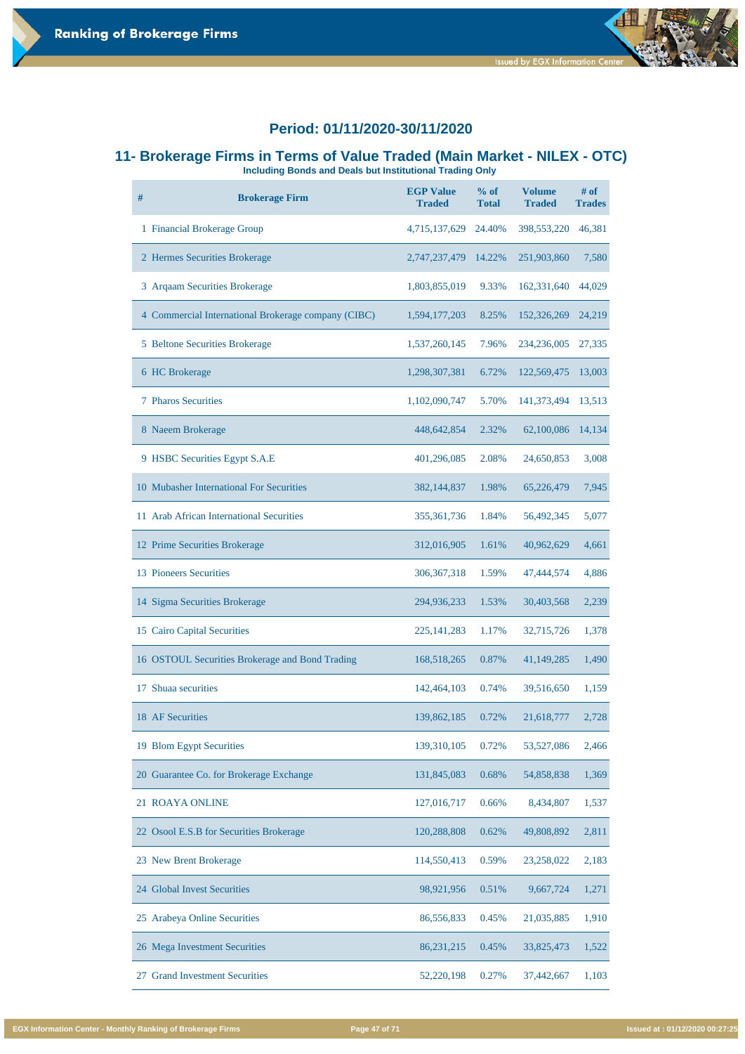

**Issued by EGX Information Cente** 

#### **11- Brokerage Firms in Terms of Value Traded (Main Market - NILEX - OTC)**

**Including Bonds and Deals but Institutional Trading Only** 

| $\#$ | <b>Brokerage Firm</b>                               | <b>EGP Value</b><br><b>Traded</b> | $%$ of<br><b>Total</b> | <b>Volume</b><br><b>Traded</b> | # of<br><b>Trades</b> |
|------|-----------------------------------------------------|-----------------------------------|------------------------|--------------------------------|-----------------------|
|      | 1 Financial Brokerage Group                         | 4,715,137,629                     | 24.40%                 | 398, 553, 220                  | 46,381                |
|      | 2 Hermes Securities Brokerage                       | 2,747,237,479                     | 14.22%                 | 251,903,860                    | 7,580                 |
|      | 3 Argaam Securities Brokerage                       | 1,803,855,019                     | 9.33%                  | 162,331,640                    | 44,029                |
|      | 4 Commercial International Brokerage company (CIBC) | 1,594,177,203                     | 8.25%                  | 152,326,269                    | 24,219                |
|      | 5 Beltone Securities Brokerage                      | 1,537,260,145                     | 7.96%                  | 234,236,005                    | 27,335                |
|      | 6 HC Brokerage                                      | 1,298,307,381                     | 6.72%                  | 122,569,475                    | 13,003                |
|      | <b>7 Pharos Securities</b>                          | 1,102,090,747                     | 5.70%                  | 141,373,494                    | 13,513                |
|      | 8 Naeem Brokerage                                   | 448, 642, 854                     | 2.32%                  | 62,100,086                     | 14,134                |
|      | 9 HSBC Securities Egypt S.A.E                       | 401,296,085                       | 2.08%                  | 24,650,853                     | 3,008                 |
|      | 10 Mubasher International For Securities            | 382,144,837                       | 1.98%                  | 65,226,479                     | 7,945                 |
|      | 11 Arab African International Securities            | 355, 361, 736                     | 1.84%                  | 56,492,345                     | 5,077                 |
|      | 12 Prime Securities Brokerage                       | 312,016,905                       | 1.61%                  | 40,962,629                     | 4,661                 |
|      | 13 Pioneers Securities                              | 306, 367, 318                     | 1.59%                  | 47,444,574                     | 4,886                 |
|      | 14 Sigma Securities Brokerage                       | 294,936,233                       | 1.53%                  | 30,403,568                     | 2,239                 |
|      | 15 Cairo Capital Securities                         | 225, 141, 283                     | 1.17%                  | 32,715,726                     | 1,378                 |
|      | 16 OSTOUL Securities Brokerage and Bond Trading     | 168,518,265                       | 0.87%                  | 41, 149, 285                   | 1,490                 |
| 17   | Shuaa securities                                    | 142,464,103                       | 0.74%                  | 39,516,650                     | 1,159                 |
|      | 18 AF Securities                                    | 139,862,185                       | 0.72%                  | 21,618,777                     | 2,728                 |
|      | 19 Blom Egypt Securities                            | 139,310,105                       | 0.72%                  | 53,527,086                     | 2,466                 |

| 20 Guarantee Co. for Brokerage Exchange  | 131,845,083 | 0.68%    | 54,858,838 | 1,369 |
|------------------------------------------|-------------|----------|------------|-------|
| 21 ROAYA ONLINE                          | 127,016,717 | $0.66\%$ | 8,434,807  | 1,537 |
| 22 Osool E.S.B for Securities Brokerage  | 120,288,808 | 0.62%    | 49,808,892 | 2,811 |
| 23 New Brent Brokerage                   | 114,550,413 | 0.59%    | 23,258,022 | 2,183 |
| 24 Global Invest Securities              | 98,921,956  | 0.51%    | 9,667,724  | 1,271 |
| 25 Arabeya Online Securities             | 86,556,833  | 0.45%    | 21,035,885 | 1,910 |
| 26 Mega Investment Securities            | 86,231,215  | 0.45%    | 33,825,473 | 1,522 |
| <b>Grand Investment Securities</b><br>27 | 52,220,198  | 0.27%    | 37,442,667 | 1,103 |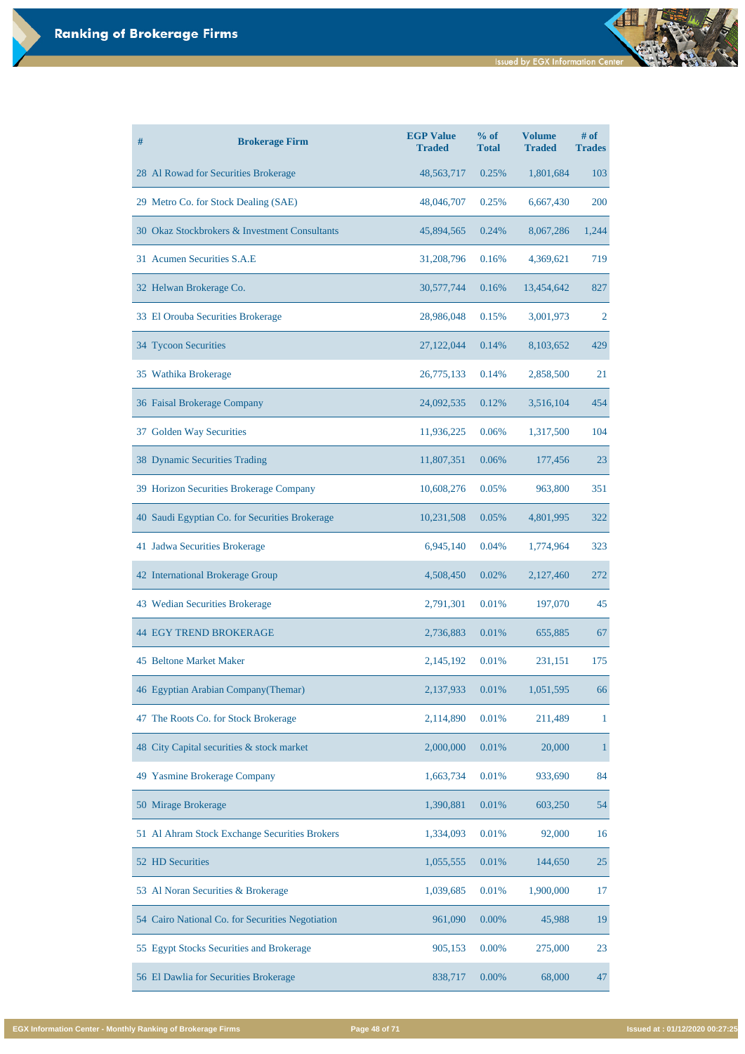| #<br><b>Brokerage Firm</b>                     | <b>EGP Value</b><br><b>Traded</b> | % of<br><b>Total</b> | <b>Volume</b><br><b>Traded</b> | $#$ of<br><b>Trades</b> |
|------------------------------------------------|-----------------------------------|----------------------|--------------------------------|-------------------------|
| 28 Al Rowad for Securities Brokerage           | 48,563,717                        | 0.25%                | 1,801,684                      | 103                     |
| 29 Metro Co. for Stock Dealing (SAE)           | 48,046,707                        | 0.25%                | 6,667,430                      | 200                     |
| 30 Okaz Stockbrokers & Investment Consultants  | 45,894,565                        | 0.24%                | 8,067,286                      | 1,244                   |
| 31 Acumen Securities S.A.E                     | 31,208,796                        | 0.16%                | 4,369,621                      | 719                     |
| 32 Helwan Brokerage Co.                        | 30,577,744                        | 0.16%                | 13,454,642                     | 827                     |
| 33 El Orouba Securities Brokerage              | 28,986,048                        | 0.15%                | 3,001,973                      | 2                       |
| 34 Tycoon Securities                           | 27,122,044                        | 0.14%                | 8,103,652                      | 429                     |
| 35 Wathika Brokerage                           | 26,775,133                        | 0.14%                | 2,858,500                      | 21                      |
| 36 Faisal Brokerage Company                    | 24,092,535                        | 0.12%                | 3,516,104                      | 454                     |
| 37 Golden Way Securities                       | 11,936,225                        | 0.06%                | 1,317,500                      | 104                     |
| 38 Dynamic Securities Trading                  | 11,807,351                        | 0.06%                | 177,456                        | 23                      |
| 39 Horizon Securities Brokerage Company        | 10,608,276                        | 0.05%                | 963,800                        | 351                     |
| 40 Saudi Egyptian Co. for Securities Brokerage | 10,231,508                        | 0.05%                | 4,801,995                      | 322                     |
| 41 Jadwa Securities Brokerage                  | 6,945,140                         | 0.04%                | 1,774,964                      | 323                     |
| 42 International Brokerage Group               | 4,508,450                         | 0.02%                | 2,127,460                      | 272                     |
| 43 Wedian Securities Brokerage                 | 2,791,301                         | 0.01%                | 197,070                        | 45                      |
| <b>44 EGY TREND BROKERAGE</b>                  | 2,736,883                         | 0.01%                | 655,885                        | 67                      |
| <b>45 Beltone Market Maker</b>                 | 2,145,192                         | 0.01%                | 231,151                        | 175                     |
| 46 Egyptian Arabian Company (Themar)           | 2,137,933                         | 0.01%                | 1,051,595                      | 66                      |
| 47 The Roots Co. for Stock Brokerage           | 2,114,890                         | 0.01%                | 211,489                        | 1                       |
| City Capital securities & stock market<br>48   | 2,000,000                         | 0.01%                | 20,000                         | 1                       |

| 49 Yasmine Brokerage Company                     | 1,663,734 | 0.01%    | 933,690   | 84 |
|--------------------------------------------------|-----------|----------|-----------|----|
| 50 Mirage Brokerage                              | 1,390,881 | 0.01%    | 603,250   | 54 |
| 51 Al Ahram Stock Exchange Securities Brokers    | 1,334,093 | 0.01%    | 92,000    | 16 |
| 52 HD Securities                                 | 1,055,555 | 0.01%    | 144,650   | 25 |
| 53 Al Noran Securities & Brokerage               | 1,039,685 | 0.01%    | 1,900,000 | 17 |
| 54 Cairo National Co. for Securities Negotiation | 961,090   | $0.00\%$ | 45,988    | 19 |
| 55 Egypt Stocks Securities and Brokerage         | 905,153   | $0.00\%$ | 275,000   | 23 |
| 56 El Dawlia for Securities Brokerage            | 838,717   | $0.00\%$ | 68,000    | 47 |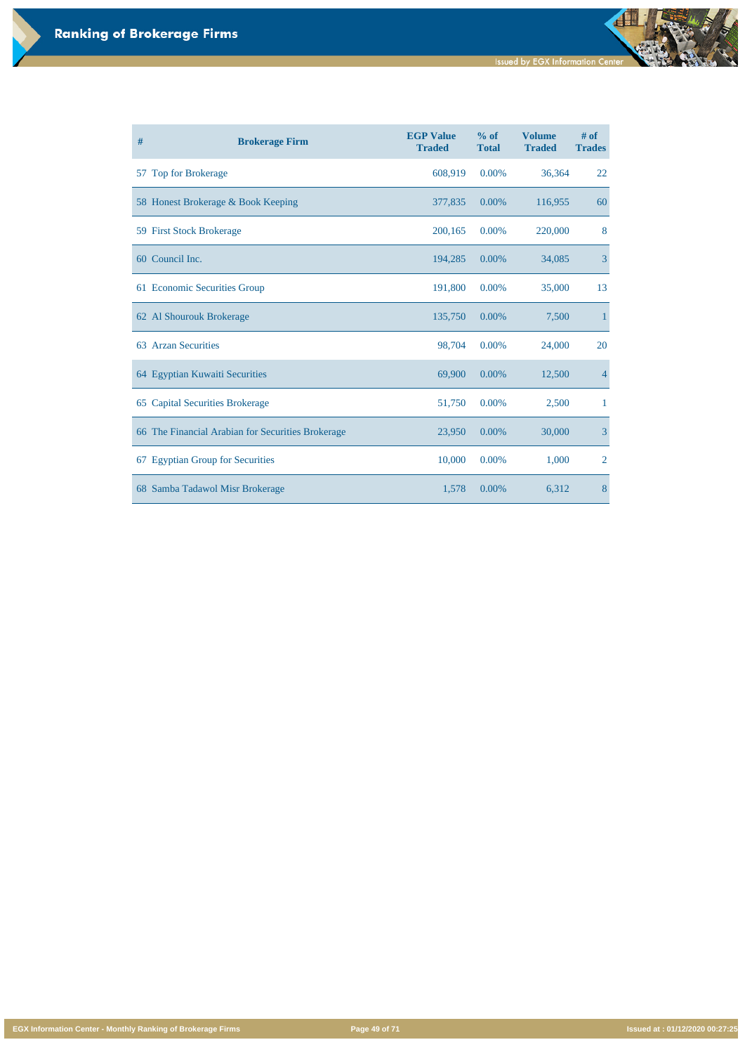**EGX Information Center - Monthly Ranking of Brokerage Firms Page 49 of 71 Issued at : 01/12/2020 00:27:25**

| # | <b>Brokerage Firm</b>                             | <b>EGP Value</b><br><b>Traded</b> | $%$ of<br><b>Total</b> | <b>Volume</b><br><b>Traded</b> | # of<br><b>Trades</b> |
|---|---------------------------------------------------|-----------------------------------|------------------------|--------------------------------|-----------------------|
|   | 57 Top for Brokerage                              | 608,919                           | 0.00%                  | 36,364                         | 22                    |
|   | 58 Honest Brokerage & Book Keeping                | 377,835                           | 0.00%                  | 116,955                        | 60                    |
|   | 59 First Stock Brokerage                          | 200,165                           | 0.00%                  | 220,000                        | 8                     |
|   | 60 Council Inc.                                   | 194,285                           | 0.00%                  | 34,085                         | $\overline{3}$        |
|   | 61 Economic Securities Group                      | 191,800                           | 0.00%                  | 35,000                         | 13                    |
|   | 62 Al Shourouk Brokerage                          | 135,750                           | 0.00%                  | 7,500                          | 1                     |
|   | 63 Arzan Securities                               | 98,704                            | 0.00%                  | 24,000                         | 20                    |
|   | 64 Egyptian Kuwaiti Securities                    | 69,900                            | 0.00%                  | 12,500                         | $\overline{4}$        |
|   | 65 Capital Securities Brokerage                   | 51,750                            | 0.00%                  | 2,500                          | $\mathbf{1}$          |
|   | 66 The Financial Arabian for Securities Brokerage | 23,950                            | 0.00%                  | 30,000                         | $\overline{3}$        |
|   | 67 Egyptian Group for Securities                  | 10,000                            | 0.00%                  | 1,000                          | $\overline{2}$        |
|   | 68 Samba Tadawol Misr Brokerage                   | 1,578                             | 0.00%                  | 6,312                          | 8                     |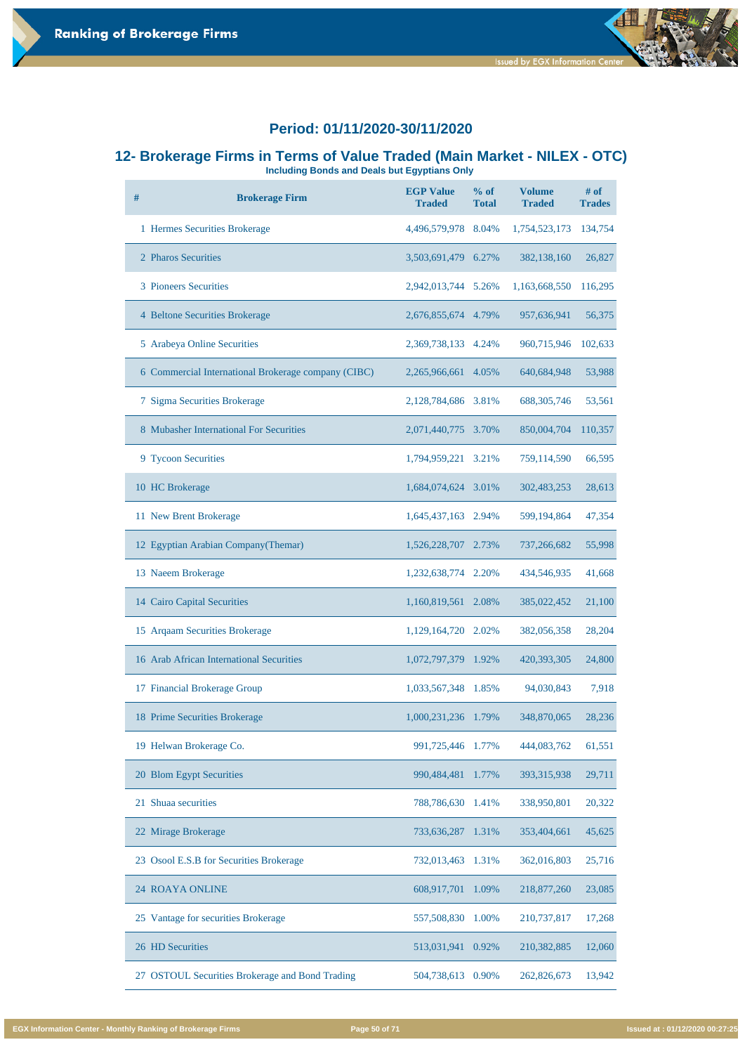# **12- Brokerage Firms in Terms of Value Traded (Main Market - NILEX - OTC)**

**Including Bonds and Deals but Egyptians Only** 

| # | <b>Brokerage Firm</b>                               | <b>EGP Value</b><br><b>Traded</b> | % of<br><b>Total</b> | <b>Volume</b><br><b>Traded</b> | # of<br><b>Trades</b> |
|---|-----------------------------------------------------|-----------------------------------|----------------------|--------------------------------|-----------------------|
|   | 1 Hermes Securities Brokerage                       | 4,496,579,978                     | 8.04%                | 1,754,523,173                  | 134,754               |
|   | 2 Pharos Securities                                 | 3,503,691,479                     | 6.27%                | 382,138,160                    | 26,827                |
|   | 3 Pioneers Securities                               | 2,942,013,744                     | 5.26%                | 1,163,668,550                  | 116,295               |
|   | 4 Beltone Securities Brokerage                      | 2,676,855,674                     | 4.79%                | 957,636,941                    | 56,375                |
|   | 5 Arabeya Online Securities                         | 2,369,738,133                     | 4.24%                | 960,715,946                    | 102,633               |
|   | 6 Commercial International Brokerage company (CIBC) | 2,265,966,661                     | 4.05%                | 640,684,948                    | 53,988                |
|   | 7 Sigma Securities Brokerage                        | 2,128,784,686                     | 3.81%                | 688, 305, 746                  | 53,561                |
|   | 8 Mubasher International For Securities             | 2,071,440,775                     | 3.70%                | 850,004,704                    | 110,357               |
|   | 9 Tycoon Securities                                 | 1,794,959,221                     | 3.21%                | 759,114,590                    | 66,595                |
|   | 10 HC Brokerage                                     | 1,684,074,624                     | 3.01%                | 302,483,253                    | 28,613                |
|   | 11 New Brent Brokerage                              | 1,645,437,163                     | 2.94%                | 599,194,864                    | 47,354                |
|   | 12 Egyptian Arabian Company (Themar)                | 1,526,228,707                     | 2.73%                | 737,266,682                    | 55,998                |
|   | 13 Naeem Brokerage                                  | 1,232,638,774                     | 2.20%                | 434,546,935                    | 41,668                |
|   | 14 Cairo Capital Securities                         | 1,160,819,561                     | 2.08%                | 385,022,452                    | 21,100                |
|   | 15 Arqaam Securities Brokerage                      | 1,129,164,720                     | 2.02%                | 382,056,358                    | 28,204                |
|   | 16 Arab African International Securities            | 1,072,797,379                     | 1.92%                | 420,393,305                    | 24,800                |
|   | 17 Financial Brokerage Group                        | 1,033,567,348                     | 1.85%                | 94,030,843                     | 7,918                 |
|   | 18 Prime Securities Brokerage                       | 1,000,231,236                     | 1.79%                | 348,870,065                    | 28,236                |
|   | 19 Helwan Brokerage Co.                             | 991,725,446                       | 1.77%                | 444,083,762                    | 61,551                |

| 20 Blom Egypt Securities                        | 990,484,481 1.77%    | 393, 315, 938 | 29,711 |
|-------------------------------------------------|----------------------|---------------|--------|
| 21 Shuaa securities                             | 788,786,630<br>1.41% | 338,950,801   | 20,322 |
| 22 Mirage Brokerage                             | 733,636,287<br>1.31% | 353,404,661   | 45,625 |
| 23 Osool E.S.B for Securities Brokerage         | 732,013,463 1.31%    | 362,016,803   | 25,716 |
| <b>24 ROAYA ONLINE</b>                          | 608,917,701<br>1.09% | 218,877,260   | 23,085 |
| 25 Vantage for securities Brokerage             | 557,508,830<br>1.00% | 210,737,817   | 17,268 |
| 26 HD Securities                                | 513,031,941<br>0.92% | 210,382,885   | 12,060 |
| 27 OSTOUL Securities Brokerage and Bond Trading | 504,738,613<br>0.90% | 262,826,673   | 13,942 |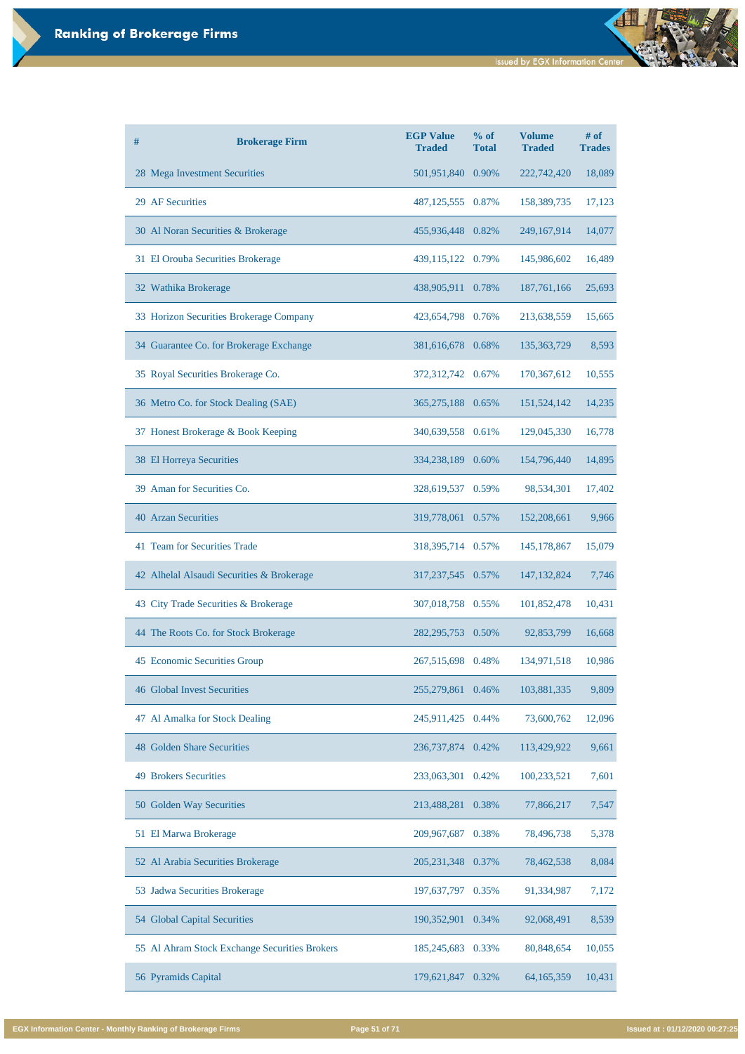| # | <b>Brokerage Firm</b>                     | <b>EGP Value</b><br><b>Traded</b> | % of<br><b>Total</b> | <b>Volume</b><br><b>Traded</b> | $#$ of<br><b>Trades</b> |
|---|-------------------------------------------|-----------------------------------|----------------------|--------------------------------|-------------------------|
|   | 28 Mega Investment Securities             | 501,951,840 0.90%                 |                      | 222,742,420                    | 18,089                  |
|   | 29 AF Securities                          | 487,125,555 0.87%                 |                      | 158,389,735                    | 17,123                  |
|   | 30 Al Noran Securities & Brokerage        | 455,936,448 0.82%                 |                      | 249,167,914                    | 14,077                  |
|   | 31 El Orouba Securities Brokerage         | 439,115,122 0.79%                 |                      | 145,986,602                    | 16,489                  |
|   | 32 Wathika Brokerage                      | 438,905,911                       | 0.78%                | 187,761,166                    | 25,693                  |
|   | 33 Horizon Securities Brokerage Company   | 423,654,798 0.76%                 |                      | 213,638,559                    | 15,665                  |
|   | 34 Guarantee Co. for Brokerage Exchange   | 381,616,678 0.68%                 |                      | 135, 363, 729                  | 8,593                   |
|   | 35 Royal Securities Brokerage Co.         | 372,312,742 0.67%                 |                      | 170,367,612                    | 10,555                  |
|   | 36 Metro Co. for Stock Dealing (SAE)      | 365,275,188 0.65%                 |                      | 151,524,142                    | 14,235                  |
|   | 37 Honest Brokerage & Book Keeping        | 340,639,558 0.61%                 |                      | 129,045,330                    | 16,778                  |
|   | 38 El Horreya Securities                  | 334,238,189 0.60%                 |                      | 154,796,440                    | 14,895                  |
|   | 39 Aman for Securities Co.                | 328,619,537                       | 0.59%                | 98,534,301                     | 17,402                  |
|   | <b>40 Arzan Securities</b>                | 319,778,061 0.57%                 |                      | 152,208,661                    | 9,966                   |
|   | 41 Team for Securities Trade              | 318, 395, 714 0.57%               |                      | 145, 178, 867                  | 15,079                  |
|   | 42 Alhelal Alsaudi Securities & Brokerage | 317,237,545 0.57%                 |                      | 147, 132, 824                  | 7,746                   |
|   | 43 City Trade Securities & Brokerage      | 307,018,758 0.55%                 |                      | 101,852,478                    | 10,431                  |
|   | 44 The Roots Co. for Stock Brokerage      | 282, 295, 753                     | 0.50%                | 92,853,799                     | 16,668                  |
|   | 45 Economic Securities Group              | 267,515,698 0.48%                 |                      | 134,971,518                    | 10,986                  |
|   | <b>46 Global Invest Securities</b>        | 255, 279, 861                     | 0.46%                | 103,881,335                    | 9,809                   |
|   | 47 Al Amalka for Stock Dealing            | 245,911,425                       | 0.44%                | 73,600,762                     | 12,096                  |
|   | <b>48 Golden Share Securities</b>         | 236, 737, 874                     | 0.42%                | 113,429,922                    | 9,661                   |

| <b>49 Brokers Securities</b>                  | 233,063,301 0.42% |       | 100,233,521  | 7,601  |
|-----------------------------------------------|-------------------|-------|--------------|--------|
| 50 Golden Way Securities                      | 213,488,281       | 0.38% | 77,866,217   | 7,547  |
| 51 El Marwa Brokerage                         | 209,967,687       | 0.38% | 78,496,738   | 5,378  |
| 52 Al Arabia Securities Brokerage             | 205, 231, 348     | 0.37% | 78,462,538   | 8,084  |
| 53 Jadwa Securities Brokerage                 | 197,637,797       | 0.35% | 91,334,987   | 7,172  |
| 54 Global Capital Securities                  | 190,352,901       | 0.34% | 92,068,491   | 8,539  |
| 55 Al Ahram Stock Exchange Securities Brokers | 185,245,683       | 0.33% | 80,848,654   | 10,055 |
| 56 Pyramids Capital                           | 179,621,847       | 0.32% | 64, 165, 359 | 10,431 |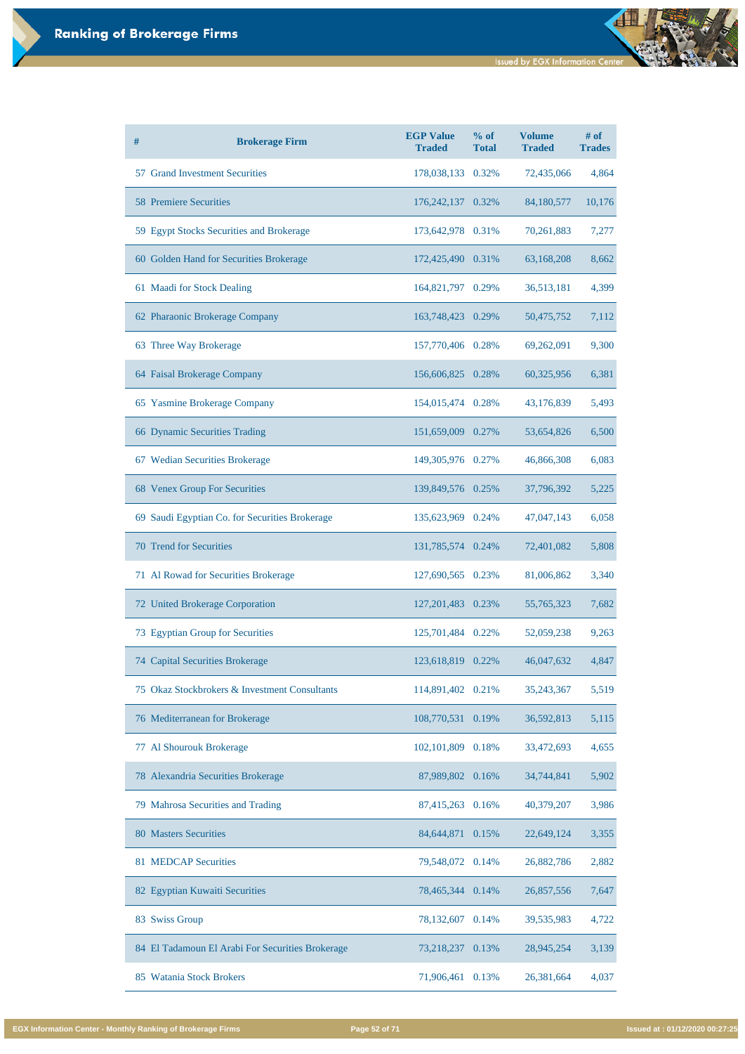| # | <b>Brokerage Firm</b>                          | <b>EGP Value</b><br><b>Traded</b> | % of<br><b>Total</b> | <b>Volume</b><br><b>Traded</b> | $#$ of<br><b>Trades</b> |
|---|------------------------------------------------|-----------------------------------|----------------------|--------------------------------|-------------------------|
|   | 57 Grand Investment Securities                 | 178,038,133 0.32%                 |                      | 72,435,066                     | 4,864                   |
|   | <b>58 Premiere Securities</b>                  | 176, 242, 137 0.32%               |                      | 84,180,577                     | 10,176                  |
|   | 59 Egypt Stocks Securities and Brokerage       | 173,642,978 0.31%                 |                      | 70,261,883                     | 7,277                   |
|   | 60 Golden Hand for Securities Brokerage        | 172,425,490 0.31%                 |                      | 63,168,208                     | 8,662                   |
|   | 61 Maadi for Stock Dealing                     | 164,821,797 0.29%                 |                      | 36,513,181                     | 4,399                   |
|   | 62 Pharaonic Brokerage Company                 | 163,748,423                       | 0.29%                | 50,475,752                     | 7,112                   |
|   | 63 Three Way Brokerage                         | 157,770,406 0.28%                 |                      | 69,262,091                     | 9,300                   |
|   | 64 Faisal Brokerage Company                    | 156,606,825 0.28%                 |                      | 60,325,956                     | 6,381                   |
|   | 65 Yasmine Brokerage Company                   | 154,015,474 0.28%                 |                      | 43,176,839                     | 5,493                   |
|   | 66 Dynamic Securities Trading                  | 151,659,009 0.27%                 |                      | 53,654,826                     | 6,500                   |
|   | 67 Wedian Securities Brokerage                 | 149,305,976 0.27%                 |                      | 46,866,308                     | 6,083                   |
|   | 68 Venex Group For Securities                  | 139,849,576 0.25%                 |                      | 37,796,392                     | 5,225                   |
|   | 69 Saudi Egyptian Co. for Securities Brokerage | 135,623,969 0.24%                 |                      | 47,047,143                     | 6,058                   |
|   | <b>70 Trend for Securities</b>                 | 131,785,574 0.24%                 |                      | 72,401,082                     | 5,808                   |
|   | 71 Al Rowad for Securities Brokerage           | 127,690,565 0.23%                 |                      | 81,006,862                     | 3,340                   |
|   | 72 United Brokerage Corporation                | 127,201,483 0.23%                 |                      | 55,765,323                     | 7,682                   |
|   | 73 Egyptian Group for Securities               | 125,701,484                       | 0.22%                | 52,059,238                     | 9,263                   |
|   | 74 Capital Securities Brokerage                | 123,618,819                       | 0.22%                | 46,047,632                     | 4,847                   |
|   | 75 Okaz Stockbrokers & Investment Consultants  | 114,891,402                       | 0.21%                | 35,243,367                     | 5,519                   |
|   | 76 Mediterranean for Brokerage                 | 108,770,531                       | 0.19%                | 36,592,813                     | 5,115                   |
|   | 77 Al Shourouk Brokerage                       | 102,101,809                       | 0.18%                | 33,472,693                     | 4,655                   |

| 78 Alexandria Securities Brokerage               | 87,989,802 0.16%    | 34,744,841 | 5,902 |
|--------------------------------------------------|---------------------|------------|-------|
| 79 Mahrosa Securities and Trading                | 87,415,263 0.16%    | 40,379,207 | 3,986 |
| 80 Masters Securities                            | 84,644,871<br>0.15% | 22,649,124 | 3,355 |
| 81 MEDCAP Securities                             | 79,548,072<br>0.14% | 26,882,786 | 2,882 |
| 82 Egyptian Kuwaiti Securities                   | 78,465,344<br>0.14% | 26,857,556 | 7,647 |
| 83 Swiss Group                                   | 78,132,607<br>0.14% | 39,535,983 | 4,722 |
| 84 El Tadamoun El Arabi For Securities Brokerage | 73,218,237<br>0.13% | 28,945,254 | 3,139 |
| 85 Watania Stock Brokers                         | 71,906,461<br>0.13% | 26,381,664 | 4,037 |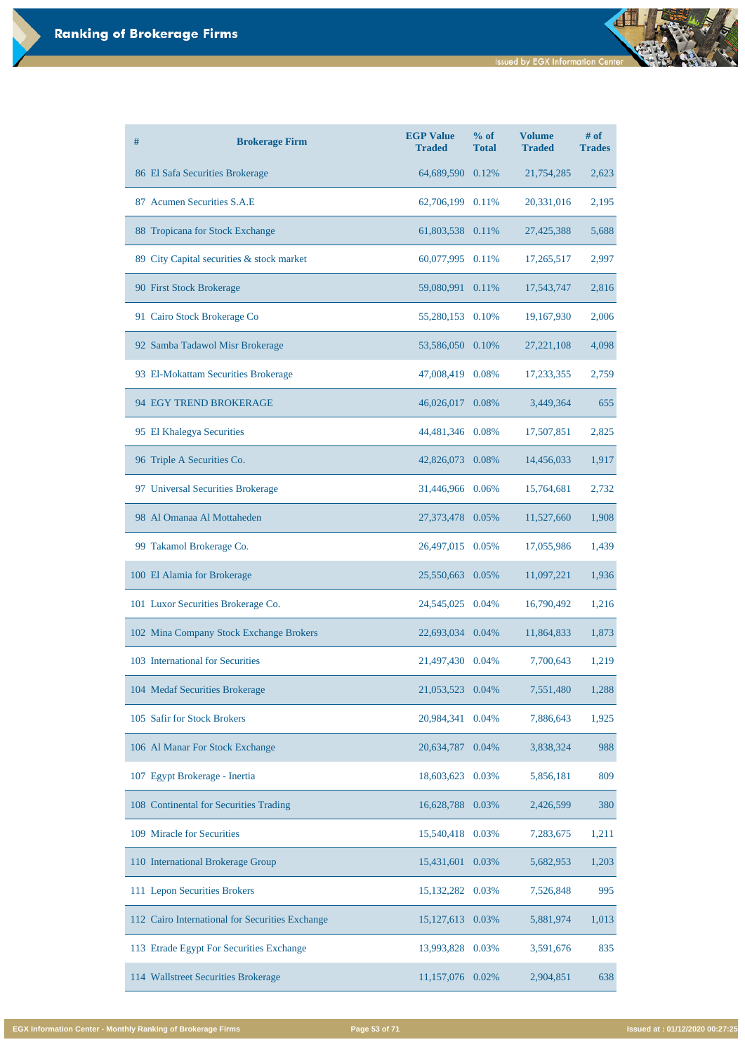| # | <b>Brokerage Firm</b>                     | <b>EGP Value</b><br><b>Traded</b> | % of<br><b>Total</b> | <b>Volume</b><br><b>Traded</b> | $#$ of<br><b>Trades</b> |
|---|-------------------------------------------|-----------------------------------|----------------------|--------------------------------|-------------------------|
|   | 86 El Safa Securities Brokerage           | 64,689,590 0.12%                  |                      | 21,754,285                     | 2,623                   |
|   | 87 Acumen Securities S.A.E                | 62,706,199 0.11%                  |                      | 20,331,016                     | 2,195                   |
|   | 88 Tropicana for Stock Exchange           | 61,803,538 0.11%                  |                      | 27,425,388                     | 5,688                   |
|   | 89 City Capital securities & stock market | 60,077,995 0.11%                  |                      | 17,265,517                     | 2,997                   |
|   | 90 First Stock Brokerage                  | 59,080,991 0.11%                  |                      | 17,543,747                     | 2,816                   |
|   | 91 Cairo Stock Brokerage Co               | 55,280,153 0.10%                  |                      | 19,167,930                     | 2,006                   |
|   | 92 Samba Tadawol Misr Brokerage           | 53,586,050 0.10%                  |                      | 27, 221, 108                   | 4,098                   |
|   | 93 El-Mokattam Securities Brokerage       | 47,008,419 0.08%                  |                      | 17,233,355                     | 2,759                   |
|   | 94 EGY TREND BROKERAGE                    | 46,026,017 0.08%                  |                      | 3,449,364                      | 655                     |
|   | 95 El Khalegya Securities                 | 44,481,346 0.08%                  |                      | 17,507,851                     | 2,825                   |
|   | 96 Triple A Securities Co.                | 42,826,073 0.08%                  |                      | 14,456,033                     | 1,917                   |
|   | 97 Universal Securities Brokerage         | 31,446,966 0.06%                  |                      | 15,764,681                     | 2,732                   |
|   | 98 Al Omanaa Al Mottaheden                | 27,373,478 0.05%                  |                      | 11,527,660                     | 1,908                   |
|   | 99 Takamol Brokerage Co.                  | 26,497,015 0.05%                  |                      | 17,055,986                     | 1,439                   |
|   | 100 El Alamia for Brokerage               | 25,550,663 0.05%                  |                      | 11,097,221                     | 1,936                   |
|   | 101 Luxor Securities Brokerage Co.        | 24,545,025 0.04%                  |                      | 16,790,492                     | 1,216                   |
|   | 102 Mina Company Stock Exchange Brokers   | 22,693,034 0.04%                  |                      | 11,864,833                     | 1,873                   |
|   | 103 International for Securities          | 21,497,430 0.04%                  |                      | 7,700,643                      | 1,219                   |
|   | 104 Medaf Securities Brokerage            | 21,053,523                        | 0.04%                | 7,551,480                      | 1,288                   |
|   | 105 Safir for Stock Brokers               | 20,984,341                        | 0.04%                | 7,886,643                      | 1,925                   |
|   | 106 Al Manar For Stock Exchange           | 20,634,787                        | 0.04%                | 3,838,324                      | 988                     |

| 107 Egypt Brokerage - Inertia                   | 18,603,623 0.03%   |       | 5,856,181 | 809   |
|-------------------------------------------------|--------------------|-------|-----------|-------|
| 108 Continental for Securities Trading          | 16,628,788 0.03%   |       | 2,426,599 | 380   |
| 109 Miracle for Securities                      | 15,540,418 0.03%   |       | 7,283,675 | 1,211 |
| 110 International Brokerage Group               | 15,431,601         | 0.03% | 5,682,953 | 1,203 |
| 111 Lepon Securities Brokers                    | 15, 132, 282 0.03% |       | 7,526,848 | 995   |
| 112 Cairo International for Securities Exchange | 15,127,613 0.03%   |       | 5,881,974 | 1,013 |
| 113 Etrade Egypt For Securities Exchange        | 13,993,828 0.03%   |       | 3,591,676 | 835   |
| 114 Wallstreet Securities Brokerage             | 11,157,076         | 0.02% | 2,904,851 | 638   |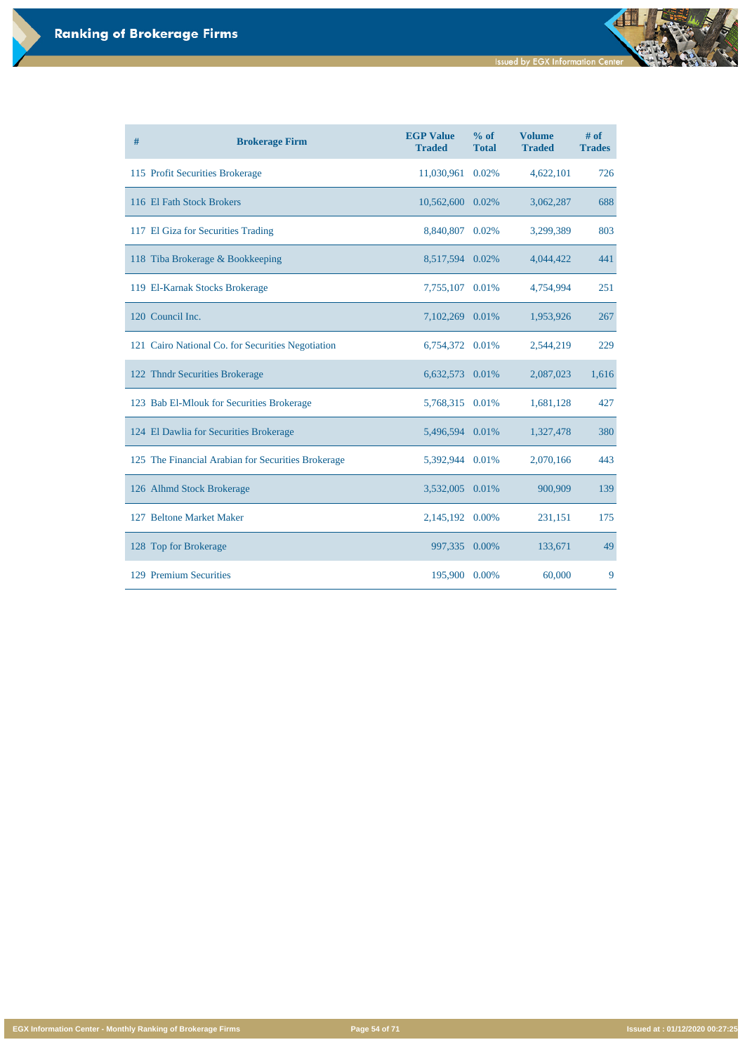**Issued by EGX Information Center** 

đ

**EGX Information Center - Monthly Ranking of Brokerage Firms Page 54 of 71 Issued at : 01/12/2020 00:27:25**

| # | <b>Brokerage Firm</b>                              | <b>EGP Value</b><br><b>Traded</b> | % of<br><b>Total</b> | <b>Volume</b><br><b>Traded</b> | $#$ of<br><b>Trades</b> |
|---|----------------------------------------------------|-----------------------------------|----------------------|--------------------------------|-------------------------|
|   | 115 Profit Securities Brokerage                    | 11,030,961                        | 0.02%                | 4,622,101                      | 726                     |
|   | 116 El Fath Stock Brokers                          | 10,562,600                        | 0.02%                | 3,062,287                      | 688                     |
|   | 117 El Giza for Securities Trading                 | 8,840,807                         | 0.02%                | 3,299,389                      | 803                     |
|   | 118 Tiba Brokerage & Bookkeeping                   | 8,517,594                         | 0.02%                | 4,044,422                      | 441                     |
|   | 119 El-Karnak Stocks Brokerage                     | 7,755,107 0.01%                   |                      | 4,754,994                      | 251                     |
|   | 120 Council Inc.                                   | 7,102,269                         | 0.01%                | 1,953,926                      | 267                     |
|   | 121 Cairo National Co. for Securities Negotiation  | 6,754,372                         | 0.01%                | 2,544,219                      | 229                     |
|   | 122 Thndr Securities Brokerage                     | 6,632,573                         | 0.01%                | 2,087,023                      | 1,616                   |
|   | 123 Bab El-Mlouk for Securities Brokerage          | 5,768,315                         | 0.01%                | 1,681,128                      | 427                     |
|   | 124 El Dawlia for Securities Brokerage             | 5,496,594                         | 0.01%                | 1,327,478                      | 380                     |
|   | 125 The Financial Arabian for Securities Brokerage | 5,392,944                         | 0.01%                | 2,070,166                      | 443                     |
|   | 126 Alhmd Stock Brokerage                          | 3,532,005                         | 0.01%                | 900,909                        | 139                     |
|   | 127 Beltone Market Maker                           | 2,145,192 0.00%                   |                      | 231,151                        | 175                     |
|   | 128 Top for Brokerage                              | 997,335                           | 0.00%                | 133,671                        | 49                      |
|   | 129 Premium Securities                             | 195,900                           | 0.00%                | 60,000                         | 9                       |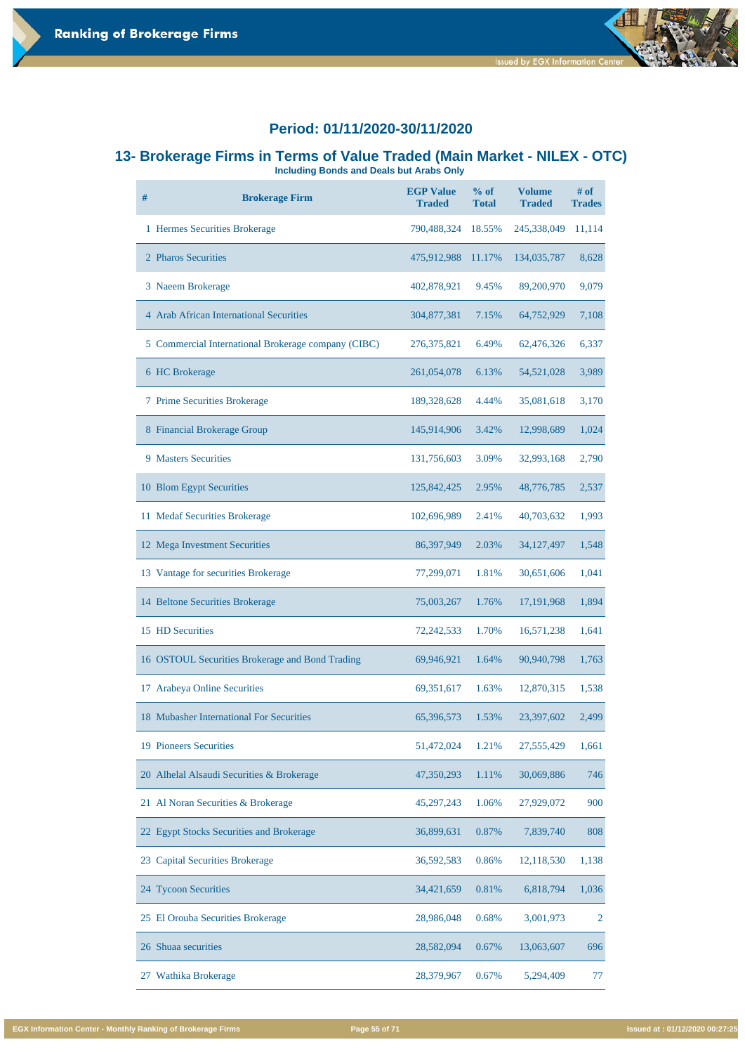



# **13- Brokerage Firms in Terms of Value Traded (Main Market - NILEX - OTC)**

**Including Bonds and Deals but Arabs Only** 

| #  | <b>Brokerage Firm</b>                               | <b>EGP Value</b><br><b>Traded</b> | $%$ of<br><b>Total</b> | <b>Volume</b><br><b>Traded</b> | # of<br><b>Trades</b> |
|----|-----------------------------------------------------|-----------------------------------|------------------------|--------------------------------|-----------------------|
|    | 1 Hermes Securities Brokerage                       | 790,488,324                       | 18.55%                 | 245,338,049                    | 11,114                |
|    | 2 Pharos Securities                                 | 475,912,988                       | 11.17%                 | 134,035,787                    | 8,628                 |
|    | 3 Naeem Brokerage                                   | 402,878,921                       | 9.45%                  | 89,200,970                     | 9,079                 |
|    | 4 Arab African International Securities             | 304,877,381                       | 7.15%                  | 64,752,929                     | 7,108                 |
|    | 5 Commercial International Brokerage company (CIBC) | 276, 375, 821                     | 6.49%                  | 62,476,326                     | 6,337                 |
|    | 6 HC Brokerage                                      | 261,054,078                       | 6.13%                  | 54, 521, 028                   | 3,989                 |
|    | 7 Prime Securities Brokerage                        | 189,328,628                       | 4.44%                  | 35,081,618                     | 3,170                 |
|    | 8 Financial Brokerage Group                         | 145,914,906                       | 3.42%                  | 12,998,689                     | 1,024                 |
|    | <b>9 Masters Securities</b>                         | 131,756,603                       | 3.09%                  | 32,993,168                     | 2,790                 |
|    | 10 Blom Egypt Securities                            | 125,842,425                       | 2.95%                  | 48,776,785                     | 2,537                 |
|    | 11 Medaf Securities Brokerage                       | 102,696,989                       | 2.41%                  | 40,703,632                     | 1,993                 |
|    | 12 Mega Investment Securities                       | 86,397,949                        | 2.03%                  | 34, 127, 497                   | 1,548                 |
|    | 13 Vantage for securities Brokerage                 | 77,299,071                        | 1.81%                  | 30,651,606                     | 1,041                 |
|    | 14 Beltone Securities Brokerage                     | 75,003,267                        | 1.76%                  | 17,191,968                     | 1,894                 |
|    | 15 HD Securities                                    | 72,242,533                        | 1.70%                  | 16,571,238                     | 1,641                 |
|    | 16 OSTOUL Securities Brokerage and Bond Trading     | 69,946,921                        | 1.64%                  | 90,940,798                     | 1,763                 |
| 17 | <b>Arabeya Online Securities</b>                    | 69,351,617                        | 1.63%                  | 12,870,315                     | 1,538                 |
|    | 18 Mubasher International For Securities            | 65,396,573                        | 1.53%                  | 23,397,602                     | 2,499                 |
|    | <b>19 Pioneers Securities</b>                       | 51,472,024                        | 1.21%                  | 27,555,429                     | 1,661                 |

| 20 Alhelal Alsaudi Securities & Brokerage | 47,350,293 | 1.11% | 30,069,886 | 746   |
|-------------------------------------------|------------|-------|------------|-------|
| 21 Al Noran Securities & Brokerage        | 45,297,243 | 1.06% | 27,929,072 | 900   |
| 22 Egypt Stocks Securities and Brokerage  | 36,899,631 | 0.87% | 7,839,740  | 808   |
| 23 Capital Securities Brokerage           | 36,592,583 | 0.86% | 12,118,530 | 1,138 |
| 24 Tycoon Securities                      | 34,421,659 | 0.81% | 6,818,794  | 1,036 |
| 25 El Orouba Securities Brokerage         | 28,986,048 | 0.68% | 3,001,973  | 2     |
| 26 Shuaa securities                       | 28,582,094 | 0.67% | 13,063,607 | 696   |
| Wathika Brokerage<br>27                   | 28,379,967 | 0.67% | 5,294,409  | 77    |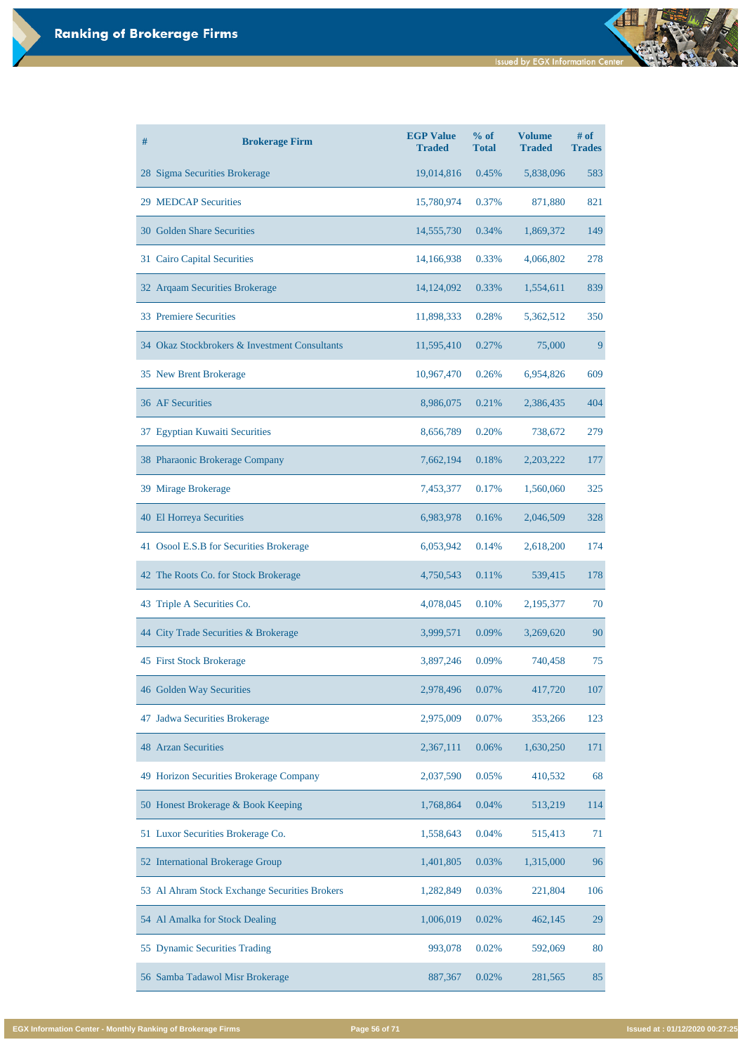| # | <b>Brokerage Firm</b>                         | <b>EGP Value</b><br><b>Traded</b> | % of<br><b>Total</b> | <b>Volume</b><br><b>Traded</b> | $#$ of<br><b>Trades</b> |
|---|-----------------------------------------------|-----------------------------------|----------------------|--------------------------------|-------------------------|
|   | 28 Sigma Securities Brokerage                 | 19,014,816                        | 0.45%                | 5,838,096                      | 583                     |
|   | <b>29 MEDCAP Securities</b>                   | 15,780,974                        | 0.37%                | 871,880                        | 821                     |
|   | 30 Golden Share Securities                    | 14,555,730                        | 0.34%                | 1,869,372                      | 149                     |
|   | 31 Cairo Capital Securities                   | 14,166,938                        | 0.33%                | 4,066,802                      | 278                     |
|   | 32 Arqaam Securities Brokerage                | 14, 124, 092                      | 0.33%                | 1,554,611                      | 839                     |
|   | <b>33 Premiere Securities</b>                 | 11,898,333                        | 0.28%                | 5,362,512                      | 350                     |
|   | 34 Okaz Stockbrokers & Investment Consultants | 11,595,410                        | 0.27%                | 75,000                         | 9                       |
|   | 35 New Brent Brokerage                        | 10,967,470                        | 0.26%                | 6,954,826                      | 609                     |
|   | <b>36 AF Securities</b>                       | 8,986,075                         | 0.21%                | 2,386,435                      | 404                     |
|   | 37 Egyptian Kuwaiti Securities                | 8,656,789                         | 0.20%                | 738,672                        | 279                     |
|   | 38 Pharaonic Brokerage Company                | 7,662,194                         | 0.18%                | 2,203,222                      | 177                     |
|   | 39 Mirage Brokerage                           | 7,453,377                         | 0.17%                | 1,560,060                      | 325                     |
|   | <b>40 El Horreya Securities</b>               | 6,983,978                         | 0.16%                | 2,046,509                      | 328                     |
|   | 41 Osool E.S.B for Securities Brokerage       | 6,053,942                         | 0.14%                | 2,618,200                      | 174                     |
|   | 42 The Roots Co. for Stock Brokerage          | 4,750,543                         | 0.11%                | 539,415                        | 178                     |
|   | 43 Triple A Securities Co.                    | 4,078,045                         | 0.10%                | 2,195,377                      | 70                      |
|   | 44 City Trade Securities & Brokerage          | 3,999,571                         | 0.09%                | 3,269,620                      | 90                      |
|   | 45 First Stock Brokerage                      | 3,897,246                         | 0.09%                | 740,458                        | 75                      |
|   | 46 Golden Way Securities                      | 2,978,496                         | 0.07%                | 417,720                        | 107                     |
|   | 47 Jadwa Securities Brokerage                 | 2,975,009                         | 0.07%                | 353,266                        | 123                     |
|   | <b>48 Arzan Securities</b>                    | 2,367,111                         | 0.06%                | 1,630,250                      | 171                     |

| 49 Horizon Securities Brokerage Company       | 2,037,590 | 0.05% | 410,532   | 68  |
|-----------------------------------------------|-----------|-------|-----------|-----|
| 50 Honest Brokerage & Book Keeping            | 1,768,864 | 0.04% | 513,219   | 114 |
| 51 Luxor Securities Brokerage Co.             | 1,558,643 | 0.04% | 515,413   | 71  |
| 52 International Brokerage Group              | 1,401,805 | 0.03% | 1,315,000 | 96  |
| 53 Al Ahram Stock Exchange Securities Brokers | 1,282,849 | 0.03% | 221,804   | 106 |
| 54 Al Amalka for Stock Dealing                | 1,006,019 | 0.02% | 462,145   | 29  |
| 55 Dynamic Securities Trading                 | 993,078   | 0.02% | 592,069   | 80  |
| 56 Samba Tadawol Misr Brokerage               | 887,367   | 0.02% | 281,565   | 85  |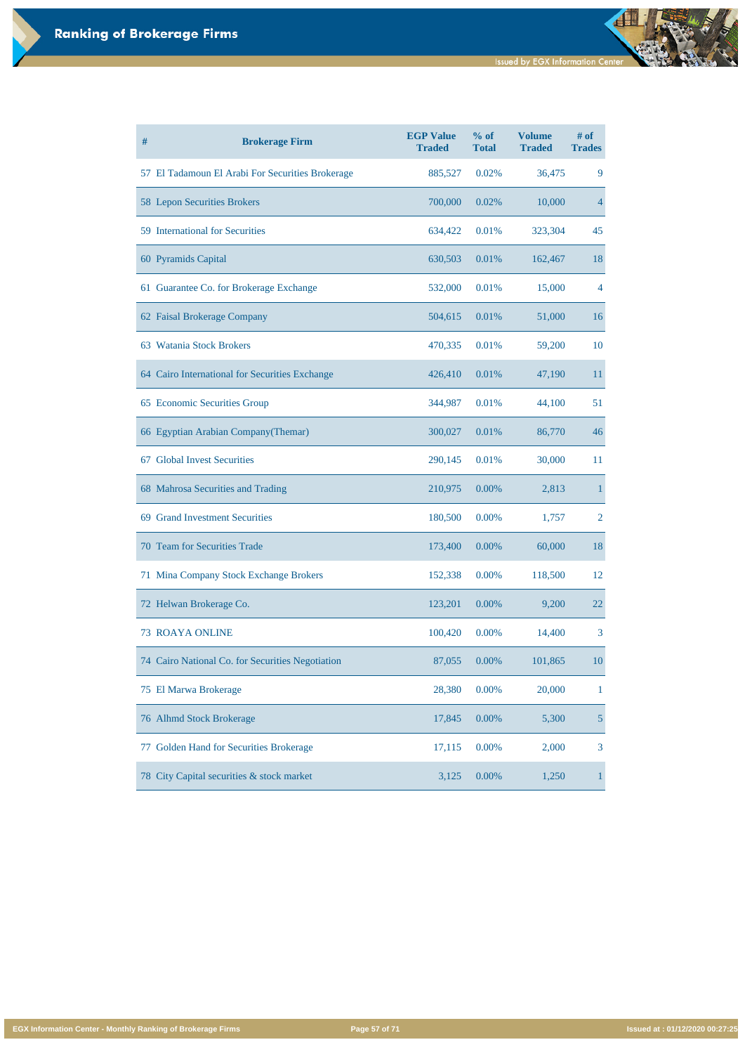| #  | <b>Brokerage Firm</b>                            | <b>EGP Value</b><br><b>Traded</b> | % of<br><b>Total</b> | <b>Volume</b><br><b>Traded</b> | $#$ of<br><b>Trades</b> |
|----|--------------------------------------------------|-----------------------------------|----------------------|--------------------------------|-------------------------|
|    | 57 El Tadamoun El Arabi For Securities Brokerage | 885,527                           | 0.02%                | 36,475                         | 9                       |
|    | 58 Lepon Securities Brokers                      | 700,000                           | 0.02%                | 10,000                         | $\overline{4}$          |
|    | 59 International for Securities                  | 634,422                           | 0.01%                | 323,304                        | 45                      |
|    | 60 Pyramids Capital                              | 630,503                           | 0.01%                | 162,467                        | 18                      |
|    | 61 Guarantee Co. for Brokerage Exchange          | 532,000                           | 0.01%                | 15,000                         | 4                       |
|    | 62 Faisal Brokerage Company                      | 504,615                           | 0.01%                | 51,000                         | 16                      |
|    | 63 Watania Stock Brokers                         | 470,335                           | 0.01%                | 59,200                         | 10                      |
|    | 64 Cairo International for Securities Exchange   | 426,410                           | 0.01%                | 47,190                         | 11                      |
|    | 65 Economic Securities Group                     | 344,987                           | 0.01%                | 44,100                         | 51                      |
|    | 66 Egyptian Arabian Company (Themar)             | 300,027                           | 0.01%                | 86,770                         | 46                      |
|    | 67 Global Invest Securities                      | 290,145                           | 0.01%                | 30,000                         | 11                      |
|    | 68 Mahrosa Securities and Trading                | 210,975                           | $0.00\%$             | 2,813                          |                         |
|    | 69 Grand Investment Securities                   | 180,500                           | 0.00%                | 1,757                          | $\overline{2}$          |
|    | <b>70 Team for Securities Trade</b>              | 173,400                           | 0.00%                | 60,000                         | 18                      |
|    | 71 Mina Company Stock Exchange Brokers           | 152,338                           | 0.00%                | 118,500                        | 12                      |
|    | 72 Helwan Brokerage Co.                          | 123,201                           | 0.00%                | 9,200                          | 22                      |
|    | <b>73 ROAYA ONLINE</b>                           | 100,420                           | 0.00%                | 14,400                         | 3                       |
|    | 74 Cairo National Co. for Securities Negotiation | 87,055                            | 0.00%                | 101,865                        | 10                      |
|    | 75 El Marwa Brokerage                            | 28,380                            | 0.00%                | 20,000                         | 1                       |
|    | 76 Alhmd Stock Brokerage                         | 17,845                            | 0.00%                | 5,300                          | $\overline{5}$          |
| 77 | Golden Hand for Securities Brokerage             | 17,115                            | 0.00%                | 2,000                          | 3                       |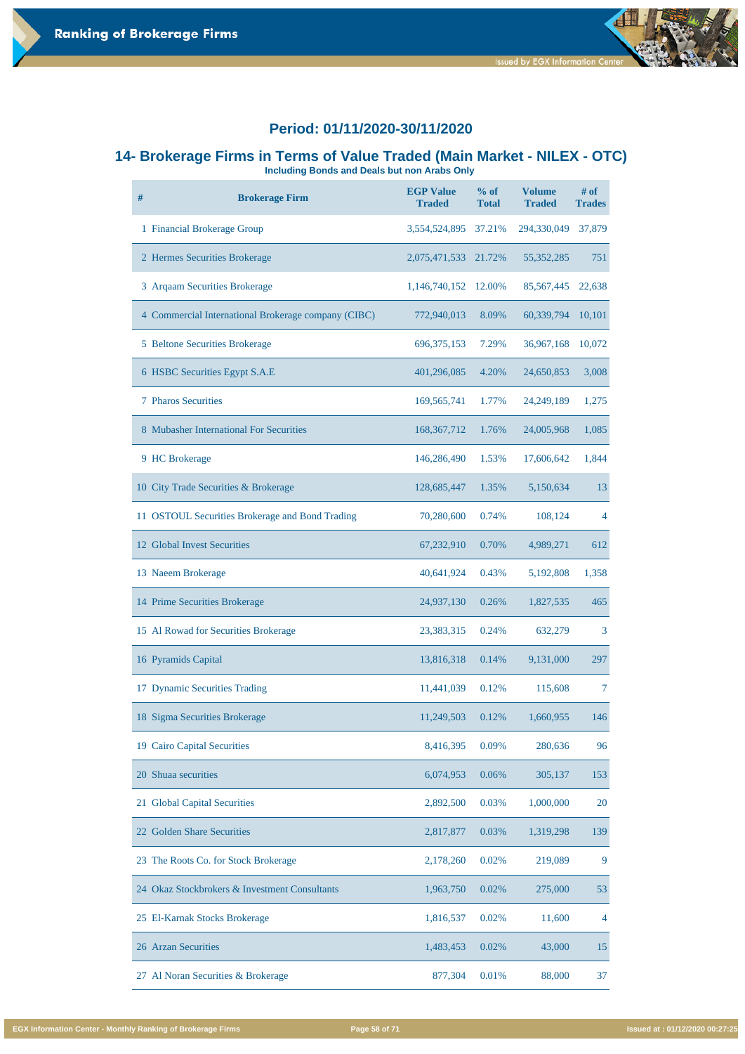# **14- Brokerage Firms in Terms of Value Traded (Main Market - NILEX - OTC)**

**Including Bonds and Deals but non Arabs Only** 

| # | <b>Brokerage Firm</b>                               | <b>EGP Value</b><br><b>Traded</b> | $%$ of<br><b>Total</b> | <b>Volume</b><br><b>Traded</b> | $#$ of<br><b>Trades</b> |
|---|-----------------------------------------------------|-----------------------------------|------------------------|--------------------------------|-------------------------|
|   | 1 Financial Brokerage Group                         | 3,554,524,895                     | 37.21%                 | 294,330,049                    | 37,879                  |
|   | 2 Hermes Securities Brokerage                       | 2,075,471,533                     | 21.72%                 | 55, 352, 285                   | 751                     |
|   | 3 Arqaam Securities Brokerage                       | 1,146,740,152                     | 12.00%                 | 85, 567, 445                   | 22,638                  |
|   | 4 Commercial International Brokerage company (CIBC) | 772,940,013                       | 8.09%                  | 60,339,794                     | 10,101                  |
|   | 5 Beltone Securities Brokerage                      | 696, 375, 153                     | 7.29%                  | 36,967,168                     | 10,072                  |
|   | 6 HSBC Securities Egypt S.A.E                       | 401,296,085                       | 4.20%                  | 24,650,853                     | 3,008                   |
|   | <b>7 Pharos Securities</b>                          | 169, 565, 741                     | 1.77%                  | 24, 249, 189                   | 1,275                   |
|   | 8 Mubasher International For Securities             | 168, 367, 712                     | 1.76%                  | 24,005,968                     | 1,085                   |
|   | 9 HC Brokerage                                      | 146,286,490                       | 1.53%                  | 17,606,642                     | 1,844                   |
|   | 10 City Trade Securities & Brokerage                | 128,685,447                       | 1.35%                  | 5,150,634                      | 13                      |
|   | 11 OSTOUL Securities Brokerage and Bond Trading     | 70,280,600                        | 0.74%                  | 108,124                        | $\overline{4}$          |
|   | 12 Global Invest Securities                         | 67,232,910                        | 0.70%                  | 4,989,271                      | 612                     |
|   | 13 Naeem Brokerage                                  | 40,641,924                        | 0.43%                  | 5,192,808                      | 1,358                   |
|   | 14 Prime Securities Brokerage                       | 24,937,130                        | 0.26%                  | 1,827,535                      | 465                     |
|   | 15 Al Rowad for Securities Brokerage                | 23,383,315                        | 0.24%                  | 632,279                        | 3                       |
|   | 16 Pyramids Capital                                 | 13,816,318                        | 0.14%                  | 9,131,000                      | 297                     |
|   | 17 Dynamic Securities Trading                       | 11,441,039                        | 0.12%                  | 115,608                        | 7                       |
|   | 18 Sigma Securities Brokerage                       | 11,249,503                        | 0.12%                  | 1,660,955                      | 146                     |
|   | 19 Cairo Capital Securities                         | 8,416,395                         | 0.09%                  | 280,636                        | 96                      |

| 20 Shuaa securities                           | 6,074,953 | 0.06% | 305,137   | 153            |
|-----------------------------------------------|-----------|-------|-----------|----------------|
| 21 Global Capital Securities                  | 2,892,500 | 0.03% | 1,000,000 | 20             |
| 22 Golden Share Securities                    | 2,817,877 | 0.03% | 1,319,298 | 139            |
| 23 The Roots Co. for Stock Brokerage          | 2,178,260 | 0.02% | 219,089   | 9              |
| 24 Okaz Stockbrokers & Investment Consultants | 1,963,750 | 0.02% | 275,000   | 53             |
| 25 El-Karnak Stocks Brokerage                 | 1,816,537 | 0.02% | 11,600    | $\overline{4}$ |
| 26 Arzan Securities                           | 1,483,453 | 0.02% | 43,000    | 15             |
| 27 Al Noran Securities & Brokerage            | 877,304   | 0.01% | 88,000    | 37             |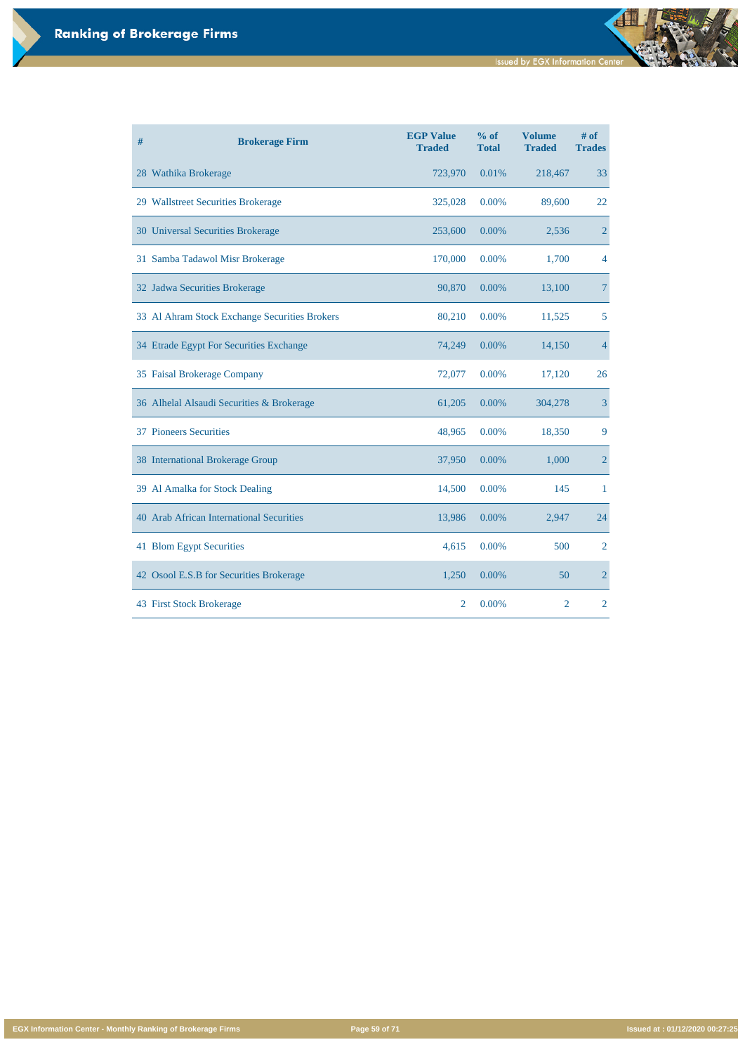**EGX Information Center - Monthly Ranking of Brokerage Firms Page 59 of 71 Issued at : 01/12/2020 00:27:25**

| # | <b>Brokerage Firm</b>                         | <b>EGP Value</b><br><b>Traded</b> | % of<br><b>Total</b> | <b>Volume</b><br><b>Traded</b> | # of<br><b>Trades</b> |
|---|-----------------------------------------------|-----------------------------------|----------------------|--------------------------------|-----------------------|
|   | 28 Wathika Brokerage                          | 723,970                           | 0.01%                | 218,467                        | 33                    |
|   | 29 Wallstreet Securities Brokerage            | 325,028                           | 0.00%                | 89,600                         | 22                    |
|   | 30 Universal Securities Brokerage             | 253,600                           | 0.00%                | 2,536                          | $\overline{2}$        |
|   | 31 Samba Tadawol Misr Brokerage               | 170,000                           | 0.00%                | 1,700                          | 4                     |
|   | 32 Jadwa Securities Brokerage                 | 90,870                            | 0.00%                | 13,100                         | $\overline{7}$        |
|   | 33 Al Ahram Stock Exchange Securities Brokers | 80,210                            | 0.00%                | 11,525                         | 5                     |
|   | 34 Etrade Egypt For Securities Exchange       | 74,249                            | 0.00%                | 14,150                         | $\overline{4}$        |
|   | 35 Faisal Brokerage Company                   | 72,077                            | 0.00%                | 17,120                         | 26                    |
|   | 36 Alhelal Alsaudi Securities & Brokerage     | 61,205                            | 0.00%                | 304,278                        | 3                     |
|   | <b>37 Pioneers Securities</b>                 | 48,965                            | 0.00%                | 18,350                         | 9                     |
|   | 38 International Brokerage Group              | 37,950                            | 0.00%                | 1,000                          | $\overline{2}$        |
|   | 39 Al Amalka for Stock Dealing                | 14,500                            | 0.00%                | 145                            | 1                     |
|   | 40 Arab African International Securities      | 13,986                            | 0.00%                | 2,947                          | 24                    |
|   | 41 Blom Egypt Securities                      | 4,615                             | 0.00%                | 500                            | $\overline{2}$        |
|   | 42 Osool E.S.B for Securities Brokerage       | 1,250                             | 0.00%                | 50                             | $\overline{2}$        |
|   | 43 First Stock Brokerage                      | $\overline{2}$                    | 0.00%                | $\overline{2}$                 | $\overline{2}$        |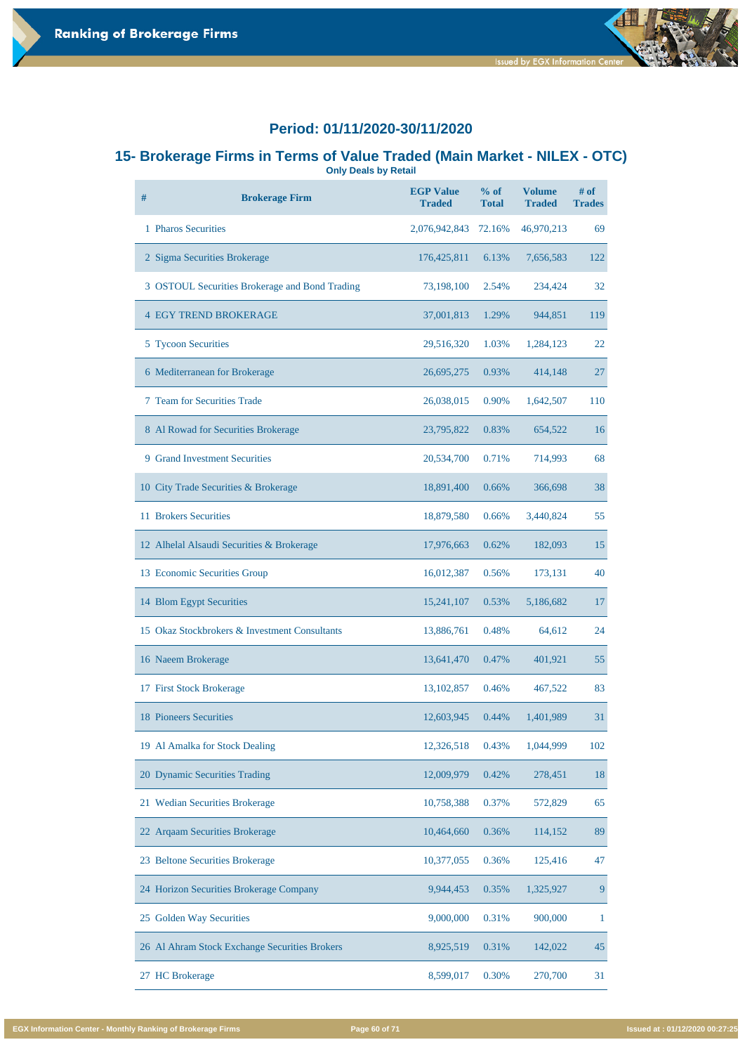

#### **15- Brokerage Firms in Terms of Value Traded (Main Market - NILEX - OTC) Only Deals by Retail**

| # | <b>Brokerage Firm</b>                          | <b>EGP Value</b><br><b>Traded</b> | $%$ of<br><b>Total</b> | <b>Volume</b><br><b>Traded</b> | $#$ of<br><b>Trades</b> |
|---|------------------------------------------------|-----------------------------------|------------------------|--------------------------------|-------------------------|
|   | 1 Pharos Securities                            | 2,076,942,843                     | 72.16%                 | 46,970,213                     | 69                      |
|   | 2 Sigma Securities Brokerage                   | 176, 425, 811                     | 6.13%                  | 7,656,583                      | 122                     |
|   | 3 OSTOUL Securities Brokerage and Bond Trading | 73,198,100                        | 2.54%                  | 234,424                        | 32                      |
|   | <b>4 EGY TREND BROKERAGE</b>                   | 37,001,813                        | 1.29%                  | 944,851                        | 119                     |
|   | 5 Tycoon Securities                            | 29,516,320                        | 1.03%                  | 1,284,123                      | 22                      |
|   | 6 Mediterranean for Brokerage                  | 26,695,275                        | 0.93%                  | 414,148                        | 27                      |
|   | 7 Team for Securities Trade                    | 26,038,015                        | 0.90%                  | 1,642,507                      | <b>110</b>              |
|   | 8 Al Rowad for Securities Brokerage            | 23,795,822                        | 0.83%                  | 654,522                        | 16                      |
|   | <b>9 Grand Investment Securities</b>           | 20,534,700                        | 0.71%                  | 714,993                        | 68                      |
|   | 10 City Trade Securities & Brokerage           | 18,891,400                        | 0.66%                  | 366,698                        | 38                      |
|   | 11 Brokers Securities                          | 18,879,580                        | 0.66%                  | 3,440,824                      | 55                      |
|   | 12 Alhelal Alsaudi Securities & Brokerage      | 17,976,663                        | 0.62%                  | 182,093                        | 15                      |
|   | 13 Economic Securities Group                   | 16,012,387                        | 0.56%                  | 173,131                        | 40                      |
|   | 14 Blom Egypt Securities                       | 15,241,107                        | 0.53%                  | 5,186,682                      | 17                      |
|   | 15 Okaz Stockbrokers & Investment Consultants  | 13,886,761                        | 0.48%                  | 64,612                         | 24                      |
|   | 16 Naeem Brokerage                             | 13,641,470                        | 0.47%                  | 401,921                        | 55                      |
|   | 17 First Stock Brokerage                       | 13, 102, 857                      | 0.46%                  | 467,522                        | 83                      |
|   | <b>18 Pioneers Securities</b>                  | 12,603,945                        | 0.44%                  | 1,401,989                      | 31                      |
|   | 19 Al Amalka for Stock Dealing                 | 12,326,518                        | 0.43%                  | 1,044,999                      | 102                     |

| 20 Dynamic Securities Trading                 | 12,009,979 | 0.42% | 278,451   | 18 |
|-----------------------------------------------|------------|-------|-----------|----|
| 21 Wedian Securities Brokerage                | 10,758,388 | 0.37% | 572,829   | 65 |
| 22 Argaam Securities Brokerage                | 10,464,660 | 0.36% | 114,152   | 89 |
| 23 Beltone Securities Brokerage               | 10,377,055 | 0.36% | 125,416   | 47 |
| 24 Horizon Securities Brokerage Company       | 9,944,453  | 0.35% | 1,325,927 | 9  |
| 25 Golden Way Securities                      | 9,000,000  | 0.31% | 900,000   |    |
| 26 Al Ahram Stock Exchange Securities Brokers | 8,925,519  | 0.31% | 142,022   | 45 |
| 27 HC Brokerage                               | 8,599,017  | 0.30% | 270,700   | 31 |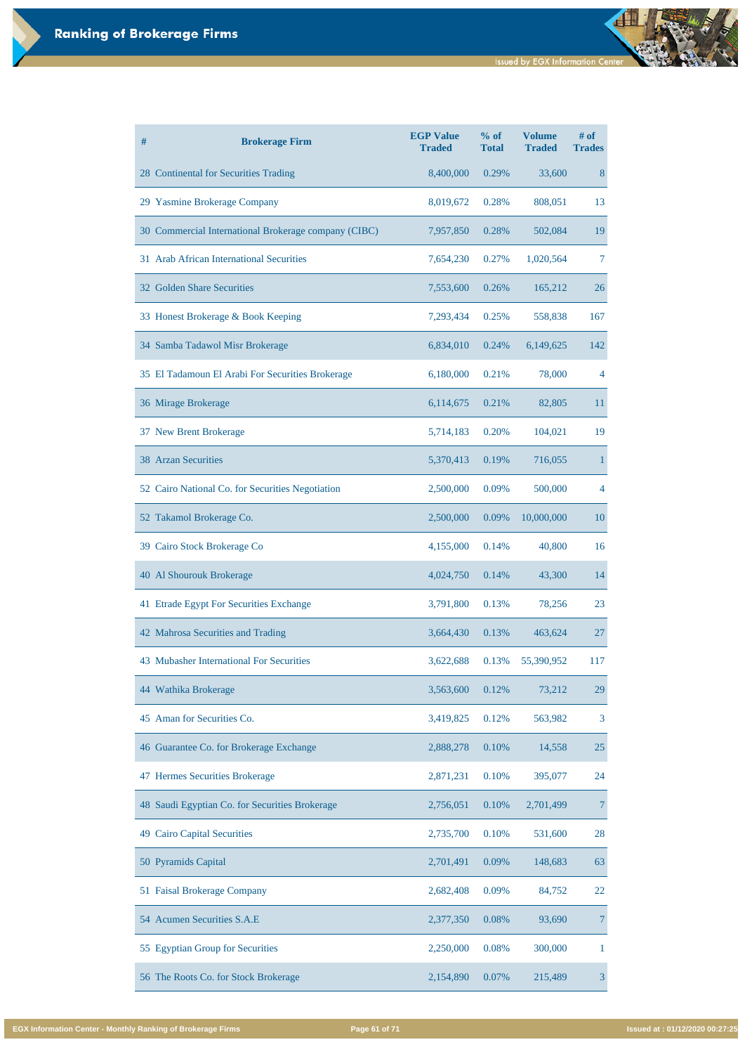| #<br><b>Brokerage Firm</b>                           | <b>EGP Value</b><br><b>Traded</b> | % of<br><b>Total</b> | <b>Volume</b><br><b>Traded</b> | $#$ of<br><b>Trades</b> |
|------------------------------------------------------|-----------------------------------|----------------------|--------------------------------|-------------------------|
| 28 Continental for Securities Trading                | 8,400,000                         | 0.29%                | 33,600                         | 8                       |
| 29 Yasmine Brokerage Company                         | 8,019,672                         | 0.28%                | 808,051                        | 13                      |
| 30 Commercial International Brokerage company (CIBC) | 7,957,850                         | 0.28%                | 502,084                        | 19                      |
| 31 Arab African International Securities             | 7,654,230                         | 0.27%                | 1,020,564                      | 7                       |
| 32 Golden Share Securities                           | 7,553,600                         | 0.26%                | 165,212                        | 26                      |
| 33 Honest Brokerage & Book Keeping                   | 7,293,434                         | 0.25%                | 558,838                        | 167                     |
| 34 Samba Tadawol Misr Brokerage                      | 6,834,010                         | 0.24%                | 6,149,625                      | 142                     |
| 35 El Tadamoun El Arabi For Securities Brokerage     | 6,180,000                         | 0.21%                | 78,000                         | 4                       |
| 36 Mirage Brokerage                                  | 6,114,675                         | 0.21%                | 82,805                         | 11                      |
| 37 New Brent Brokerage                               | 5,714,183                         | 0.20%                | 104,021                        | 19                      |
| <b>38 Arzan Securities</b>                           | 5,370,413                         | 0.19%                | 716,055                        |                         |
| 52 Cairo National Co. for Securities Negotiation     | 2,500,000                         | 0.09%                | 500,000                        | $\overline{4}$          |
| 52 Takamol Brokerage Co.                             | 2,500,000                         | 0.09%                | 10,000,000                     | 10                      |
| 39 Cairo Stock Brokerage Co                          | 4,155,000                         | 0.14%                | 40,800                         | 16                      |
| 40 Al Shourouk Brokerage                             | 4,024,750                         | 0.14%                | 43,300                         | 14                      |
| 41 Etrade Egypt For Securities Exchange              | 3,791,800                         | 0.13%                | 78,256                         | 23                      |
| 42 Mahrosa Securities and Trading                    | 3,664,430                         | 0.13%                | 463,624                        | 27                      |
| 43 Mubasher International For Securities             | 3,622,688                         | 0.13%                | 55,390,952                     | 117                     |
| 44 Wathika Brokerage                                 | 3,563,600                         | 0.12%                | 73,212                         | 29                      |
| 45 Aman for Securities Co.                           | 3,419,825                         | 0.12%                | 563,982                        | 3                       |
| 46 Guarantee Co. for Brokerage Exchange              | 2,888,278                         | 0.10%                | 14,558                         | 25                      |

| 47 Hermes Securities Brokerage                 | 2,871,231 | 0.10% | 395,077   | 24 |
|------------------------------------------------|-----------|-------|-----------|----|
| 48 Saudi Egyptian Co. for Securities Brokerage | 2,756,051 | 0.10% | 2,701,499 |    |
| 49 Cairo Capital Securities                    | 2,735,700 | 0.10% | 531,600   | 28 |
| 50 Pyramids Capital                            | 2,701,491 | 0.09% | 148,683   | 63 |
| 51 Faisal Brokerage Company                    | 2,682,408 | 0.09% | 84,752    | 22 |
| 54 Acumen Securities S.A.E                     | 2,377,350 | 0.08% | 93,690    | 7  |
| 55 Egyptian Group for Securities               | 2,250,000 | 0.08% | 300,000   |    |
| 56 The Roots Co. for Stock Brokerage           | 2,154,890 | 0.07% | 215,489   | 3  |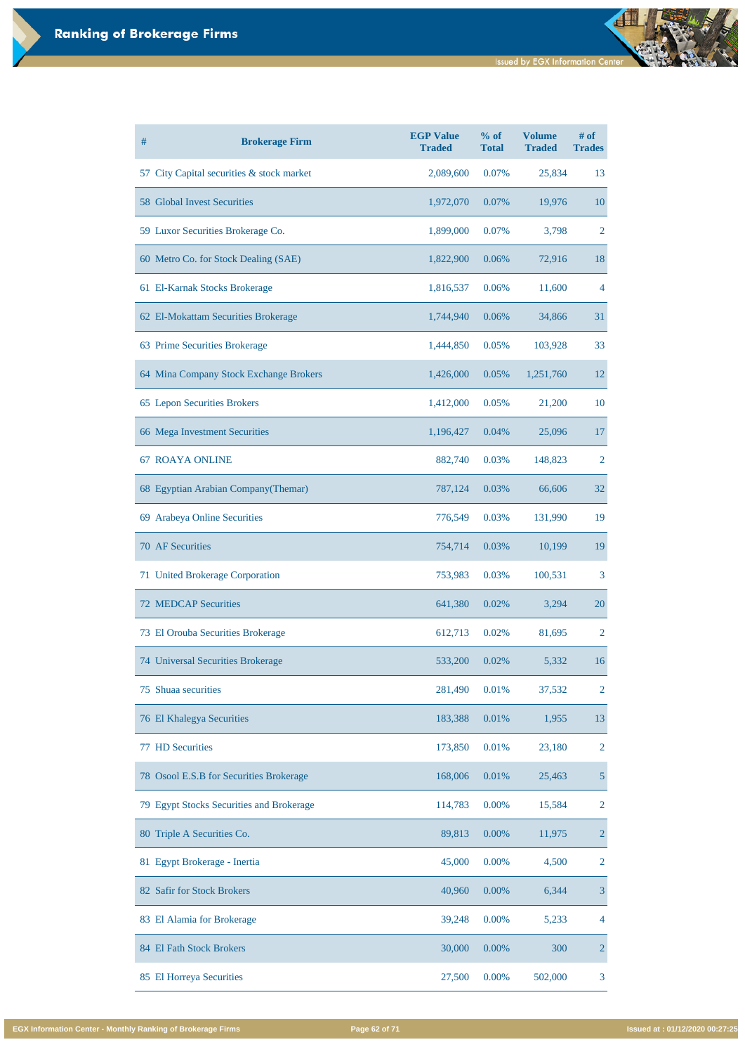| #  | <b>Brokerage Firm</b>                     | <b>EGP Value</b><br><b>Traded</b> | % of<br><b>Total</b> | <b>Volume</b><br><b>Traded</b> | $#$ of<br><b>Trades</b> |
|----|-------------------------------------------|-----------------------------------|----------------------|--------------------------------|-------------------------|
|    | 57 City Capital securities & stock market | 2,089,600                         | 0.07%                | 25,834                         | 13                      |
|    | <b>58 Global Invest Securities</b>        | 1,972,070                         | 0.07%                | 19,976                         | <b>10</b>               |
|    | 59 Luxor Securities Brokerage Co.         | 1,899,000                         | 0.07%                | 3,798                          | 2                       |
|    | 60 Metro Co. for Stock Dealing (SAE)      | 1,822,900                         | 0.06%                | 72,916                         | 18                      |
|    | 61 El-Karnak Stocks Brokerage             | 1,816,537                         | 0.06%                | 11,600                         | 4                       |
|    | 62 El-Mokattam Securities Brokerage       | 1,744,940                         | 0.06%                | 34,866                         | 31                      |
|    | 63 Prime Securities Brokerage             | 1,444,850                         | 0.05%                | 103,928                        | 33                      |
|    | 64 Mina Company Stock Exchange Brokers    | 1,426,000                         | 0.05%                | 1,251,760                      | 12                      |
|    | 65 Lepon Securities Brokers               | 1,412,000                         | 0.05%                | 21,200                         | 10                      |
|    | 66 Mega Investment Securities             | 1,196,427                         | 0.04%                | 25,096                         | 17                      |
|    | <b>67 ROAYA ONLINE</b>                    | 882,740                           | 0.03%                | 148,823                        | 2                       |
|    | 68 Egyptian Arabian Company (Themar)      | 787,124                           | 0.03%                | 66,606                         | 32                      |
| 69 | <b>Arabeya Online Securities</b>          | 776,549                           | 0.03%                | 131,990                        | 19                      |
|    | <b>70 AF Securities</b>                   | 754,714                           | 0.03%                | 10,199                         | 19                      |
|    | 71 United Brokerage Corporation           | 753,983                           | 0.03%                | 100,531                        | 3                       |
|    | <b>72 MEDCAP Securities</b>               | 641,380                           | 0.02%                | 3,294                          | 20                      |
|    | 73 El Orouba Securities Brokerage         | 612,713                           | 0.02%                | 81,695                         | 2                       |
|    | 74 Universal Securities Brokerage         | 533,200                           | 0.02%                | 5,332                          | 16                      |
| 75 | Shuaa securities                          | 281,490                           | 0.01%                | 37,532                         | 2                       |
|    | 76 El Khalegya Securities                 | 183,388                           | 0.01%                | 1,955                          | 13                      |
|    | <b>77 HD Securities</b>                   | 173,850                           | 0.01%                | 23,180                         | $\overline{2}$          |

| 78 Osool E.S.B for Securities Brokerage  | 168,006 | 0.01%    | 25,463  | 5              |
|------------------------------------------|---------|----------|---------|----------------|
| 79 Egypt Stocks Securities and Brokerage | 114,783 | $0.00\%$ | 15,584  | 2              |
| 80 Triple A Securities Co.               | 89,813  | $0.00\%$ | 11,975  | $\overline{2}$ |
| 81 Egypt Brokerage - Inertia             | 45,000  | $0.00\%$ | 4,500   | 2              |
| 82 Safir for Stock Brokers               | 40,960  | $0.00\%$ | 6,344   | 3              |
| 83 El Alamia for Brokerage               | 39,248  | $0.00\%$ | 5,233   | $\overline{4}$ |
| 84 El Fath Stock Brokers                 | 30,000  | $0.00\%$ | 300     | $\overline{2}$ |
| 85 El Horreya Securities                 | 27,500  | $0.00\%$ | 502,000 | 3              |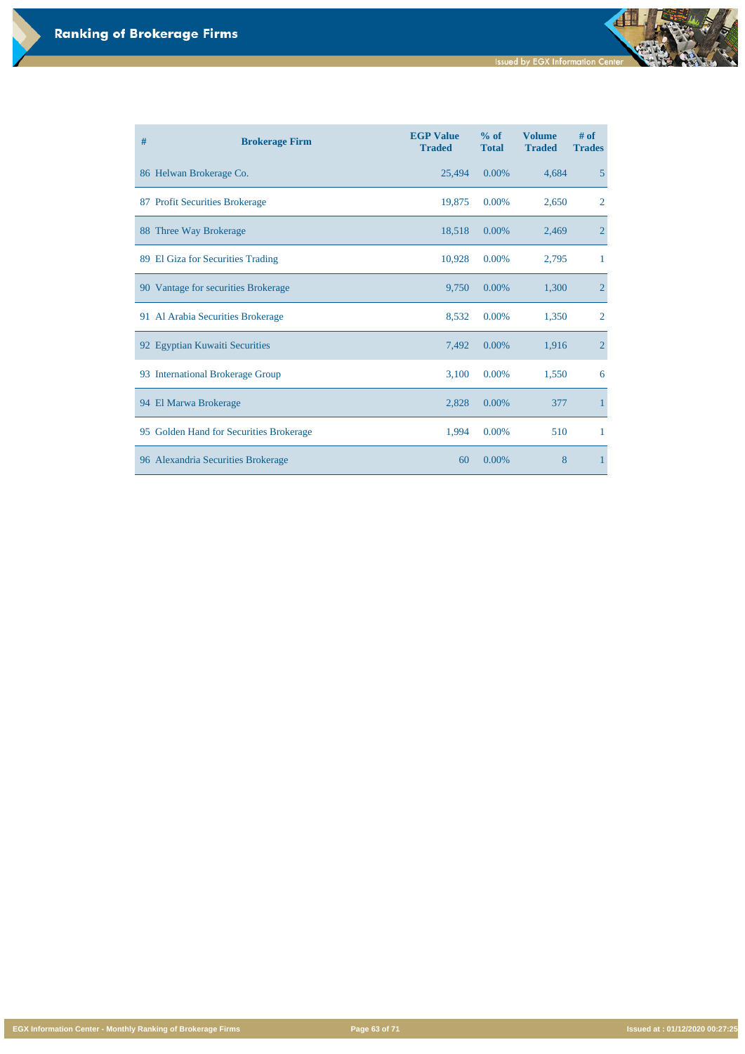**EGX Information Center - Monthly Ranking of Brokerage Firms Page 63 of 71 Issued at : 01/12/2020 00:27:25**

| # | <b>Brokerage Firm</b>                   | <b>EGP Value</b><br><b>Traded</b> | % of<br><b>Total</b> | <b>Volume</b><br><b>Traded</b> | # of<br><b>Trades</b> |
|---|-----------------------------------------|-----------------------------------|----------------------|--------------------------------|-----------------------|
|   | 86 Helwan Brokerage Co.                 | 25,494                            | 0.00%                | 4,684                          | $5\overline{)}$       |
|   | 87 Profit Securities Brokerage          | 19,875                            | 0.00%                | 2,650                          | $\overline{2}$        |
|   | 88 Three Way Brokerage                  | 18,518                            | 0.00%                | 2,469                          | $\overline{2}$        |
|   | 89 El Giza for Securities Trading       | 10,928                            | 0.00%                | 2,795                          | $\mathbf 1$           |
|   | 90 Vantage for securities Brokerage     | 9,750                             | 0.00%                | 1,300                          | $\overline{2}$        |
|   | 91 Al Arabia Securities Brokerage       | 8,532                             | 0.00%                | 1,350                          | $\overline{2}$        |
|   | 92 Egyptian Kuwaiti Securities          | 7,492                             | 0.00%                | 1,916                          | $\overline{2}$        |
|   | 93 International Brokerage Group        | 3,100                             | 0.00%                | 1,550                          | 6                     |
|   | 94 El Marwa Brokerage                   | 2,828                             | 0.00%                | 377                            | $\mathbf{1}$          |
|   | 95 Golden Hand for Securities Brokerage | 1,994                             | 0.00%                | 510                            | $\mathbf{1}$          |
|   | 96 Alexandria Securities Brokerage      | 60                                | 0.00%                | 8                              | $\mathbf{1}$          |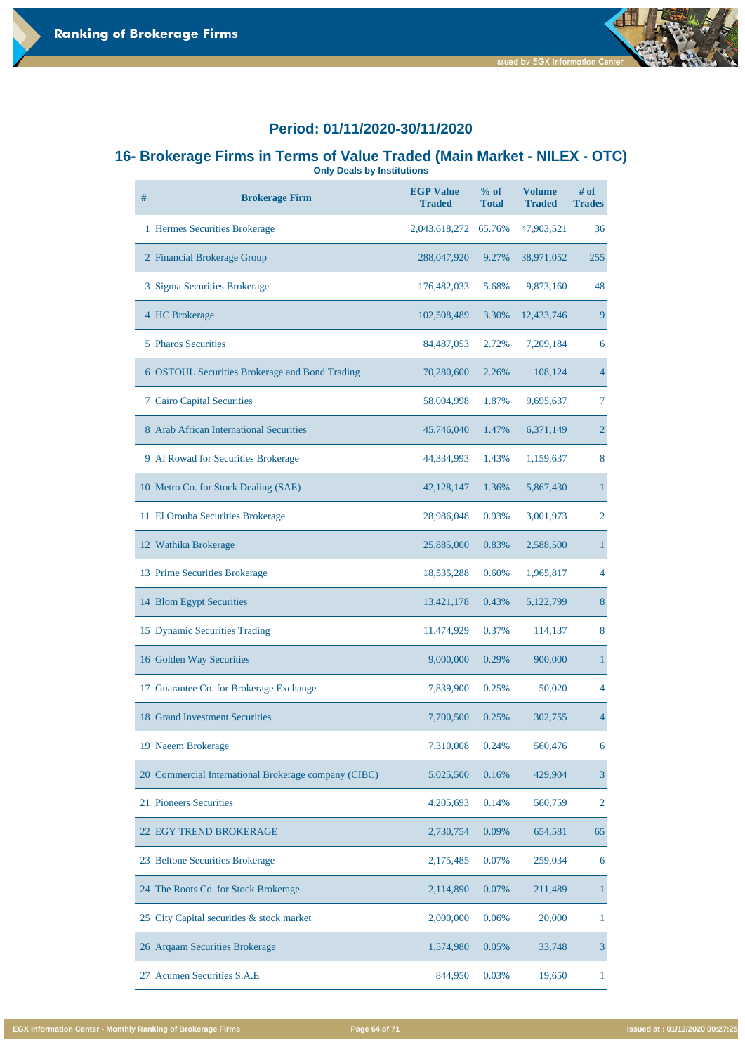

#### **16- Brokerage Firms in Terms of Value Traded (Main Market - NILEX - OTC) Only Deals by Institutions**

**# Brokerage Firm EGP Value Traded % of Total Volume Traded # of Trades** 1 Hermes Securities Brokerage 2,043,618,272 65.76% 47,903,521 36 2 Financial Brokerage Group 288,047,920 9.27% 38,971,052 255 3 Sigma Securities Brokerage 176,482,033 5.68% 9,873,160 48 4 HC Brokerage 102,508,489 3.30% 12,433,746 9 5 Pharos Securities 84,487,053 2.72% 7,209,184 6 6 OSTOUL Securities Brokerage and Bond Trading 70,280,600 2.26% 108,124 4 7 Cairo Capital Securities 58,004,998 1.87% 9,695,637 7 8 Arab African International Securities 45,746,040 1.47% 6,371,149 2 9 Al Rowad for Securities Brokerage 44,334,993 1.43% 1,159,637 8 10 Metro Co. for Stock Dealing (SAE) 42,128,147 1.36% 5,867,430 1 11 El Orouba Securities Brokerage 28,986,048 0.93% 3,001,973 2 12 Wathika Brokerage 25,885,000 0.83% 2,588,500 1 13 Prime Securities Brokerage 18,535,288 0.60% 1,965,817 4 14 Blom Egypt Securities 13,421,178 0.43% 5,122,799 8 15 Dynamic Securities Trading 11,474,929 0.37% 114,137 8 16 Golden Way Securities 2,000,000 0.29% 900,000 1 17 Guarantee Co. for Brokerage Exchange 7,839,900 0.25% 50,020 4 18 Grand Investment Securities 7,700,500 0.25% 302,755 4 19 Naeem Brokerage 7,310,008 0.24% 560,476 6

| 20 Commercial International Brokerage company (CIBC) | 5,025,500 | 0.16%    | 429,904 | 3  |
|------------------------------------------------------|-----------|----------|---------|----|
| 21 Pioneers Securities                               | 4,205,693 | 0.14%    | 560,759 | 2  |
| <b>22 EGY TREND BROKERAGE</b>                        | 2,730,754 | 0.09%    | 654,581 | 65 |
| 23 Beltone Securities Brokerage                      | 2,175,485 | 0.07%    | 259,034 | 6  |
| 24 The Roots Co. for Stock Brokerage                 | 2,114,890 | 0.07%    | 211,489 |    |
| 25 City Capital securities & stock market            | 2,000,000 | 0.06%    | 20,000  |    |
| 26 Arqaam Securities Brokerage                       | 1,574,980 | $0.05\%$ | 33,748  | 3  |
| 27 Acumen Securities S.A.E                           | 844,950   | 0.03%    | 19,650  |    |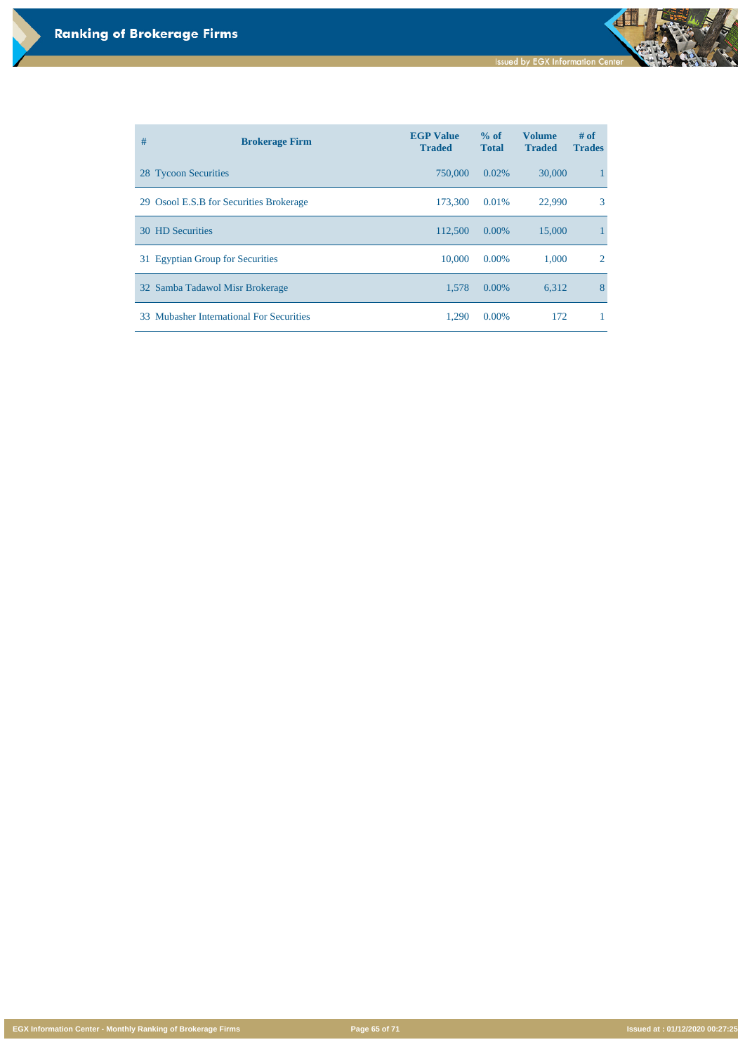**EGX Information Center - Monthly Ranking of Brokerage Firms Page 65 of 71 Issued at : 01/12/2020 00:27:25**

| #   | <b>Brokerage Firm</b>                        | <b>EGP Value</b><br><b>Traded</b> | % of<br><b>Total</b> | <b>Volume</b><br><b>Traded</b> | $#$ of<br><b>Trades</b>     |
|-----|----------------------------------------------|-----------------------------------|----------------------|--------------------------------|-----------------------------|
|     | 28 Tycoon Securities                         | 750,000                           | 0.02%                | 30,000                         |                             |
|     | 29 Osool E.S.B for Securities Brokerage      | 173,300                           | 0.01%                | 22,990                         | 3                           |
|     | <b>30 HD Securities</b>                      | 112,500                           | $0.00\%$             | 15,000                         |                             |
|     | 31 Egyptian Group for Securities             | 10,000                            | $0.00\%$             | 1,000                          | $\mathcal{D}_{\mathcal{L}}$ |
|     | 32 Samba Tadawol Misr Brokerage              | 1,578                             | 0.00%                | 6,312                          | 8                           |
| 33. | <b>Mubasher International For Securities</b> | 1,290                             | $0.00\%$             | 172                            |                             |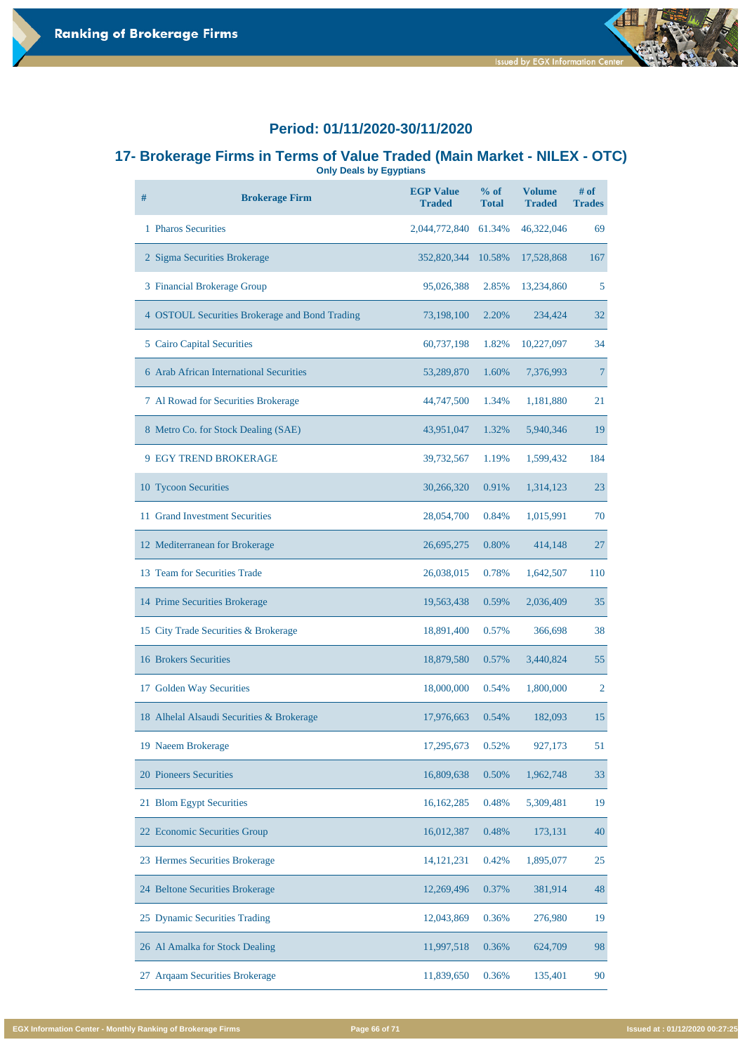

#### **17- Brokerage Firms in Terms of Value Traded (Main Market - NILEX - OTC) Only Deals by Egyptians**

| #  | <b>Brokerage Firm</b>                          | <b>EGP Value</b><br><b>Traded</b> | % of<br><b>Total</b> | <b>Volume</b><br><b>Traded</b> | $#$ of<br><b>Trades</b> |
|----|------------------------------------------------|-----------------------------------|----------------------|--------------------------------|-------------------------|
|    | 1 Pharos Securities                            | 2,044,772,840                     | 61.34%               | 46,322,046                     | 69                      |
|    | 2 Sigma Securities Brokerage                   | 352,820,344                       | 10.58%               | 17,528,868                     | 167                     |
|    | 3 Financial Brokerage Group                    | 95,026,388                        | 2.85%                | 13,234,860                     | 5                       |
|    | 4 OSTOUL Securities Brokerage and Bond Trading | 73,198,100                        | 2.20%                | 234,424                        | 32                      |
|    | <b>5</b> Cairo Capital Securities              | 60,737,198                        | 1.82%                | 10,227,097                     | 34                      |
|    | <b>6 Arab African International Securities</b> | 53,289,870                        | 1.60%                | 7,376,993                      | 7                       |
|    | 7 Al Rowad for Securities Brokerage            | 44,747,500                        | 1.34%                | 1,181,880                      | 21                      |
|    | 8 Metro Co. for Stock Dealing (SAE)            | 43,951,047                        | 1.32%                | 5,940,346                      | 19                      |
|    | <b>9 EGY TREND BROKERAGE</b>                   | 39,732,567                        | 1.19%                | 1,599,432                      | 184                     |
|    | 10 Tycoon Securities                           | 30,266,320                        | 0.91%                | 1,314,123                      | 23                      |
|    | 11 Grand Investment Securities                 | 28,054,700                        | 0.84%                | 1,015,991                      | 70                      |
|    | 12 Mediterranean for Brokerage                 | 26,695,275                        | 0.80%                | 414,148                        | 27                      |
| 13 | <b>Team for Securities Trade</b>               | 26,038,015                        | 0.78%                | 1,642,507                      | <b>110</b>              |
|    | 14 Prime Securities Brokerage                  | 19,563,438                        | 0.59%                | 2,036,409                      | 35                      |
|    | 15 City Trade Securities & Brokerage           | 18,891,400                        | 0.57%                | 366,698                        | 38                      |
|    | <b>16 Brokers Securities</b>                   | 18,879,580                        | 0.57%                | 3,440,824                      | 55                      |
|    | 17 Golden Way Securities                       | 18,000,000                        | 0.54%                | 1,800,000                      | $\overline{2}$          |
|    | 18 Alhelal Alsaudi Securities & Brokerage      | 17,976,663                        | 0.54%                | 182,093                        | 15                      |
|    | 19 Naeem Brokerage                             | 17,295,673                        | 0.52%                | 927,173                        | 51                      |

| 20 Pioneers Securities                   | 16,809,638   | 0.50% | 1,962,748 | 33 |
|------------------------------------------|--------------|-------|-----------|----|
| 21 Blom Egypt Securities                 | 16,162,285   | 0.48% | 5,309,481 | 19 |
| 22 Economic Securities Group             | 16,012,387   | 0.48% | 173,131   | 40 |
| 23 Hermes Securities Brokerage           | 14, 121, 231 | 0.42% | 1,895,077 | 25 |
| 24 Beltone Securities Brokerage          | 12,269,496   | 0.37% | 381,914   | 48 |
| 25 Dynamic Securities Trading            | 12,043,869   | 0.36% | 276,980   | 19 |
| 26 Al Amalka for Stock Dealing           | 11,997,518   | 0.36% | 624,709   | 98 |
| <b>Argaam Securities Brokerage</b><br>27 | 11,839,650   | 0.36% | 135,401   | 90 |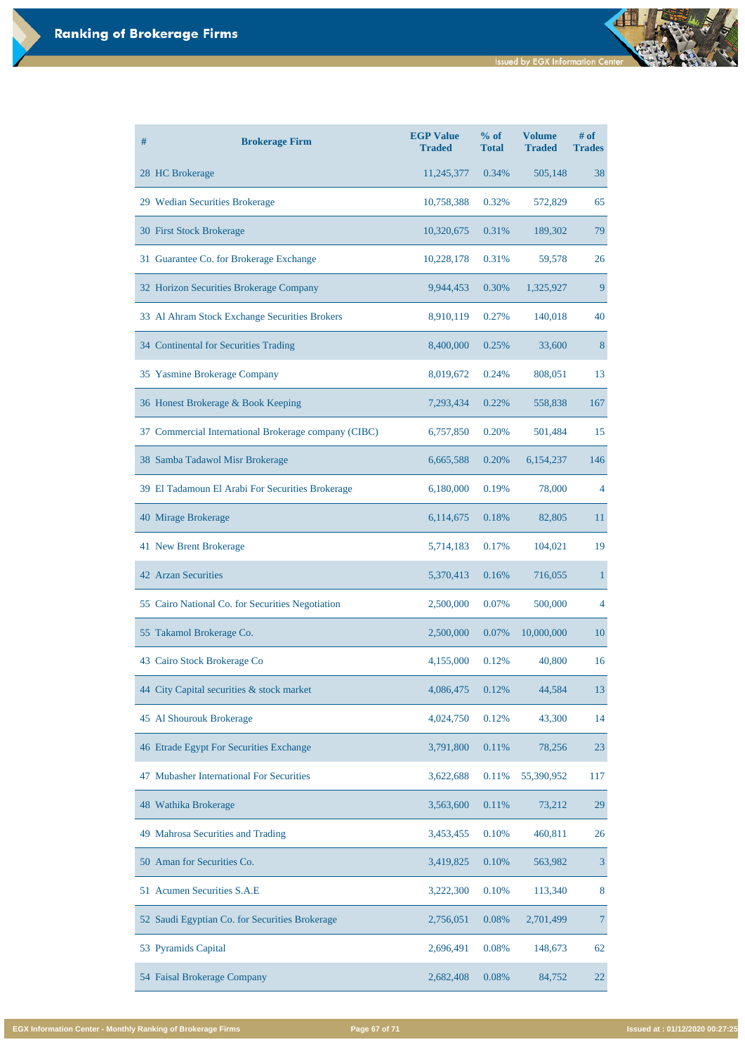| # | <b>Brokerage Firm</b>                                | <b>EGP Value</b><br><b>Traded</b> | % of<br><b>Total</b> | <b>Volume</b><br><b>Traded</b> | $#$ of<br><b>Trades</b> |
|---|------------------------------------------------------|-----------------------------------|----------------------|--------------------------------|-------------------------|
|   | 28 HC Brokerage                                      | 11,245,377                        | 0.34%                | 505,148                        | 38                      |
|   | 29 Wedian Securities Brokerage                       | 10,758,388                        | 0.32%                | 572,829                        | 65                      |
|   | 30 First Stock Brokerage                             | 10,320,675                        | 0.31%                | 189,302                        | 79                      |
|   | 31 Guarantee Co. for Brokerage Exchange              | 10,228,178                        | 0.31%                | 59,578                         | 26                      |
|   | 32 Horizon Securities Brokerage Company              | 9,944,453                         | 0.30%                | 1,325,927                      | 9                       |
|   | 33 Al Ahram Stock Exchange Securities Brokers        | 8,910,119                         | 0.27%                | 140,018                        | 40                      |
|   | 34 Continental for Securities Trading                | 8,400,000                         | 0.25%                | 33,600                         | 8                       |
|   | 35 Yasmine Brokerage Company                         | 8,019,672                         | 0.24%                | 808,051                        | 13                      |
|   | 36 Honest Brokerage & Book Keeping                   | 7,293,434                         | 0.22%                | 558,838                        | 167                     |
|   | 37 Commercial International Brokerage company (CIBC) | 6,757,850                         | 0.20%                | 501,484                        | 15                      |
|   | 38 Samba Tadawol Misr Brokerage                      | 6,665,588                         | 0.20%                | 6,154,237                      | 146                     |
|   | 39 El Tadamoun El Arabi For Securities Brokerage     | 6,180,000                         | 0.19%                | 78,000                         | $\overline{4}$          |
|   | 40 Mirage Brokerage                                  | 6,114,675                         | 0.18%                | 82,805                         | 11                      |
|   | 41 New Brent Brokerage                               | 5,714,183                         | 0.17%                | 104,021                        | 19                      |
|   | <b>42 Arzan Securities</b>                           | 5,370,413                         | 0.16%                | 716,055                        | 1                       |
|   | 55 Cairo National Co. for Securities Negotiation     | 2,500,000                         | 0.07%                | 500,000                        | 4                       |
|   | 55 Takamol Brokerage Co.                             | 2,500,000                         | 0.07%                | 10,000,000                     | 10                      |
|   | 43 Cairo Stock Brokerage Co                          | 4,155,000                         | 0.12%                | 40,800                         | 16                      |
|   | 44 City Capital securities & stock market            | 4,086,475                         | 0.12%                | 44,584                         | 13                      |
|   | 45 Al Shourouk Brokerage                             | 4,024,750                         | 0.12%                | 43,300                         | 14                      |
|   | 46 Etrade Egypt For Securities Exchange              | 3,791,800                         | 0.11%                | 78,256                         | 23                      |

| <b>Mubasher International For Securities</b><br>47 | 3,622,688 | 0.11% | 55,390,952 | 117 |
|----------------------------------------------------|-----------|-------|------------|-----|
| 48 Wathika Brokerage                               | 3,563,600 | 0.11% | 73,212     | 29  |
| 49 Mahrosa Securities and Trading                  | 3,453,455 | 0.10% | 460,811    | 26  |
| 50 Aman for Securities Co.                         | 3,419,825 | 0.10% | 563,982    | 3   |
| 51 Acumen Securities S.A.E                         | 3,222,300 | 0.10% | 113,340    | 8   |
| 52 Saudi Egyptian Co. for Securities Brokerage     | 2,756,051 | 0.08% | 2,701,499  | 7   |
| 53 Pyramids Capital                                | 2,696,491 | 0.08% | 148,673    | 62  |
| 54 Faisal Brokerage Company                        | 2,682,408 | 0.08% | 84,752     | 22  |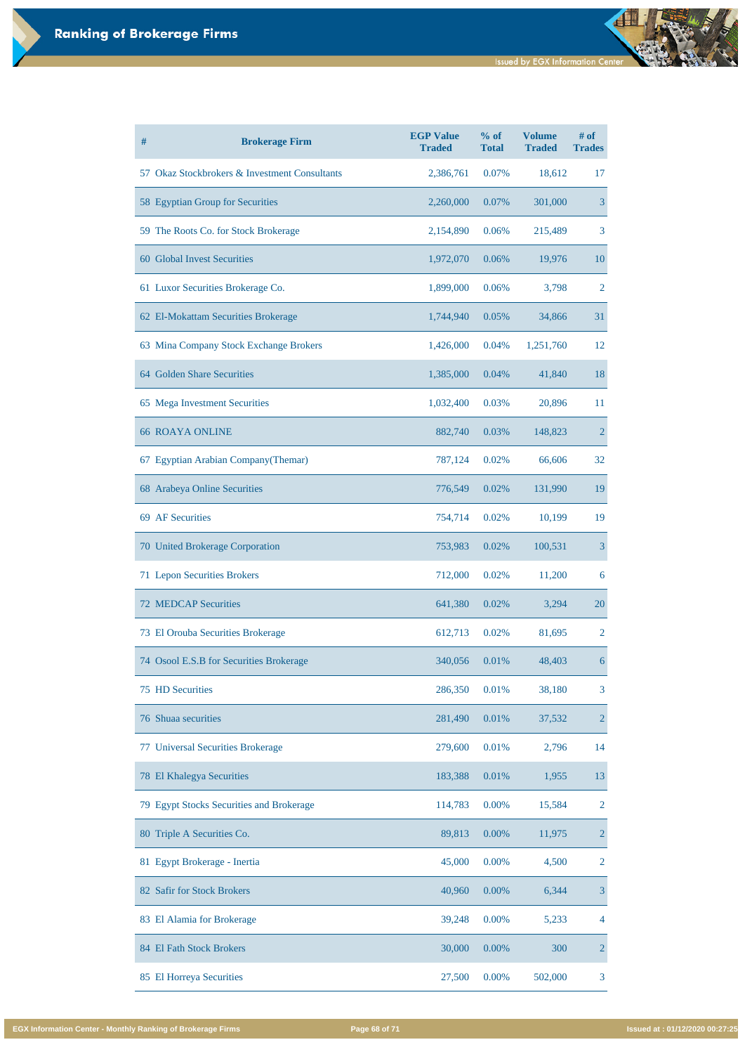| $\#$ | <b>Brokerage Firm</b>                         | <b>EGP Value</b><br><b>Traded</b> | % of<br><b>Total</b> | <b>Volume</b><br><b>Traded</b> | # of<br><b>Trades</b> |
|------|-----------------------------------------------|-----------------------------------|----------------------|--------------------------------|-----------------------|
|      | 57 Okaz Stockbrokers & Investment Consultants | 2,386,761                         | 0.07%                | 18,612                         | 17                    |
|      | 58 Egyptian Group for Securities              | 2,260,000                         | 0.07%                | 301,000                        | 3                     |
|      | 59 The Roots Co. for Stock Brokerage          | 2,154,890                         | 0.06%                | 215,489                        | 3                     |
|      | 60 Global Invest Securities                   | 1,972,070                         | 0.06%                | 19,976                         | 10                    |
|      | 61 Luxor Securities Brokerage Co.             | 1,899,000                         | 0.06%                | 3,798                          | $\overline{2}$        |
|      | 62 El-Mokattam Securities Brokerage           | 1,744,940                         | 0.05%                | 34,866                         | 31                    |
|      | 63 Mina Company Stock Exchange Brokers        | 1,426,000                         | 0.04%                | 1,251,760                      | 12                    |
|      | 64 Golden Share Securities                    | 1,385,000                         | 0.04%                | 41,840                         | 18                    |
|      | 65 Mega Investment Securities                 | 1,032,400                         | 0.03%                | 20,896                         | 11                    |
|      | <b>66 ROAYA ONLINE</b>                        | 882,740                           | 0.03%                | 148,823                        | $\overline{2}$        |
|      | 67 Egyptian Arabian Company (Themar)          | 787,124                           | 0.02%                | 66,606                         | 32                    |
|      | 68 Arabeya Online Securities                  | 776,549                           | 0.02%                | 131,990                        | 19                    |
|      | 69 AF Securities                              | 754,714                           | 0.02%                | 10,199                         | 19                    |
|      | 70 United Brokerage Corporation               | 753,983                           | 0.02%                | 100,531                        | 3                     |
|      | 71 Lepon Securities Brokers                   | 712,000                           | 0.02%                | 11,200                         | 6                     |
|      | <b>72 MEDCAP Securities</b>                   | 641,380                           | 0.02%                | 3,294                          | 20                    |
|      | 73 El Orouba Securities Brokerage             | 612,713                           | 0.02%                | 81,695                         | 2                     |
|      | 74 Osool E.S.B for Securities Brokerage       | 340,056                           | 0.01%                | 48,403                         | 6                     |
|      | <b>75 HD Securities</b>                       | 286,350                           | 0.01%                | 38,180                         | 3                     |
|      | 76 Shuaa securities                           | 281,490                           | 0.01%                | 37,532                         | $\overline{2}$        |
|      | 77 Universal Securities Brokerage             | 279,600                           | 0.01%                | 2,796                          | 14                    |

| 78 El Khalegya Securities                | 183,388 | 0.01%    | 1,955   | 13             |
|------------------------------------------|---------|----------|---------|----------------|
| 79 Egypt Stocks Securities and Brokerage | 114,783 | $0.00\%$ | 15,584  | 2              |
| 80 Triple A Securities Co.               | 89,813  | $0.00\%$ | 11,975  | $\overline{2}$ |
| 81 Egypt Brokerage - Inertia             | 45,000  | 0.00%    | 4,500   | 2              |
| 82 Safir for Stock Brokers               | 40,960  | $0.00\%$ | 6,344   | 3              |
| 83 El Alamia for Brokerage               | 39,248  | 0.00%    | 5,233   | $\overline{4}$ |
| 84 El Fath Stock Brokers                 | 30,000  | 0.00%    | 300     | $\overline{2}$ |
| 85 El Horreya Securities                 | 27,500  | 0.00%    | 502,000 | 3              |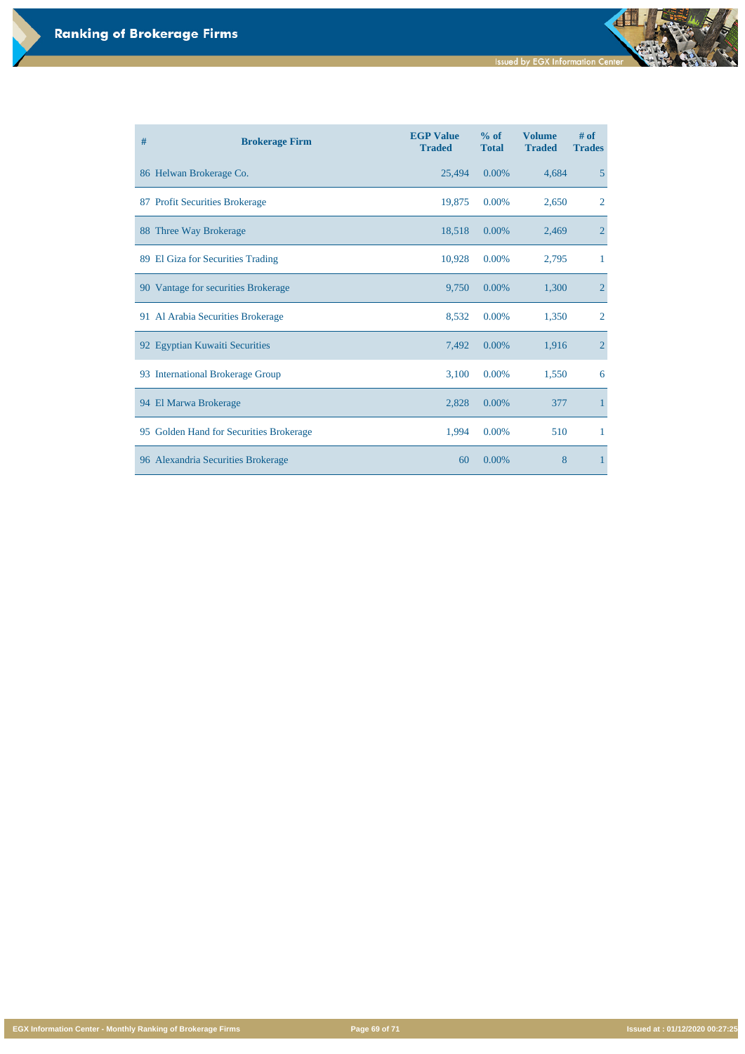**EGX Information Center - Monthly Ranking of Brokerage Firms Page 69 of 71 Issued at : 01/12/2020 00:27:25**

| # | <b>Brokerage Firm</b>                   | <b>EGP Value</b><br><b>Traded</b> | % of<br><b>Total</b> | <b>Volume</b><br><b>Traded</b> | # of<br><b>Trades</b> |
|---|-----------------------------------------|-----------------------------------|----------------------|--------------------------------|-----------------------|
|   | 86 Helwan Brokerage Co.                 | 25,494                            | 0.00%                | 4,684                          | $5\overline{)}$       |
|   | 87 Profit Securities Brokerage          | 19,875                            | 0.00%                | 2,650                          | $\overline{2}$        |
|   | 88 Three Way Brokerage                  | 18,518                            | 0.00%                | 2,469                          | $\overline{2}$        |
|   | 89 El Giza for Securities Trading       | 10,928                            | 0.00%                | 2,795                          | $\mathbf 1$           |
|   | 90 Vantage for securities Brokerage     | 9,750                             | 0.00%                | 1,300                          | $\overline{2}$        |
|   | 91 Al Arabia Securities Brokerage       | 8,532                             | 0.00%                | 1,350                          | $\overline{2}$        |
|   | 92 Egyptian Kuwaiti Securities          | 7,492                             | 0.00%                | 1,916                          | $\overline{2}$        |
|   | 93 International Brokerage Group        | 3,100                             | 0.00%                | 1,550                          | 6                     |
|   | 94 El Marwa Brokerage                   | 2,828                             | 0.00%                | 377                            | $\mathbf{1}$          |
|   | 95 Golden Hand for Securities Brokerage | 1,994                             | 0.00%                | 510                            | $\mathbf{1}$          |
|   | 96 Alexandria Securities Brokerage      | 60                                | 0.00%                | 8                              | $\mathbf{1}$          |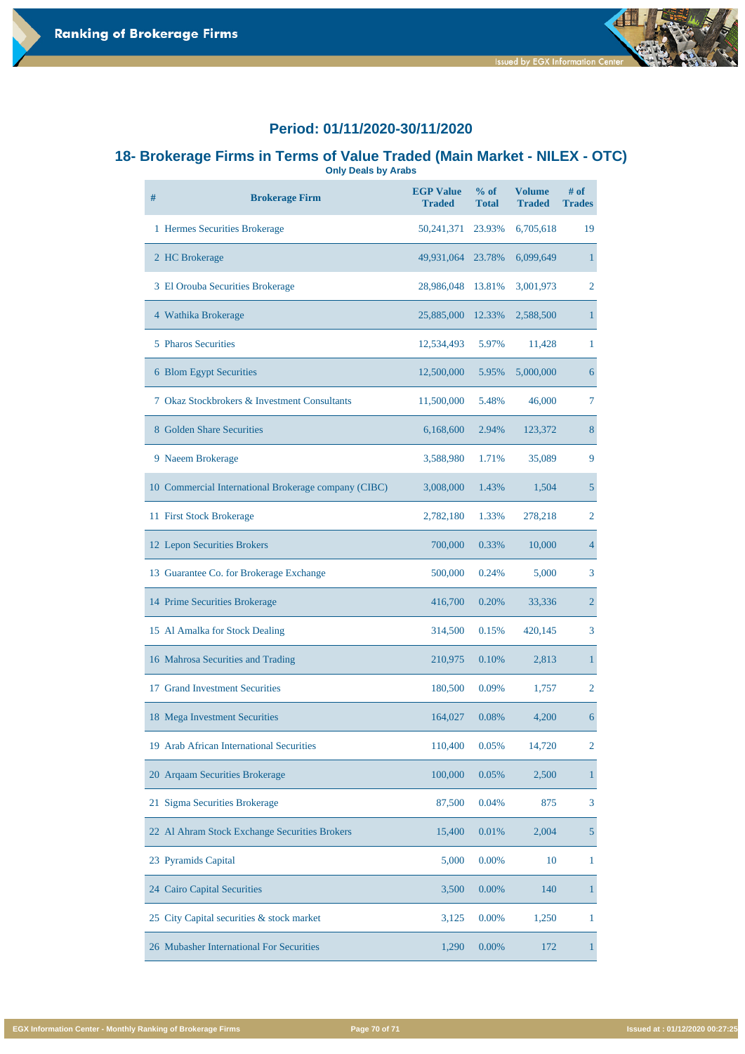

#### **18- Brokerage Firms in Terms of Value Traded (Main Market - NILEX - OTC) Only Deals by Arabs**

| #  | <b>Brokerage Firm</b>                                | <b>EGP Value</b><br><b>Traded</b> | % of<br><b>Total</b> | <b>Volume</b><br><b>Traded</b> | $#$ of<br><b>Trades</b> |
|----|------------------------------------------------------|-----------------------------------|----------------------|--------------------------------|-------------------------|
|    | 1 Hermes Securities Brokerage                        | 50, 241, 371                      | 23.93%               | 6,705,618                      | 19                      |
|    | 2 HC Brokerage                                       | 49,931,064 23.78%                 |                      | 6,099,649                      | $\mathbf 1$             |
|    | 3 El Orouba Securities Brokerage                     | 28,986,048                        | 13.81%               | 3,001,973                      | $\overline{2}$          |
|    | 4 Wathika Brokerage                                  | 25,885,000                        | 12.33%               | 2,588,500                      | $\mathbf{1}$            |
|    | 5 Pharos Securities                                  | 12,534,493                        | 5.97%                | 11,428                         | $\mathbf{1}$            |
|    | 6 Blom Egypt Securities                              | 12,500,000                        | 5.95%                | 5,000,000                      | 6                       |
|    | 7 Okaz Stockbrokers & Investment Consultants         | 11,500,000                        | 5.48%                | 46,000                         | $\overline{7}$          |
|    | 8 Golden Share Securities                            | 6,168,600                         | 2.94%                | 123,372                        | 8                       |
|    | 9 Naeem Brokerage                                    | 3,588,980                         | 1.71%                | 35,089                         | 9                       |
|    | 10 Commercial International Brokerage company (CIBC) | 3,008,000                         | 1.43%                | 1,504                          | 5                       |
|    | 11 First Stock Brokerage                             | 2,782,180                         | 1.33%                | 278,218                        | $\overline{2}$          |
|    | 12 Lepon Securities Brokers                          | 700,000                           | 0.33%                | 10,000                         | $\overline{4}$          |
|    | 13 Guarantee Co. for Brokerage Exchange              | 500,000                           | 0.24%                | 5,000                          | 3                       |
|    | 14 Prime Securities Brokerage                        | 416,700                           | 0.20%                | 33,336                         | $\overline{2}$          |
|    | 15 Al Amalka for Stock Dealing                       | 314,500                           | 0.15%                | 420,145                        | 3                       |
|    | 16 Mahrosa Securities and Trading                    | 210,975                           | 0.10%                | 2,813                          | $\mathbf{1}$            |
| 17 | <b>Grand Investment Securities</b>                   | 180,500                           | 0.09%                | 1,757                          | $\overline{2}$          |
|    | 18 Mega Investment Securities                        | 164,027                           | 0.08%                | 4,200                          | 6                       |
|    | 19 Arab African International Securities             | 110,400                           | 0.05%                | 14,720                         | $\overline{2}$          |

| 20 Argaam Securities Brokerage                | 100,000 | 0.05%    | 2,500 |   |
|-----------------------------------------------|---------|----------|-------|---|
| 21 Sigma Securities Brokerage                 | 87,500  | 0.04%    | 875   | 3 |
| 22 Al Ahram Stock Exchange Securities Brokers | 15,400  | 0.01%    | 2,004 |   |
| 23 Pyramids Capital                           | 5,000   | $0.00\%$ | 10    |   |
| 24 Cairo Capital Securities                   | 3,500   | $0.00\%$ | 140   |   |
| 25 City Capital securities & stock market     | 3,125   | 0.00%    | 1,250 |   |
| 26 Mubasher International For Securities      | 1,290   | $0.00\%$ | 172   |   |